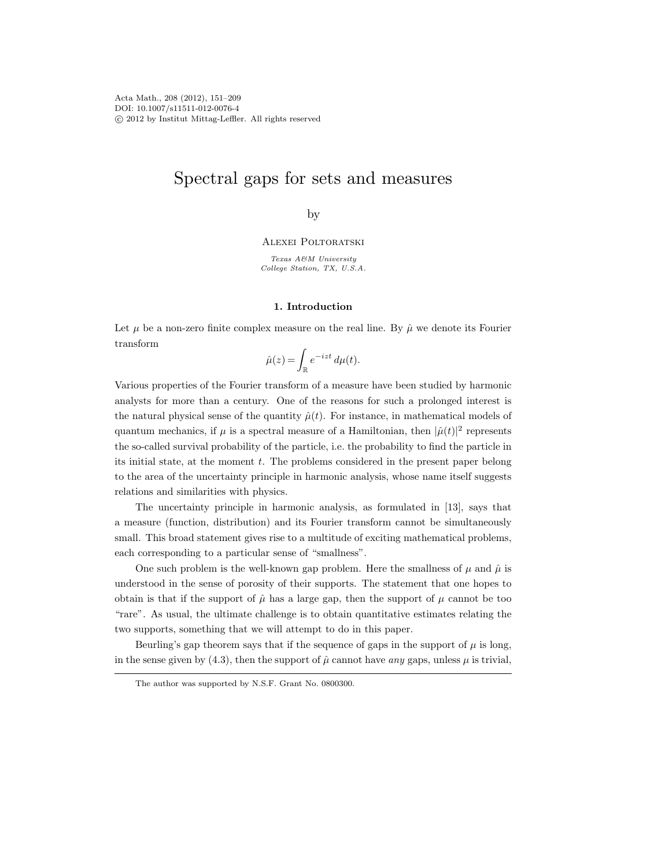# Spectral gaps for sets and measures

by

Alexei Poltoratski

Texas A&M University College Station, TX, U.S.A.

# 1. Introduction

Let  $\mu$  be a non-zero finite complex measure on the real line. By  $\hat{\mu}$  we denote its Fourier transform

$$
\hat{\mu}(z) = \int_{\mathbb{R}} e^{-izt} \, d\mu(t).
$$

Various properties of the Fourier transform of a measure have been studied by harmonic analysts for more than a century. One of the reasons for such a prolonged interest is the natural physical sense of the quantity  $\hat{\mu}(t)$ . For instance, in mathematical models of quantum mechanics, if  $\mu$  is a spectral measure of a Hamiltonian, then  $|\hat{\mu}(t)|^2$  represents the so-called survival probability of the particle, i.e. the probability to find the particle in its initial state, at the moment t. The problems considered in the present paper belong to the area of the uncertainty principle in harmonic analysis, whose name itself suggests relations and similarities with physics.

The uncertainty principle in harmonic analysis, as formulated in [13], says that a measure (function, distribution) and its Fourier transform cannot be simultaneously small. This broad statement gives rise to a multitude of exciting mathematical problems, each corresponding to a particular sense of "smallness".

One such problem is the well-known gap problem. Here the smallness of  $\mu$  and  $\hat{\mu}$  is understood in the sense of porosity of their supports. The statement that one hopes to obtain is that if the support of  $\hat{\mu}$  has a large gap, then the support of  $\mu$  cannot be too "rare". As usual, the ultimate challenge is to obtain quantitative estimates relating the two supports, something that we will attempt to do in this paper.

Beurling's gap theorem says that if the sequence of gaps in the support of  $\mu$  is long, in the sense given by (4.3), then the support of  $\hat{\mu}$  cannot have any gaps, unless  $\mu$  is trivial,

The author was supported by N.S.F. Grant No. 0800300.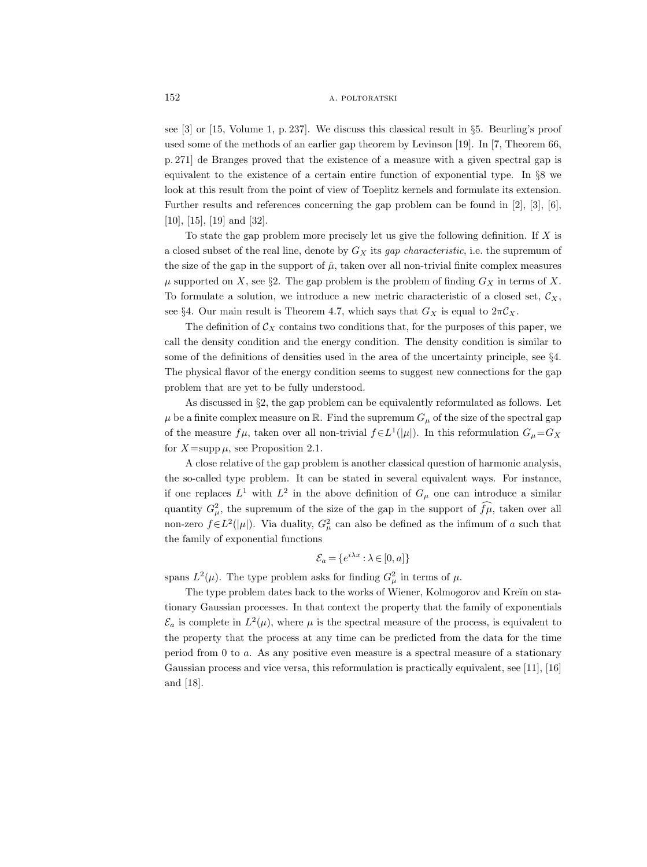see [3] or [15, Volume 1, p. 237]. We discuss this classical result in §5. Beurling's proof used some of the methods of an earlier gap theorem by Levinson [19]. In [7, Theorem 66, p. 271] de Branges proved that the existence of a measure with a given spectral gap is equivalent to the existence of a certain entire function of exponential type. In §8 we look at this result from the point of view of Toeplitz kernels and formulate its extension. Further results and references concerning the gap problem can be found in [2], [3], [6], [10], [15], [19] and [32].

To state the gap problem more precisely let us give the following definition. If  $X$  is a closed subset of the real line, denote by  $G_X$  its *gap characteristic*, i.e. the supremum of the size of the gap in the support of  $\hat{\mu}$ , taken over all non-trivial finite complex measures  $\mu$  supported on X, see §2. The gap problem is the problem of finding  $G_X$  in terms of X. To formulate a solution, we introduce a new metric characteristic of a closed set,  $\mathcal{C}_X$ , see §4. Our main result is Theorem 4.7, which says that  $G_X$  is equal to  $2\pi C_X$ .

The definition of  $\mathcal{C}_X$  contains two conditions that, for the purposes of this paper, we call the density condition and the energy condition. The density condition is similar to some of the definitions of densities used in the area of the uncertainty principle, see §4. The physical flavor of the energy condition seems to suggest new connections for the gap problem that are yet to be fully understood.

As discussed in §2, the gap problem can be equivalently reformulated as follows. Let  $\mu$  be a finite complex measure on R. Find the supremum  $G_{\mu}$  of the size of the spectral gap of the measure  $f\mu$ , taken over all non-trivial  $f \in L^1(|\mu|)$ . In this reformulation  $G_{\mu} = G_X$ for  $X = \text{supp }\mu$ , see Proposition 2.1.

A close relative of the gap problem is another classical question of harmonic analysis, the so-called type problem. It can be stated in several equivalent ways. For instance, if one replaces  $L^1$  with  $L^2$  in the above definition of  $G_\mu$  one can introduce a similar quantity  $G_{\mu}^2$ , the supremum of the size of the gap in the support of  $\tilde{f}\mu$ , taken over all non-zero  $f \in L^2(\vert \mu \vert)$ . Via duality,  $G^2_{\mu}$  can also be defined as the infimum of a such that the family of exponential functions

$$
\mathcal{E}_a = \{e^{i\lambda x} : \lambda \in [0, a]\}
$$

spans  $L^2(\mu)$ . The type problem asks for finding  $G^2_\mu$  in terms of  $\mu$ .

The type problem dates back to the works of Wiener, Kolmogorov and Kreĭn on stationary Gaussian processes. In that context the property that the family of exponentials  $\mathcal{E}_a$  is complete in  $L^2(\mu)$ , where  $\mu$  is the spectral measure of the process, is equivalent to the property that the process at any time can be predicted from the data for the time period from  $0$  to  $a$ . As any positive even measure is a spectral measure of a stationary Gaussian process and vice versa, this reformulation is practically equivalent, see [11], [16] and [18].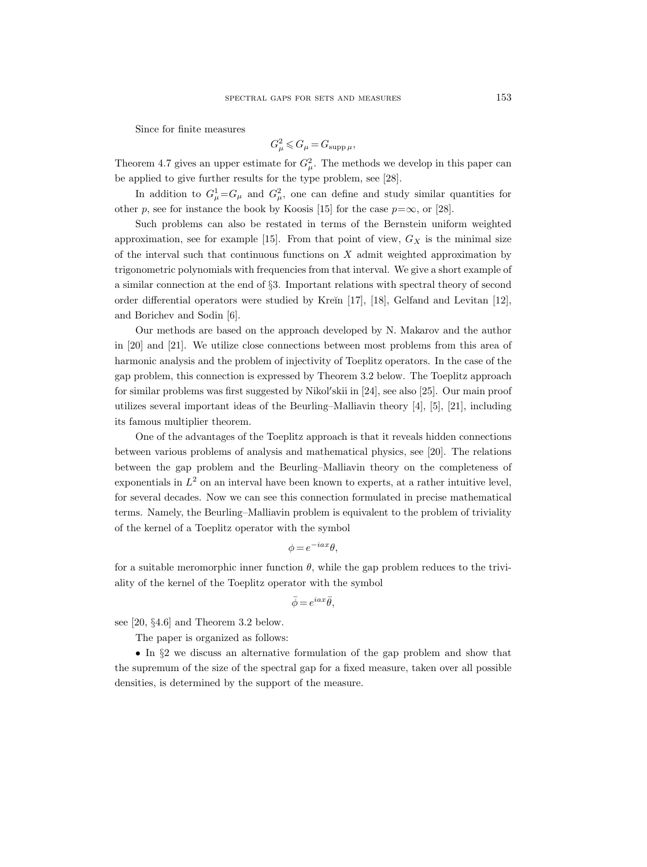Since for finite measures

$$
G_{\mu}^2 \leqslant G_{\mu} = G_{\text{supp }\mu},
$$

Theorem 4.7 gives an upper estimate for  $G^2_\mu$ . The methods we develop in this paper can be applied to give further results for the type problem, see [28].

In addition to  $G^1_\mu = G_\mu$  and  $G^2_\mu$ , one can define and study similar quantities for other p, see for instance the book by Koosis [15] for the case  $p=\infty$ , or [28].

Such problems can also be restated in terms of the Bernstein uniform weighted approximation, see for example [15]. From that point of view,  $G_X$  is the minimal size of the interval such that continuous functions on  $X$  admit weighted approximation by trigonometric polynomials with frequencies from that interval. We give a short example of a similar connection at the end of §3. Important relations with spectral theory of second order differential operators were studied by Kreĭn  $[17]$ ,  $[18]$ , Gelfand and Levitan  $[12]$ , and Borichev and Sodin [6].

Our methods are based on the approach developed by N. Makarov and the author in [20] and [21]. We utilize close connections between most problems from this area of harmonic analysis and the problem of injectivity of Toeplitz operators. In the case of the gap problem, this connection is expressed by Theorem 3.2 below. The Toeplitz approach for similar problems was first suggested by Nikol'skii in [24], see also [25]. Our main proof utilizes several important ideas of the Beurling–Malliavin theory [4], [5], [21], including its famous multiplier theorem.

One of the advantages of the Toeplitz approach is that it reveals hidden connections between various problems of analysis and mathematical physics, see [20]. The relations between the gap problem and the Beurling–Malliavin theory on the completeness of exponentials in  $L^2$  on an interval have been known to experts, at a rather intuitive level, for several decades. Now we can see this connection formulated in precise mathematical terms. Namely, the Beurling–Malliavin problem is equivalent to the problem of triviality of the kernel of a Toeplitz operator with the symbol

$$
\phi = e^{-iax}\theta,
$$

for a suitable meromorphic inner function  $\theta$ , while the gap problem reduces to the triviality of the kernel of the Toeplitz operator with the symbol

$$
\bar{\phi} = e^{iax} \bar{\theta},
$$

see [20, §4.6] and Theorem 3.2 below.

The paper is organized as follows:

• In §2 we discuss an alternative formulation of the gap problem and show that the supremum of the size of the spectral gap for a fixed measure, taken over all possible densities, is determined by the support of the measure.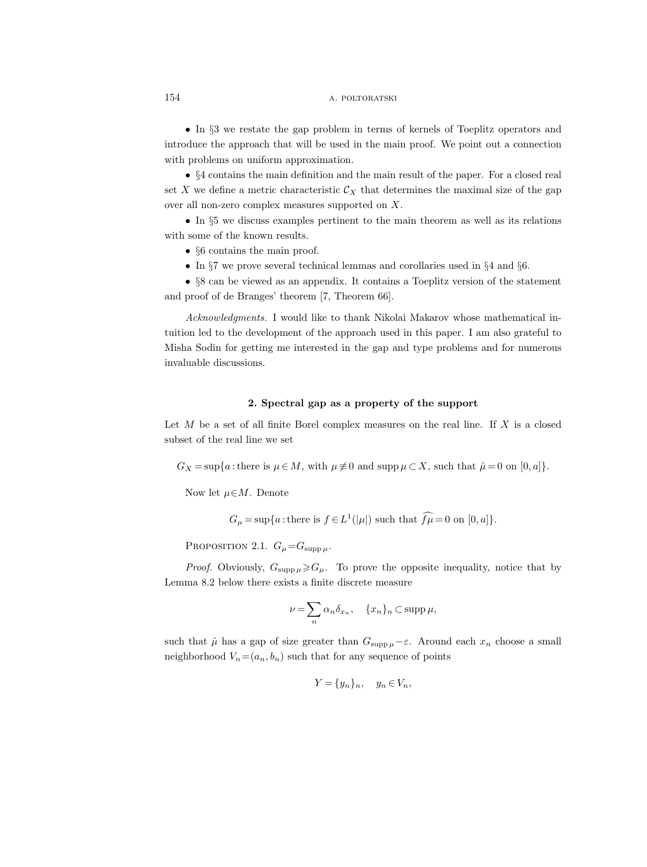• In §3 we restate the gap problem in terms of kernels of Toeplitz operators and introduce the approach that will be used in the main proof. We point out a connection with problems on uniform approximation.

• §4 contains the main definition and the main result of the paper. For a closed real set X we define a metric characteristic  $\mathcal{C}_X$  that determines the maximal size of the gap over all non-zero complex measures supported on X.

• In §5 we discuss examples pertinent to the main theorem as well as its relations with some of the known results.

- §6 contains the main proof.
- In §7 we prove several technical lemmas and corollaries used in §4 and §6.

• §8 can be viewed as an appendix. It contains a Toeplitz version of the statement and proof of de Branges' theorem [7, Theorem 66].

Acknowledgments. I would like to thank Nikolai Makarov whose mathematical intuition led to the development of the approach used in this paper. I am also grateful to Misha Sodin for getting me interested in the gap and type problems and for numerous invaluable discussions.

#### 2. Spectral gap as a property of the support

Let  $M$  be a set of all finite Borel complex measures on the real line. If  $X$  is a closed subset of the real line we set

 $G_X = \sup\{a : \text{there is } \mu \in M, \text{ with } \mu \neq 0 \text{ and } \supp \mu \subset X, \text{ such that } \hat{\mu} = 0 \text{ on } [0, a]\}.$ 

Now let  $\mu \in M$ . Denote

 $G_{\mu} = \sup\{a : \text{there is } f \in L^1(|\mu|) \text{ such that } f\mu = 0 \text{ on } [0, a]\}.$ 

PROPOSITION 2.1.  $G_{\mu} = G_{\text{supp }\mu}$ .

*Proof.* Obviously,  $G_{\text{supp}\,\mu} \geq G_{\mu}$ . To prove the opposite inequality, notice that by Lemma 8.2 below there exists a finite discrete measure

$$
\nu = \sum_{n} \alpha_n \delta_{x_n}, \quad \{x_n\}_n \subset \operatorname{supp} \mu,
$$

such that  $\hat{\mu}$  has a gap of size greater than  $G_{\text{supp}\mu}-\varepsilon$ . Around each  $x_n$  choose a small neighborhood  $V_n=(a_n, b_n)$  such that for any sequence of points

$$
Y = \{y_n\}_n, \quad y_n \in V_n,
$$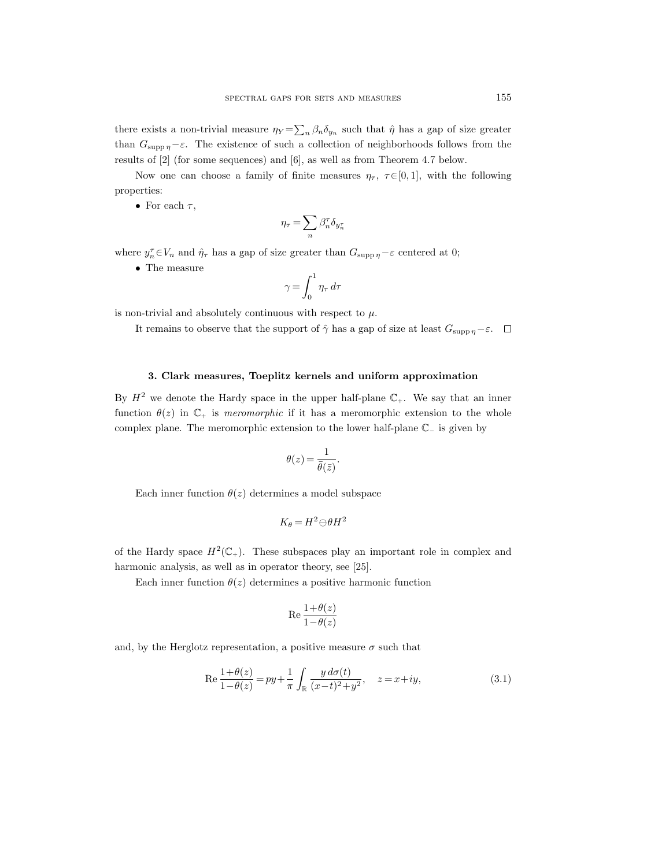there exists a non-trivial measure  $\eta_Y = \sum_n \beta_n \delta_{y_n}$  such that  $\hat{\eta}$  has a gap of size greater than  $G_{\text{supp }\eta}-\varepsilon$ . The existence of such a collection of neighborhoods follows from the results of [2] (for some sequences) and [6], as well as from Theorem 4.7 below.

Now one can choose a family of finite measures  $\eta_{\tau}$ ,  $\tau \in [0, 1]$ , with the following properties:

• For each  $\tau$ ,

$$
\eta_\tau = \sum_n \beta_n^\tau \delta_{y_n^\tau}
$$

where  $y_n^{\tau} \in V_n$  and  $\hat{\eta}_{\tau}$  has a gap of size greater than  $G_{\text{supp }\eta} - \varepsilon$  centered at 0;

 $\bullet~$  The measure

$$
\gamma = \int_0^1 \eta_\tau \, d\tau
$$

is non-trivial and absolutely continuous with respect to  $\mu$ .

It remains to observe that the support of  $\hat{\gamma}$  has a gap of size at least  $G_{\text{supp }n}-\varepsilon$ .  $\Box$ 

## 3. Clark measures, Toeplitz kernels and uniform approximation

By  $H^2$  we denote the Hardy space in the upper half-plane  $\mathbb{C}_+$ . We say that an inner function  $\theta(z)$  in  $\mathbb{C}_+$  is *meromorphic* if it has a meromorphic extension to the whole complex plane. The meromorphic extension to the lower half-plane C<sup>−</sup> is given by

$$
\theta(z) = \frac{1}{\bar{\theta}(\bar{z})}.
$$

Each inner function  $\theta(z)$  determines a model subspace

$$
K_{\theta} = H^2 \ominus \theta H^2
$$

of the Hardy space  $H^2(\mathbb{C}_+)$ . These subspaces play an important role in complex and harmonic analysis, as well as in operator theory, see [25].

Each inner function  $\theta(z)$  determines a positive harmonic function

$$
\operatorname{Re}\frac{1+\theta(z)}{1-\theta(z)}
$$

and, by the Herglotz representation, a positive measure  $\sigma$  such that

Re 
$$
\frac{1+\theta(z)}{1-\theta(z)} = py + \frac{1}{\pi} \int_{\mathbb{R}} \frac{y \, d\sigma(t)}{(x-t)^2 + y^2}, \quad z = x + iy,
$$
 (3.1)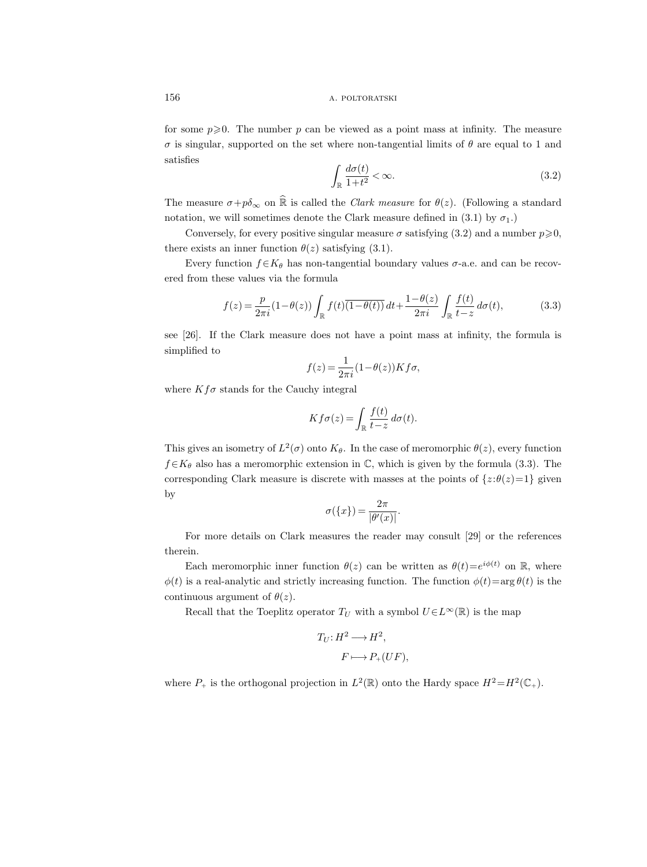for some  $p\geqslant 0$ . The number p can be viewed as a point mass at infinity. The measure  $\sigma$  is singular, supported on the set where non-tangential limits of  $\theta$  are equal to 1 and satisfies

$$
\int_{\mathbb{R}} \frac{d\sigma(t)}{1+t^2} < \infty. \tag{3.2}
$$

The measure  $\sigma+p\delta_{\infty}$  on  $\hat{\mathbb{R}}$  is called the *Clark measure* for  $\theta(z)$ . (Following a standard notation, we will sometimes denote the Clark measure defined in (3.1) by  $\sigma_1$ .)

Conversely, for every positive singular measure  $\sigma$  satisfying (3.2) and a number  $p \ge 0$ , there exists an inner function  $\theta(z)$  satisfying (3.1).

Every function  $f \in K_\theta$  has non-tangential boundary values  $\sigma$ -a.e. and can be recovered from these values via the formula

$$
f(z) = \frac{p}{2\pi i} (1 - \theta(z)) \int_{\mathbb{R}} f(t) \overline{(1 - \theta(t))} dt + \frac{1 - \theta(z)}{2\pi i} \int_{\mathbb{R}} \frac{f(t)}{t - z} d\sigma(t),
$$
 (3.3)

see [26]. If the Clark measure does not have a point mass at infinity, the formula is simplified to

$$
f(z) = \frac{1}{2\pi i} (1 - \theta(z)) K f \sigma,
$$

where  $Kf\sigma$  stands for the Cauchy integral

$$
Kf\sigma(z) = \int_{\mathbb{R}} \frac{f(t)}{t - z} d\sigma(t).
$$

This gives an isometry of  $L^2(\sigma)$  onto  $K_{\theta}$ . In the case of meromorphic  $\theta(z)$ , every function  $f\in K_{\theta}$  also has a meromorphic extension in  $\mathbb{C}$ , which is given by the formula (3.3). The corresponding Clark measure is discrete with masses at the points of  $\{z:\theta(z)=1\}$  given by

$$
\sigma({x}) = \frac{2\pi}{|\theta'(x)|}.
$$

For more details on Clark measures the reader may consult [29] or the references therein.

Each meromorphic inner function  $\theta(z)$  can be written as  $\theta(t) = e^{i\phi(t)}$  on R, where  $\phi(t)$  is a real-analytic and strictly increasing function. The function  $\phi(t) = \arg \theta(t)$  is the continuous argument of  $\theta(z)$ .

Recall that the Toeplitz operator  $T_U$  with a symbol  $U\in L^{\infty}(\mathbb{R})$  is the map

$$
T_U: H^2 \longrightarrow H^2,
$$
  

$$
F \longmapsto P_+(UF),
$$

where  $P_+$  is the orthogonal projection in  $L^2(\mathbb{R})$  onto the Hardy space  $H^2 = H^2(\mathbb{C}_+).$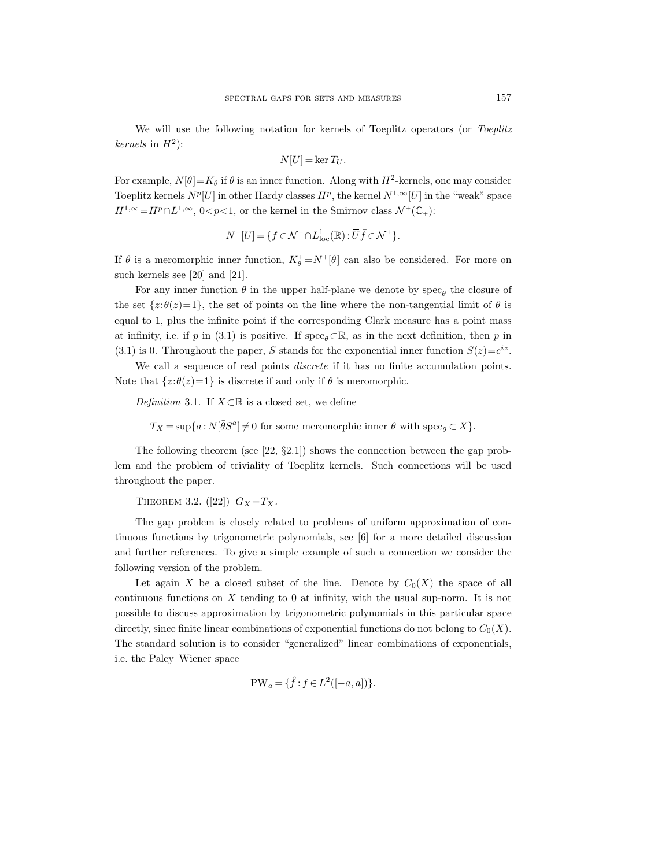We will use the following notation for kernels of Toeplitz operators (or Toeplitz kernels in  $H^2$ :

$$
N[U]=\ker T_U.
$$

For example,  $N[\bar{\theta}] = K_{\theta}$  if  $\theta$  is an inner function. Along with  $H^2$ -kernels, one may consider Toeplitz kernels  $N^p[U]$  in other Hardy classes  $H^p$ , the kernel  $N^{1,\infty}[U]$  in the "weak" space  $H^{1,\infty} = H^p \cap L^{1,\infty}$ ,  $0 < p < 1$ , or the kernel in the Smirnov class  $\mathcal{N}^+(\mathbb{C}_+)$ :

$$
N^+[U]=\{f\in \mathcal{N}^+\cap L^1_{\rm loc}(\mathbb{R}) : \overline{U}\bar{f}\in \mathcal{N}^+\}.
$$

If  $\theta$  is a meromorphic inner function,  $K_{\theta}^{+} = N^{+}[\bar{\theta}]$  can also be considered. For more on such kernels see [20] and [21].

For any inner function  $\theta$  in the upper half-plane we denote by spec<sub> $\theta$ </sub> the closure of the set  $\{z:\theta(z)=1\}$ , the set of points on the line where the non-tangential limit of  $\theta$  is equal to 1, plus the infinite point if the corresponding Clark measure has a point mass at infinity, i.e. if p in (3.1) is positive. If spec<sub> $\theta$ </sub> $\subset \mathbb{R}$ , as in the next definition, then p in (3.1) is 0. Throughout the paper, S stands for the exponential inner function  $S(z) = e^{iz}$ .

We call a sequence of real points *discrete* if it has no finite accumulation points. Note that  $\{z:\theta(z)=1\}$  is discrete if and only if  $\theta$  is meromorphic.

Definition 3.1. If  $X\subset\mathbb{R}$  is a closed set, we define

 $T_X = \sup\{a : N[\bar{\theta}S^a] \neq 0 \text{ for some meromorphic inner } \theta \text{ with } \text{spec}_{\theta} \subset X\}.$ 

The following theorem (see [22,  $\S 2.1$ ]) shows the connection between the gap problem and the problem of triviality of Toeplitz kernels. Such connections will be used throughout the paper.

THEOREM 3.2.  $([22])$   $G_X = T_X$ .

The gap problem is closely related to problems of uniform approximation of continuous functions by trigonometric polynomials, see [6] for a more detailed discussion and further references. To give a simple example of such a connection we consider the following version of the problem.

Let again X be a closed subset of the line. Denote by  $C_0(X)$  the space of all continuous functions on  $X$  tending to 0 at infinity, with the usual sup-norm. It is not possible to discuss approximation by trigonometric polynomials in this particular space directly, since finite linear combinations of exponential functions do not belong to  $C_0(X)$ . The standard solution is to consider "generalized" linear combinations of exponentials, i.e. the Paley–Wiener space

$$
PW_a = \{\hat{f} : f \in L^2([-a, a])\}.
$$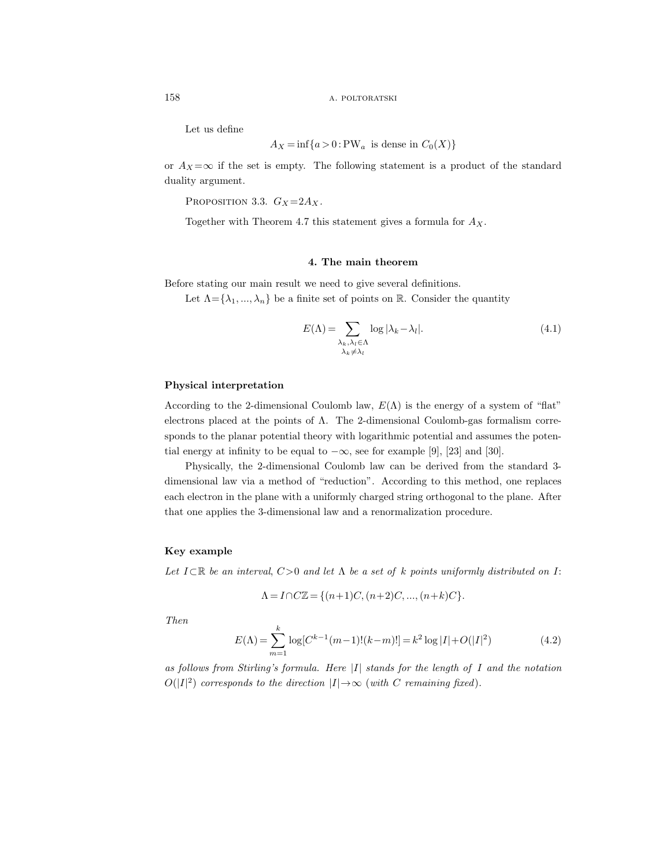Let us define

$$
A_X = \inf\{a > 0 : \text{PW}_a \text{ is dense in } C_0(X)\}
$$

or  $A_X = \infty$  if the set is empty. The following statement is a product of the standard duality argument.

PROPOSITION 3.3.  $G_X = 2A_X$ .

Together with Theorem 4.7 this statement gives a formula for  $A_X$ .

## 4. The main theorem

Before stating our main result we need to give several definitions.

Let  $\Lambda = {\lambda_1, ..., \lambda_n}$  be a finite set of points on R. Consider the quantity

$$
E(\Lambda) = \sum_{\substack{\lambda_k, \lambda_l \in \Lambda \\ \lambda_k \neq \lambda_l}} \log |\lambda_k - \lambda_l|.
$$
 (4.1)

#### Physical interpretation

According to the 2-dimensional Coulomb law,  $E(\Lambda)$  is the energy of a system of "flat" electrons placed at the points of Λ. The 2-dimensional Coulomb-gas formalism corresponds to the planar potential theory with logarithmic potential and assumes the potential energy at infinity to be equal to  $-\infty$ , see for example [9], [23] and [30].

Physically, the 2-dimensional Coulomb law can be derived from the standard 3 dimensional law via a method of "reduction". According to this method, one replaces each electron in the plane with a uniformly charged string orthogonal to the plane. After that one applies the 3-dimensional law and a renormalization procedure.

#### Key example

Let  $I \subset \mathbb{R}$  be an interval,  $C>0$  and let  $\Lambda$  be a set of k points uniformly distributed on I:

$$
\Lambda = I \cap C\mathbb{Z} = \{(n+1)C, (n+2)C, ..., (n+k)C\}.
$$

Then

$$
E(\Lambda) = \sum_{m=1}^{k} \log[C^{k-1}(m-1)!(k-m)!] = k^2 \log|I| + O(|I|^2)
$$
 (4.2)

as follows from Stirling's formula. Here  $|I|$  stands for the length of I and the notation  $O(|I|^2)$  corresponds to the direction  $|I| \rightarrow \infty$  (with C remaining fixed).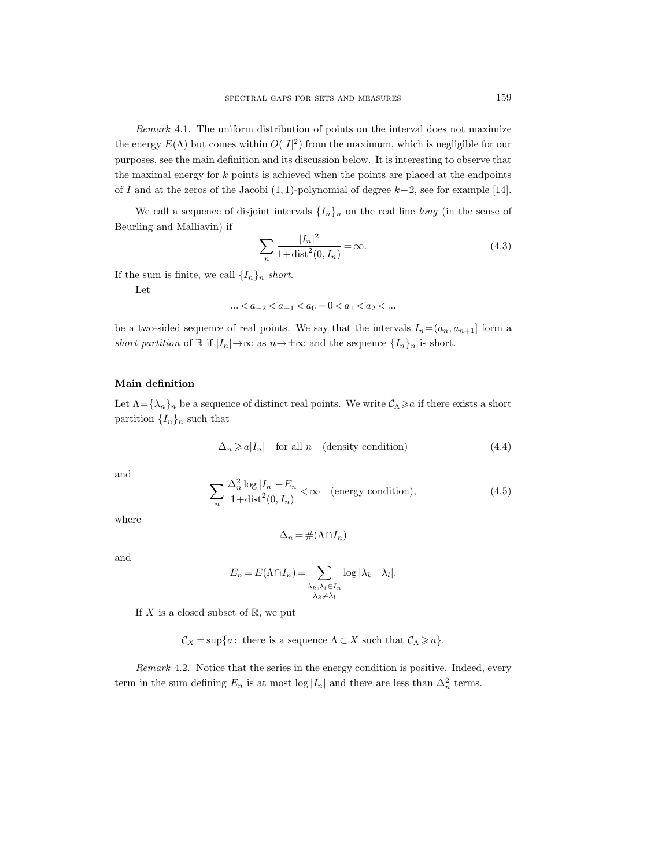Remark 4.1. The uniform distribution of points on the interval does not maximize the energy  $E(\Lambda)$  but comes within  $O(|I|^2)$  from the maximum, which is negligible for our purposes, see the main definition and its discussion below. It is interesting to observe that the maximal energy for  $k$  points is achieved when the points are placed at the endpoints of I and at the zeros of the Jacobi  $(1, 1)$ -polynomial of degree  $k-2$ , see for example [14].

We call a sequence of disjoint intervals  $\{I_n\}_n$  on the real line long (in the sense of Beurling and Malliavin) if

$$
\sum_{n} \frac{|I_n|^2}{1 + \text{dist}^2(0, I_n)} = \infty. \tag{4.3}
$$

If the sum is finite, we call  $\{I_n\}_n$  short.

Let

$$
\ldots < a_{-2} < a_{-1} < a_0 = 0 < a_1 < a_2 < \ldots
$$

be a two-sided sequence of real points. We say that the intervals  $I_n=(a_n, a_{n+1}]$  form a short partition of R if  $|I_n| \to \infty$  as  $n \to \pm \infty$  and the sequence  $\{I_n\}_n$  is short.

#### Main definition

Let  $\Lambda = {\lambda_n}_n$  be a sequence of distinct real points. We write  $\mathcal{C}_\Lambda \geq a$  if there exists a short partition  $\{I_n\}_n$  such that

$$
\Delta_n \geqslant a|I_n| \quad \text{for all } n \quad \text{(density condition)} \tag{4.4}
$$

and

$$
\sum_{n} \frac{\Delta_n^2 \log |I_n| - E_n}{1 + \text{dist}^2(0, I_n)} < \infty \quad \text{(energy condition)},\tag{4.5}
$$

where

$$
\Delta_n = \#(\Lambda \cap I_n)
$$

and

$$
E_n = E(\Lambda \cap I_n) = \sum_{\substack{\lambda_k, \lambda_l \in I_n \\ \lambda_k \neq \lambda_l}} \log |\lambda_k - \lambda_l|.
$$

If X is a closed subset of  $\mathbb{R}$ , we put

 $\mathcal{C}_X = \sup\{a : \text{ there is a sequence } \Lambda \subset X \text{ such that } \mathcal{C}_\Lambda \geq a\}.$ 

Remark 4.2. Notice that the series in the energy condition is positive. Indeed, every term in the sum defining  $E_n$  is at most  $log|I_n|$  and there are less than  $\Delta_n^2$  terms.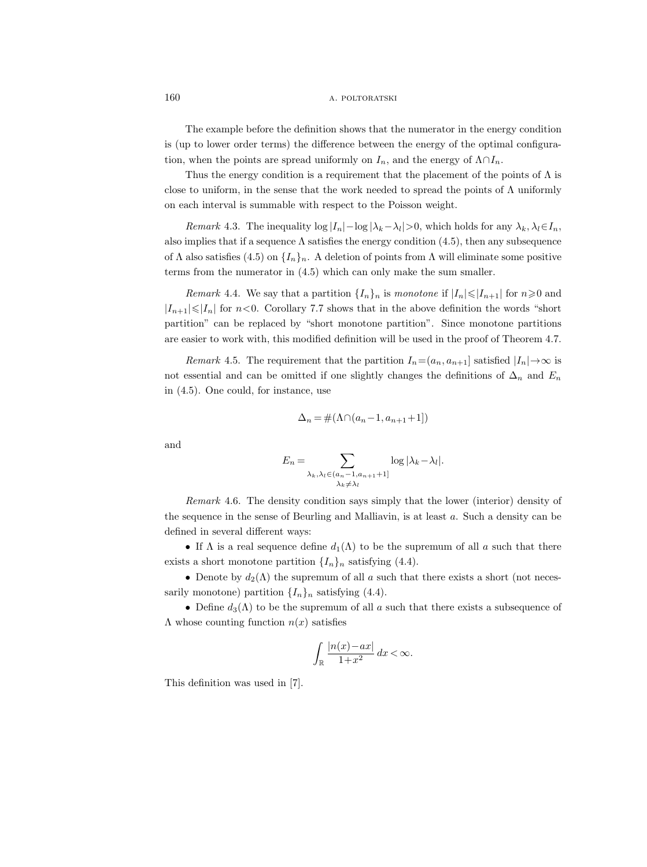The example before the definition shows that the numerator in the energy condition is (up to lower order terms) the difference between the energy of the optimal configuration, when the points are spread uniformly on  $I_n$ , and the energy of  $\Lambda \cap I_n$ .

Thus the energy condition is a requirement that the placement of the points of  $\Lambda$  is close to uniform, in the sense that the work needed to spread the points of  $\Lambda$  uniformly on each interval is summable with respect to the Poisson weight.

Remark 4.3. The inequality  $\log |I_n| - \log |\lambda_k - \lambda_l| > 0$ , which holds for any  $\lambda_k, \lambda_l \in I_n$ , also implies that if a sequence  $\Lambda$  satisfies the energy condition (4.5), then any subsequence of  $\Lambda$  also satisfies (4.5) on  $\{I_n\}_n$ . A deletion of points from  $\Lambda$  will eliminate some positive terms from the numerator in (4.5) which can only make the sum smaller.

*Remark* 4.4. We say that a partition  $\{I_n\}_n$  is monotone if  $|I_n| \leq |I_{n+1}|$  for  $n \geq 0$  and  $|I_{n+1}|\leq |I_n|$  for  $n<0$ . Corollary 7.7 shows that in the above definition the words "short" partition" can be replaced by "short monotone partition". Since monotone partitions are easier to work with, this modified definition will be used in the proof of Theorem 4.7.

Remark 4.5. The requirement that the partition  $I_n=(a_n, a_{n+1}]$  satisfied  $|I_n| \to \infty$  is not essential and can be omitted if one slightly changes the definitions of  $\Delta_n$  and  $E_n$ in (4.5). One could, for instance, use

$$
\Delta_n = \#(\Lambda \cap (a_n - 1, a_{n+1} + 1])
$$

and

$$
E_n = \sum_{\substack{\lambda_k, \lambda_l \in (a_n - 1, a_{n+1} + 1] \\ \lambda_k \neq \lambda_l}} \log |\lambda_k - \lambda_l|.
$$

Remark 4.6. The density condition says simply that the lower (interior) density of the sequence in the sense of Beurling and Malliavin, is at least  $a$ . Such a density can be defined in several different ways:

• If  $\Lambda$  is a real sequence define  $d_1(\Lambda)$  to be the supremum of all a such that there exists a short monotone partition  $\{I_n\}_n$  satisfying (4.4).

• Denote by  $d_2(\Lambda)$  the supremum of all a such that there exists a short (not necessarily monotone) partition  $\{I_n\}_n$  satisfying (4.4).

• Define  $d_3(\Lambda)$  to be the supremum of all a such that there exists a subsequence of  $\Lambda$  whose counting function  $n(x)$  satisfies

$$
\int_{\mathbb{R}} \frac{|n(x) - ax|}{1 + x^2} \, dx < \infty.
$$

This definition was used in [7].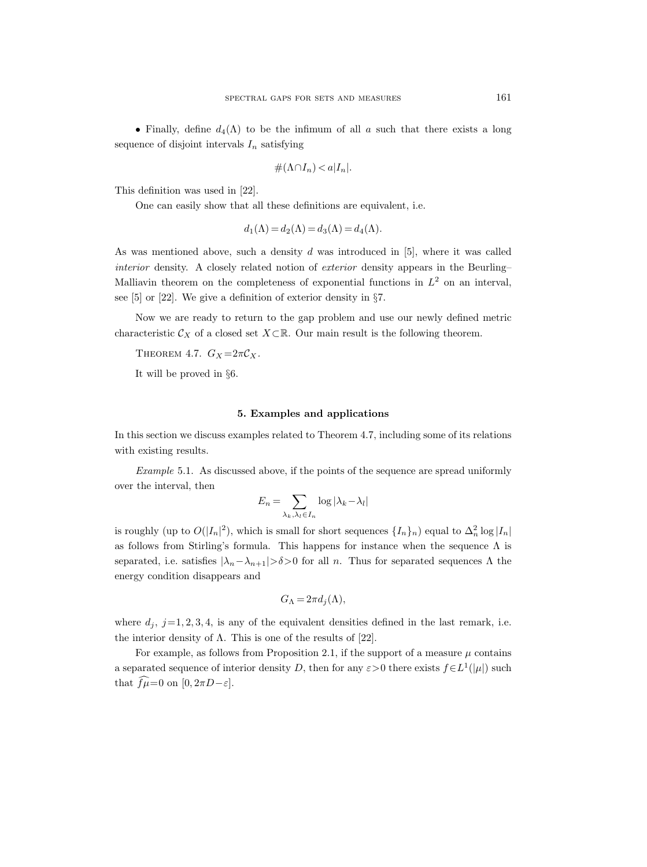• Finally, define  $d_4(\Lambda)$  to be the infimum of all a such that there exists a long sequence of disjoint intervals  $I_n$  satisfying

$$
\#(\Lambda \cap I_n) < a|I_n|.
$$

This definition was used in [22].

One can easily show that all these definitions are equivalent, i.e.

$$
d_1(\Lambda) = d_2(\Lambda) = d_3(\Lambda) = d_4(\Lambda).
$$

As was mentioned above, such a density  $d$  was introduced in [5], where it was called interior density. A closely related notion of exterior density appears in the Beurling– Malliavin theorem on the completeness of exponential functions in  $L^2$  on an interval, see [5] or [22]. We give a definition of exterior density in §7.

Now we are ready to return to the gap problem and use our newly defined metric characteristic  $\mathcal{C}_X$  of a closed set  $X\subset\mathbb{R}$ . Our main result is the following theorem.

THEOREM 4.7.  $G_X = 2\pi C_X$ .

It will be proved in §6.

#### 5. Examples and applications

In this section we discuss examples related to Theorem 4.7, including some of its relations with existing results.

Example 5.1. As discussed above, if the points of the sequence are spread uniformly over the interval, then

$$
E_n = \sum_{\lambda_k, \lambda_l \in I_n} \log |\lambda_k - \lambda_l|
$$

is roughly (up to  $O(|I_n|^2)$ , which is small for short sequences  $\{I_n\}_n$ ) equal to  $\Delta_n^2 \log |I_n|$ as follows from Stirling's formula. This happens for instance when the sequence  $\Lambda$  is separated, i.e. satisfies  $|\lambda_n-\lambda_{n+1}|>δ>0$  for all n. Thus for separated sequences  $\Lambda$  the energy condition disappears and

$$
G_{\Lambda} = 2\pi d_j(\Lambda),
$$

where  $d_j$ ,  $j=1, 2, 3, 4$ , is any of the equivalent densities defined in the last remark, i.e. the interior density of  $\Lambda$ . This is one of the results of [22].

For example, as follows from Proposition 2.1, if the support of a measure  $\mu$  contains a separated sequence of interior density D, then for any  $\varepsilon > 0$  there exists  $f \in L^1(|\mu|)$  such that  $\widehat{f\mu}=0$  on  $[0, 2\pi D-\varepsilon]$ .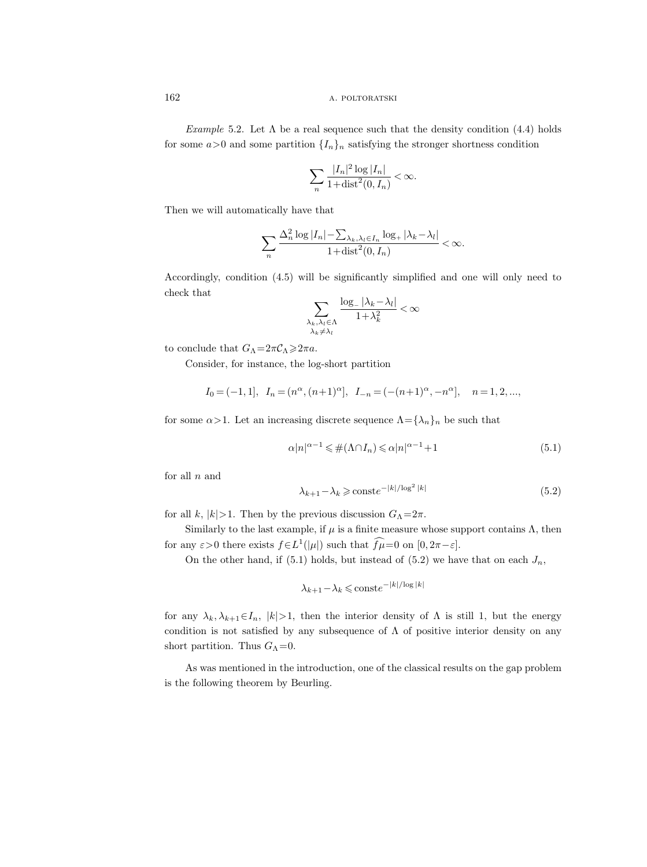Example 5.2. Let  $\Lambda$  be a real sequence such that the density condition (4.4) holds for some  $a>0$  and some partition  $\{I_n\}_n$  satisfying the stronger shortness condition

$$
\sum_{n} \frac{|I_n|^2 \log |I_n|}{1 + \text{dist}^2(0, I_n)} < \infty.
$$

Then we will automatically have that

$$
\sum_{n} \frac{\Delta_n^2 \log |I_n| - \sum_{\lambda_k, \lambda_l \in I_n} \log_+ |\lambda_k - \lambda_l|}{1 + \text{dist}^2(0, I_n)} < \infty.
$$

Accordingly, condition (4.5) will be significantly simplified and one will only need to check that  $\sqrt{ }$ 

$$
\sum_{\substack{\lambda_k,\lambda_l\in\Lambda\\ \lambda_k\neq \lambda_l}}\frac{\log_-|\lambda_k-\lambda_l|}{1+\lambda_k^2}<\infty
$$

to conclude that  $G_{\Lambda} = 2\pi \mathcal{C}_{\Lambda} \geq 2\pi a$ .

Consider, for instance, the log-short partition

$$
I_0 = (-1, 1], I_n = (n^{\alpha}, (n+1)^{\alpha}], I_{-n} = (-(n+1)^{\alpha}, -n^{\alpha}], n = 1, 2, ...,
$$

for some  $\alpha > 1$ . Let an increasing discrete sequence  $\Lambda = {\lambda_n}_n$  be such that

$$
\alpha |n|^{\alpha - 1} \leq \#(\Lambda \cap I_n) \leq \alpha |n|^{\alpha - 1} + 1 \tag{5.1}
$$

for all  $n$  and

$$
\lambda_{k+1} - \lambda_k \ge \text{const} e^{-|k|/\log^2 |k|} \tag{5.2}
$$

for all k,  $|k|>1$ . Then by the previous discussion  $G_{\Lambda}=2\pi$ .

Similarly to the last example, if  $\mu$  is a finite measure whose support contains  $\Lambda$ , then for any  $\varepsilon > 0$  there exists  $f \in L^1(|\mu|)$  such that  $f \mu = 0$  on  $[0, 2\pi - \varepsilon]$ .

On the other hand, if (5.1) holds, but instead of (5.2) we have that on each  $J_n$ ,

$$
\lambda_{k+1} - \lambda_k \leqslant \text{const} e^{-|k|/\log|k|}
$$

for any  $\lambda_k, \lambda_{k+1} \in I_n$ ,  $|k| > 1$ , then the interior density of  $\Lambda$  is still 1, but the energy condition is not satisfied by any subsequence of  $\Lambda$  of positive interior density on any short partition. Thus  $G_{\Lambda}=0$ .

As was mentioned in the introduction, one of the classical results on the gap problem is the following theorem by Beurling.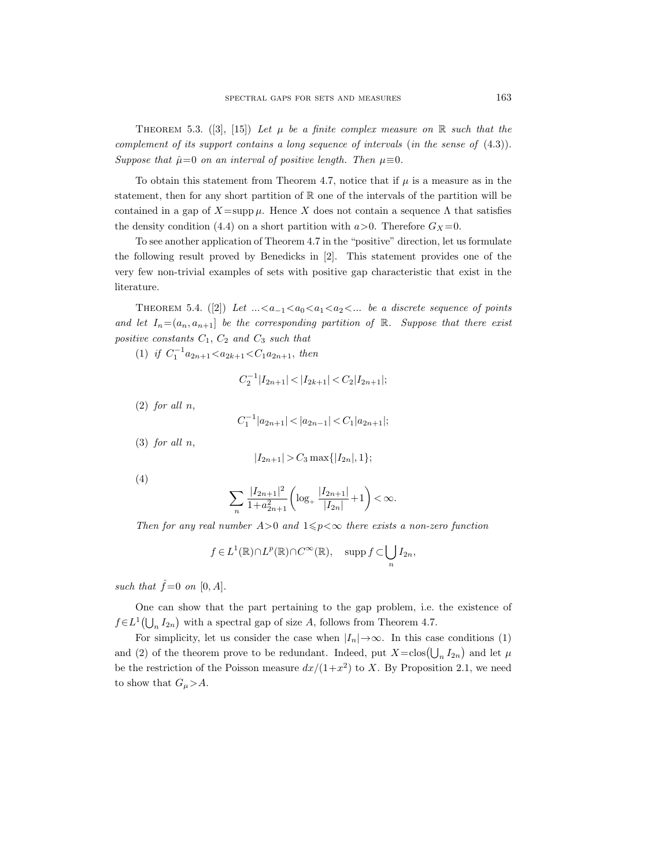THEOREM 5.3. ([3], [15]) Let  $\mu$  be a finite complex measure on R such that the complement of its support contains a long sequence of intervals (in the sense of (4.3)). Suppose that  $\hat{\mu}=0$  on an interval of positive length. Then  $\mu \equiv 0$ .

To obtain this statement from Theorem 4.7, notice that if  $\mu$  is a measure as in the statement, then for any short partition of R one of the intervals of the partition will be contained in a gap of  $X=\text{supp }\mu$ . Hence X does not contain a sequence  $\Lambda$  that satisfies the density condition (4.4) on a short partition with  $a>0$ . Therefore  $G_X=0$ .

To see another application of Theorem 4.7 in the "positive" direction, let us formulate the following result proved by Benedicks in [2]. This statement provides one of the very few non-trivial examples of sets with positive gap characteristic that exist in the literature.

THEOREM 5.4. ([2]) Let  $\dots \le a_{-1} \le a_0 \le a_1 \le a_2 \le \dots$  be a discrete sequence of points and let  $I_n = (a_n, a_{n+1}]$  be the corresponding partition of  $\mathbb{R}$ . Suppose that there exist positive constants  $C_1$ ,  $C_2$  and  $C_3$  such that

(1) if  $C_1^{-1}a_{2n+1} < a_{2k+1} < C_1a_{2n+1}$ , then

$$
C_2^{-1}|I_{2n+1}| < |I_{2k+1}| < C_2|I_{2n+1}|;
$$

 $(2)$  for all n,

$$
C_1^{-1}|a_{2n+1}| < |a_{2n-1}| < C_1|a_{2n+1}|;
$$

 $(3)$  for all  $n$ ,

$$
|I_{2n+1}| > C_3 \max\{|I_{2n}|, 1\};
$$

(4)

$$
\sum_{n} \frac{|I_{2n+1}|^2}{1+a_{2n+1}^2} \left( \log_+ \frac{|I_{2n+1}|}{|I_{2n}|} + 1 \right) < \infty.
$$

Then for any real number  $A>0$  and  $1\leq p<\infty$  there exists a non-zero function

$$
f \in L^1(\mathbb{R}) \cap L^p(\mathbb{R}) \cap C^{\infty}(\mathbb{R}), \quad \text{supp } f \subset \bigcup_n I_{2n},
$$

such that  $\hat{f} = 0$  on  $[0, A]$ .

One can show that the part pertaining to the gap problem, i.e. the existence of  $f \in L^1(\bigcup_n I_{2n})$  with a spectral gap of size A, follows from Theorem 4.7.

For simplicity, let us consider the case when  $|I_n| \to \infty$ . In this case conditions (1) and (2) of the theorem prove to be redundant. Indeed, put  $X = \text{clos}(\bigcup_n I_{2n})$  and let  $\mu$ be the restriction of the Poisson measure  $dx/(1+x^2)$  to X. By Proposition 2.1, we need to show that  $G_{\mu} > A$ .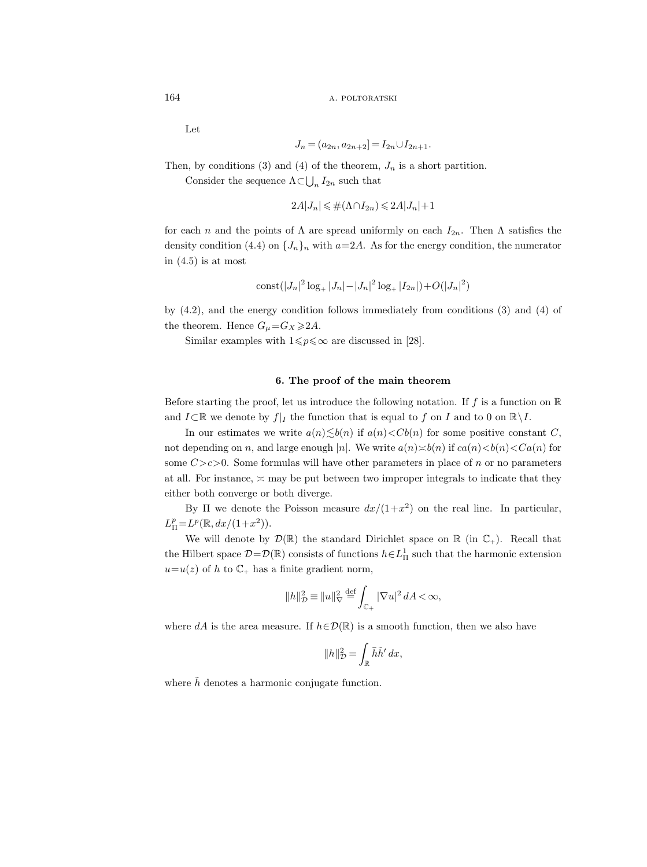Let

$$
J_n = (a_{2n}, a_{2n+2}) = I_{2n} \cup I_{2n+1}.
$$

Then, by conditions (3) and (4) of the theorem,  $J_n$  is a short partition.

Consider the sequence  $\Lambda \subset \bigcup_n I_{2n}$  such that

$$
2A|J_n| \leq \#(\Lambda \cap I_{2n}) \leq 2A|J_n| + 1
$$

for each n and the points of  $\Lambda$  are spread uniformly on each  $I_{2n}$ . Then  $\Lambda$  satisfies the density condition (4.4) on  $\{J_n\}_n$  with  $a=2A$ . As for the energy condition, the numerator in  $(4.5)$  is at most

$$
const(|J_n|^2 \log_+ |J_n| - |J_n|^2 \log_+ |I_{2n}|) + O(|J_n|^2)
$$

by (4.2), and the energy condition follows immediately from conditions (3) and (4) of the theorem. Hence  $G_{\mu} = G_X \geq 2A$ .

Similar examples with  $1 \leq p \leq \infty$  are discussed in [28].

#### 6. The proof of the main theorem

Before starting the proof, let us introduce the following notation. If f is a function on  $\mathbb R$ and  $I\subset\mathbb{R}$  we denote by  $f|_I$  the function that is equal to f on I and to 0 on  $\mathbb{R}\setminus I$ .

In our estimates we write  $a(n) \leq b(n)$  if  $a(n) < Cb(n)$  for some positive constant C, not depending on n, and large enough |n|. We write  $a(n) \geq b(n)$  if  $ca(n) < b(n) < Ca(n)$  for some  $C > c > 0$ . Some formulas will have other parameters in place of n or no parameters at all. For instance,  $\geq$  may be put between two improper integrals to indicate that they either both converge or both diverge.

By  $\Pi$  we denote the Poisson measure  $dx/(1+x^2)$  on the real line. In particular,  $L_{\Pi}^p = L^p(\mathbb{R}, dx/(1+x^2)).$ 

We will denote by  $\mathcal{D}(\mathbb{R})$  the standard Dirichlet space on  $\mathbb{R}$  (in  $\mathbb{C}_+$ ). Recall that the Hilbert space  $D = \mathcal{D}(\mathbb{R})$  consists of functions  $h \in L^1_{\Pi}$  such that the harmonic extension  $u=u(z)$  of h to  $\mathbb{C}_+$  has a finite gradient norm,

$$
||h||_{\mathcal{D}}^2 \equiv ||u||_{\nabla}^2 \stackrel{\text{def}}{=} \int_{\mathbb{C}_+} |\nabla u|^2 dA < \infty,
$$

where dA is the area measure. If  $h \in \mathcal{D}(\mathbb{R})$  is a smooth function, then we also have

$$
||h||_{\mathcal{D}}^2 = \int_{\mathbb{R}} \bar{h}\tilde{h}' dx,
$$

where  $\tilde{h}$  denotes a harmonic conjugate function.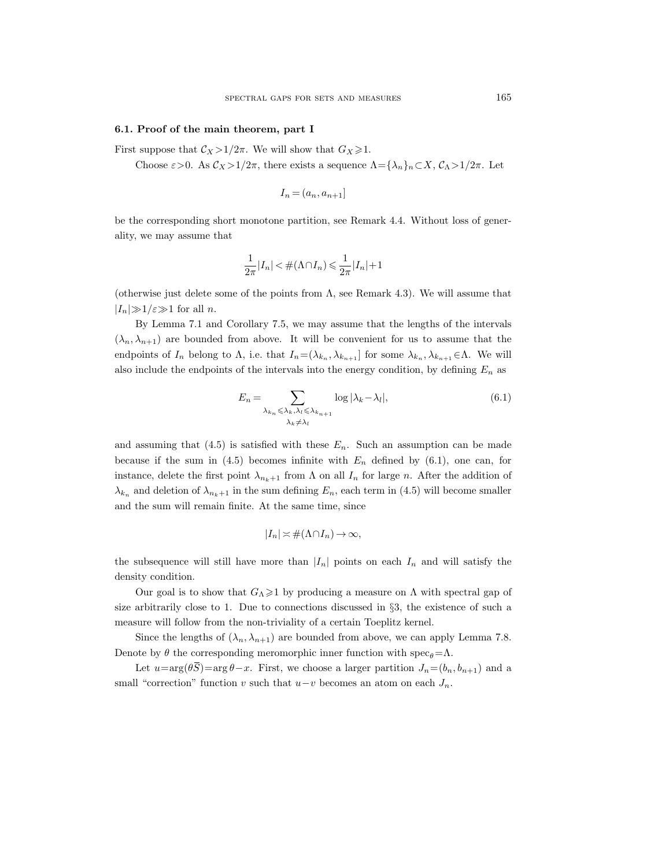#### 6.1. Proof of the main theorem, part I

First suppose that  $\mathcal{C}_X > 1/2\pi$ . We will show that  $G_X \geq 1$ .

Choose  $\varepsilon > 0$ . As  $\mathcal{C}_X > 1/2\pi$ , there exists a sequence  $\Lambda = {\lambda_n}_n \subset X$ ,  $\mathcal{C}_\Lambda > 1/2\pi$ . Let

$$
I_n = (a_n, a_{n+1}]
$$

be the corresponding short monotone partition, see Remark 4.4. Without loss of generality, we may assume that

$$
\frac{1}{2\pi}|I_n|<\#(\Lambda\cap I_n)\leqslant\frac{1}{2\pi}|I_n|+1
$$

(otherwise just delete some of the points from  $\Lambda$ , see Remark 4.3). We will assume that  $|I_n|\gg1/\varepsilon\gg1$  for all n.

By Lemma 7.1 and Corollary 7.5, we may assume that the lengths of the intervals  $(\lambda_n, \lambda_{n+1})$  are bounded from above. It will be convenient for us to assume that the endpoints of  $I_n$  belong to  $\Lambda$ , i.e. that  $I_n = (\lambda_{k_n}, \lambda_{k_{n+1}}]$  for some  $\lambda_{k_n}, \lambda_{k_{n+1}} \in \Lambda$ . We will also include the endpoints of the intervals into the energy condition, by defining  $E_n$  as

$$
E_n = \sum_{\substack{\lambda_k, \lambda_k < \lambda_k, \lambda_l \le \lambda_{k_{n+1}} \\ \lambda_k \ne \lambda_l}} \log |\lambda_k - \lambda_l|,
$$
\n(6.1)

and assuming that  $(4.5)$  is satisfied with these  $E_n$ . Such an assumption can be made because if the sum in (4.5) becomes infinite with  $E_n$  defined by (6.1), one can, for instance, delete the first point  $\lambda_{n_k+1}$  from  $\Lambda$  on all  $I_n$  for large n. After the addition of  $\lambda_{k_n}$  and deletion of  $\lambda_{n_k+1}$  in the sum defining  $E_n$ , each term in (4.5) will become smaller and the sum will remain finite. At the same time, since

$$
|I_n| \asymp \#(\Lambda \cap I_n) \to \infty,
$$

the subsequence will still have more than  $|I_n|$  points on each  $I_n$  and will satisfy the density condition.

Our goal is to show that  $G_\Lambda \geq 1$  by producing a measure on  $\Lambda$  with spectral gap of size arbitrarily close to 1. Due to connections discussed in §3, the existence of such a measure will follow from the non-triviality of a certain Toeplitz kernel.

Since the lengths of  $(\lambda_n, \lambda_{n+1})$  are bounded from above, we can apply Lemma 7.8. Denote by  $\theta$  the corresponding meromorphic inner function with spec<sub> $\theta$ </sub>=Λ.

Let  $u=\arg(\theta \overline{S})=\arg \theta-x$ . First, we choose a larger partition  $J_n=(b_n, b_{n+1})$  and a small "correction" function v such that  $u-v$  becomes an atom on each  $J_n$ .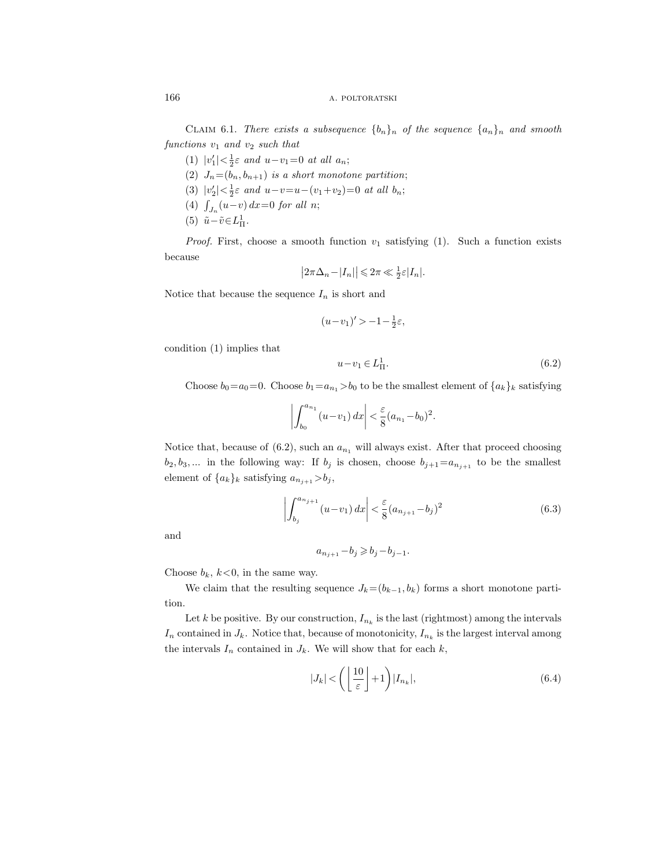CLAIM 6.1. There exists a subsequence  $\{b_n\}_n$  of the sequence  $\{a_n\}_n$  and smooth functions  $v_1$  and  $v_2$  such that

- (1)  $|v'_1| < \frac{1}{2}\varepsilon$  and  $u v_1 = 0$  at all  $a_n$ ; (2)  $J_n=(b_n, b_{n+1})$  is a short monotone partition; (3)  $|v_2'| < \frac{1}{2}\varepsilon$  and  $u-v=u-(v_1+v_2)=0$  at all  $b_n$ ; (4)  $\int_{J_n}(u-v) dx = 0$  for all n;
- (5)  $\tilde{u} \tilde{v} \in L^1_{\Pi}$ .

*Proof.* First, choose a smooth function  $v_1$  satisfying (1). Such a function exists because

$$
\left|2\pi\Delta_n - |I_n|\right| \leq 2\pi \ll \frac{1}{2}\varepsilon |I_n|.
$$

Notice that because the sequence  $I_n$  is short and

$$
(u-v_1)' > -1 - \frac{1}{2}\varepsilon,
$$

condition (1) implies that

$$
u - v_1 \in L^1_{\Pi}.\tag{6.2}
$$

Choose  $b_0=a_0=0$ . Choose  $b_1=a_{n_1}>b_0$  to be the smallest element of  $\{a_k\}_k$  satisfying

$$
\left| \int_{b_0}^{a_{n_1}} (u - v_1) \, dx \right| < \frac{\varepsilon}{8} (a_{n_1} - b_0)^2.
$$

Notice that, because of  $(6.2)$ , such an  $a_{n_1}$  will always exist. After that proceed choosing  $b_2, b_3, \ldots$  in the following way: If  $b_j$  is chosen, choose  $b_{j+1}=a_{n_{j+1}}$  to be the smallest element of  $\{a_k\}_k$  satisfying  $a_{n_{j+1}} > b_j$ ,

$$
\left| \int_{b_j}^{a_{n_{j+1}}} (u - v_1) \, dx \right| < \frac{\varepsilon}{8} (a_{n_{j+1}} - b_j)^2 \tag{6.3}
$$

and

$$
a_{n_{j+1}} - b_j \geq b_j - b_{j-1}.
$$

Choose  $b_k$ ,  $k < 0$ , in the same way.

We claim that the resulting sequence  $J_k=(b_{k-1}, b_k)$  forms a short monotone partition.

Let k be positive. By our construction,  $I_{n_k}$  is the last (rightmost) among the intervals  $I_n$  contained in  $J_k$ . Notice that, because of monotonicity,  $I_{n_k}$  is the largest interval among the intervals  $I_n$  contained in  $J_k$ . We will show that for each k,

$$
|J_k| < \left( \left\lfloor \frac{10}{\varepsilon} \right\rfloor + 1 \right) |I_{n_k}|,\tag{6.4}
$$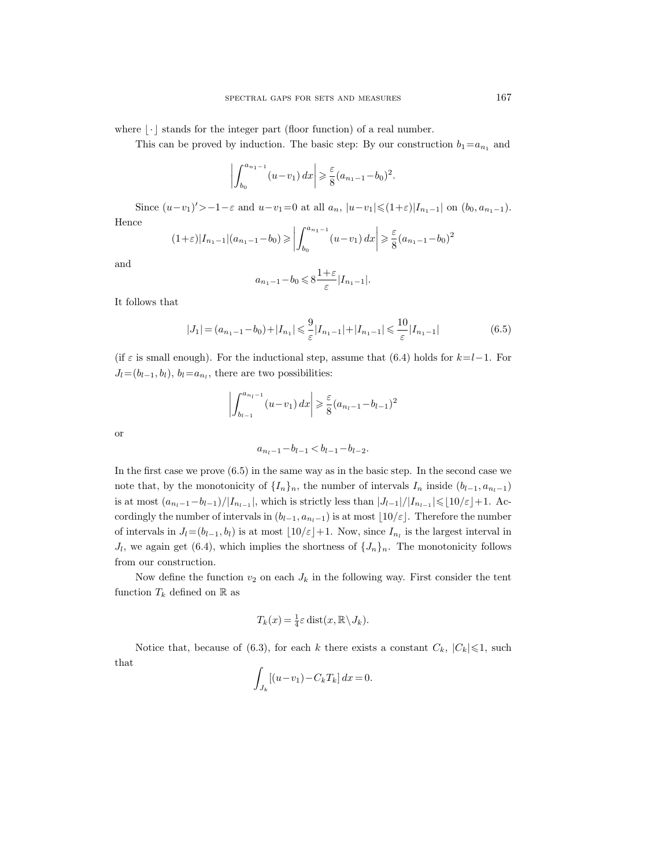where  $\lvert \cdot \rvert$  stands for the integer part (floor function) of a real number.

This can be proved by induction. The basic step: By our construction  $b_1=a_{n_1}$  and

$$
\left| \int_{b_0}^{a_{n_1-1}} (u-v_1) \, dx \right| \geqslant \frac{\varepsilon}{8} (a_{n_1-1}-b_0)^2.
$$

Since  $(u-v_1)'>-1-\varepsilon$  and  $u-v_1=0$  at all  $a_n$ ,  $|u-v_1| \leq (1+\varepsilon)|I_{n_1-1}|$  on  $(b_0, a_{n_1-1})$ . Hence

$$
(1+\varepsilon)|I_{n_1-1}|(a_{n_1-1}-b_0) \geqslant \left|\int_{b_0}^{a_{n_1-1}} (u-v_1) dx\right| \geqslant \frac{\varepsilon}{8}(a_{n_1-1}-b_0)^2
$$

and

$$
a_{n_1-1}-b_0 \leqslant 8\frac{1+\varepsilon}{\varepsilon}|I_{n_1-1}|.
$$

It follows that

$$
|J_1| = (a_{n_1 - 1} - b_0) + |I_{n_1}| \leqslant \frac{9}{\varepsilon} |I_{n_1 - 1}| + |I_{n_1 - 1}| \leqslant \frac{10}{\varepsilon} |I_{n_1 - 1}| \tag{6.5}
$$

(if  $\varepsilon$  is small enough). For the inductional step, assume that (6.4) holds for  $k=l-1$ . For  $J_l = (b_{l-1}, b_l), b_l = a_{n_l}$ , there are two possibilities:

$$
\left| \int_{b_{l-1}}^{a_{n_l-1}} (u-v_1) \, dx \right| \geqslant \frac{\varepsilon}{8} (a_{n_l-1} - b_{l-1})^2
$$

or

$$
a_{n_l-1} - b_{l-1} < b_{l-1} - b_{l-2}.
$$

In the first case we prove (6.5) in the same way as in the basic step. In the second case we note that, by the monotonicity of  $\{I_n\}_n$ , the number of intervals  $I_n$  inside  $(b_{l-1}, a_{n_l-1})$ is at most  $(a_{n_l-1}-b_{l-1})/|I_{n_{l-1}}|$ , which is strictly less than  $|J_{l-1}|/|I_{n_{l-1}}| \leq 10/\varepsilon+1$ . Accordingly the number of intervals in  $(b_{l-1}, a_{n_l-1})$  is at most  $\lfloor 10/\varepsilon \rfloor$ . Therefore the number of intervals in  $J_l=(b_{l-1}, b_l)$  is at most  $\lfloor 10/\varepsilon\rfloor+1$ . Now, since  $I_{n_l}$  is the largest interval in  $J_l$ , we again get (6.4), which implies the shortness of  $\{J_n\}_n$ . The monotonicity follows from our construction.

Now define the function  $v_2$  on each  $J_k$  in the following way. First consider the tent function  $T_k$  defined on  $\mathbb R$  as

$$
T_k(x) = \frac{1}{4}\varepsilon \operatorname{dist}(x, \mathbb{R}\setminus J_k).
$$

Notice that, because of (6.3), for each k there exists a constant  $C_k$ ,  $|C_k| \leq 1$ , such that

$$
\int_{J_k} [(u - v_1) - C_k T_k] dx = 0.
$$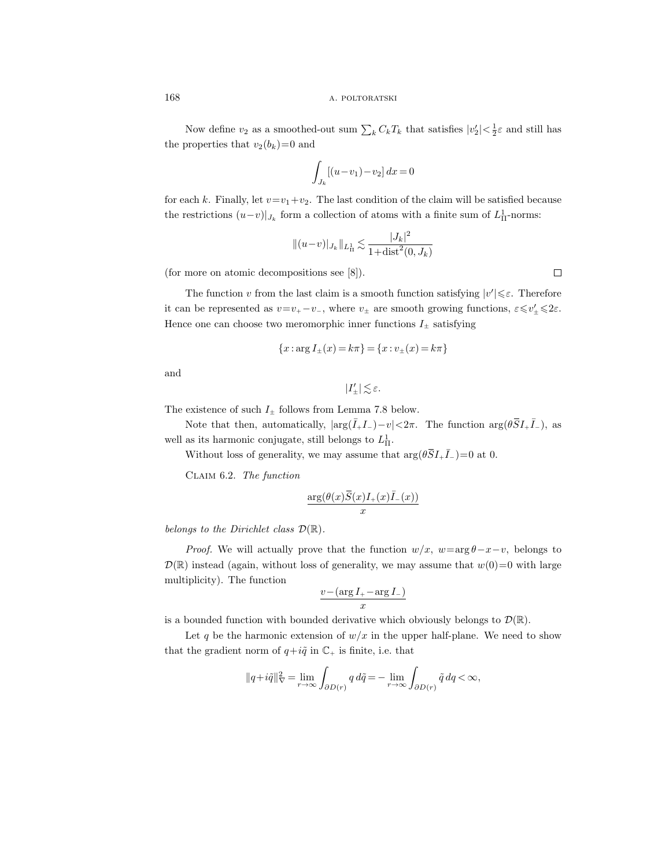Now define  $v_2$  as a smoothed-out sum  $\sum_k C_k T_k$  that satisfies  $|v_2'| < \frac{1}{2}\varepsilon$  and still has the properties that  $v_2(b_k)=0$  and

$$
\int_{J_k} [(u - v_1) - v_2] dx = 0
$$

for each k. Finally, let  $v=v_1+v_2$ . The last condition of the claim will be satisfied because the restrictions  $(u-v)|_{J_k}$  form a collection of atoms with a finite sum of  $L<sup>1</sup><sub>\Pi</sub>$ -norms:

$$
||(u-v)|_{J_k}||_{L_{\Pi}^1} \lesssim \frac{|J_k|^2}{1+\text{dist}^2(0,J_k)}
$$

(for more on atomic decompositions see [8]).

The function v from the last claim is a smooth function satisfying  $|v'| \leq \varepsilon$ . Therefore it can be represented as  $v=v_+-v_-\$ , where  $v_{\pm}$  are smooth growing functions,  $\varepsilon \leq v'_{\pm} \leq 2\varepsilon$ . Hence one can choose two meromorphic inner functions  $I_{\pm}$  satisfying

$$
\{x: \arg I_{\pm}(x) = k\pi\} = \{x: v_{\pm}(x) = k\pi\}
$$

and

$$
|I'_{\pm}| \lesssim \varepsilon.
$$

The existence of such  $I_{\pm}$  follows from Lemma 7.8 below.

Note that then, automatically,  $|\arg(\bar{I}_{+}I_{-})-v|<2\pi$ . The function  $\arg(\theta \bar{S}I_{+}\bar{I}_{-})$ , as well as its harmonic conjugate, still belongs to  $L<sup>1</sup><sub>\Pi</sub>$ .

Without loss of generality, we may assume that  $\arg(\theta \vec{S} I_+ \vec{I}_-) = 0$  at 0.

Claim 6.2. The function

$$
\frac{\arg(\theta(x)\bar{S}(x)I_{+}(x)\bar{I}_{-}(x))}{x}
$$

belongs to the Dirichlet class  $\mathcal{D}(\mathbb{R})$ .

*Proof.* We will actually prove that the function  $w/x$ ,  $w=\arg \theta-x-v$ , belongs to  $\mathcal{D}(\mathbb{R})$  instead (again, without loss of generality, we may assume that  $w(0)=0$  with large multiplicity). The function

$$
\frac{v - (\arg I_{+} - \arg I_{-})}{x}
$$

is a bounded function with bounded derivative which obviously belongs to  $\mathcal{D}(\mathbb{R})$ .

Let q be the harmonic extension of  $w/x$  in the upper half-plane. We need to show that the gradient norm of  $q+i\tilde{q}$  in  $\mathbb{C}_+$  is finite, i.e. that

$$
||q+i\tilde{q}||_{\nabla}^2 = \lim_{r \to \infty} \int_{\partial D(r)} q \, d\tilde{q} = -\lim_{r \to \infty} \int_{\partial D(r)} \tilde{q} \, dq < \infty,
$$

 $\Box$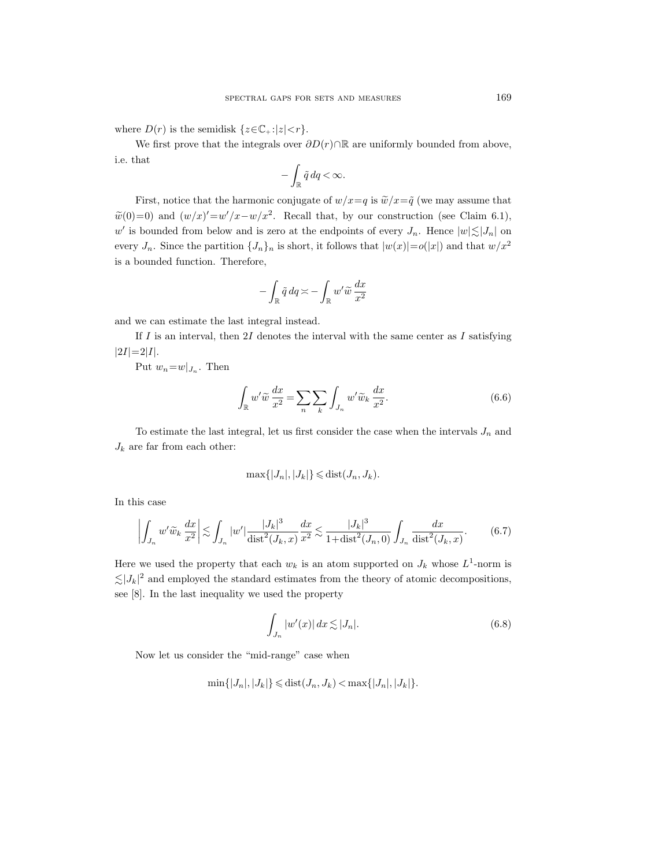where  $D(r)$  is the semidisk  $\{z \in \mathbb{C}_+ : |z| < r\}.$ 

We first prove that the integrals over  $\partial D(r) \cap \mathbb{R}$  are uniformly bounded from above, i.e. that

$$
-\int_{\mathbb{R}} \tilde{q}\,dq < \infty.
$$

First, notice that the harmonic conjugate of  $w/x = q$  is  $\tilde{w}/x = \tilde{q}$  (we may assume that  $\widetilde{w}(0)=0$  and  $(w/x)'=w'/x-w/x^2$ . Recall that, by our construction (see Claim 6.1), w' is bounded from below and is zero at the endpoints of every  $J_n$ . Hence  $|w| \lesssim |J_n|$  on every  $J_n$ . Since the partition  $\{J_n\}_n$  is short, it follows that  $|w(x)| = o(|x|)$  and that  $w/x^2$ is a bounded function. Therefore,

$$
-\int_{\mathbb{R}} \tilde{q} \, dq \asymp -\int_{\mathbb{R}} w' \tilde{w} \, \frac{dx}{x^2}
$$

and we can estimate the last integral instead.

If  $I$  is an interval, then  $2I$  denotes the interval with the same center as  $I$  satisfying  $|2I|=2|I|.$ 

Put  $w_n = w|_{J_n}$ . Then

$$
\int_{\mathbb{R}} w' \widetilde{w} \frac{dx}{x^2} = \sum_{n} \sum_{k} \int_{J_n} w' \widetilde{w}_k \frac{dx}{x^2}.
$$
\n(6.6)

To estimate the last integral, let us first consider the case when the intervals  $J_n$  and  $J_k$  are far from each other:

$$
\max\{|J_n|, |J_k|\} \leq \text{dist}(J_n, J_k).
$$

In this case

$$
\left| \int_{J_n} w' \widetilde{w}_k \, \frac{dx}{x^2} \right| \lesssim \int_{J_n} |w'| \frac{|J_k|^3}{\text{dist}^2(J_k, x)} \frac{dx}{x^2} \lesssim \frac{|J_k|^3}{1 + \text{dist}^2(J_n, 0)} \int_{J_n} \frac{dx}{\text{dist}^2(J_k, x)}.
$$
 (6.7)

Here we used the property that each  $w_k$  is an atom supported on  $J_k$  whose  $L^1$ -norm is  $\lesssim |J_k|^2$  and employed the standard estimates from the theory of atomic decompositions, see [8]. In the last inequality we used the property

$$
\int_{J_n} |w'(x)| dx \lesssim |J_n|.\tag{6.8}
$$

Now let us consider the "mid-range" case when

$$
\min\{|J_n|, |J_k|\} \leq \text{dist}(J_n, J_k) < \max\{|J_n|, |J_k|\}.
$$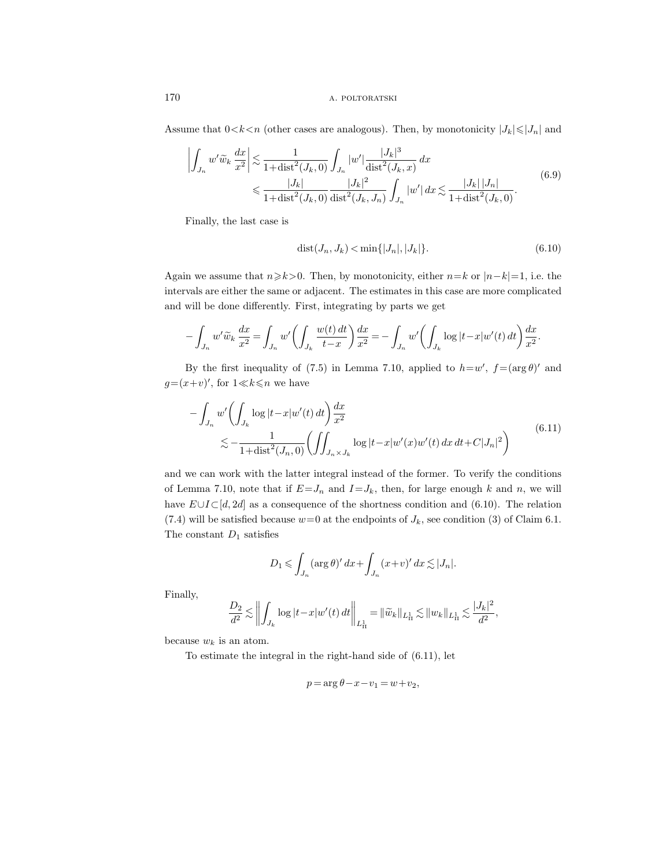Assume that  $0 < k < n$  (other cases are analogous). Then, by monotonicity  $|J_k| \leq |J_n|$  and

$$
\left| \int_{J_n} w' \widetilde{w}_k \frac{dx}{x^2} \right| \lesssim \frac{1}{1 + \text{dist}^2(J_k, 0)} \int_{J_n} |w'| \frac{|J_k|^3}{\text{dist}^2(J_k, x)} dx
$$
\n
$$
\leqslant \frac{|J_k|}{1 + \text{dist}^2(J_k, 0)} \frac{|J_k|^2}{\text{dist}^2(J_k, J_n)} \int_{J_n} |w'| dx \lesssim \frac{|J_k| |J_n|}{1 + \text{dist}^2(J_k, 0)}.
$$
\n(6.9)

Finally, the last case is

$$
dist(J_n, J_k) < \min\{|J_n|, |J_k|\}.
$$
\n(6.10)

Again we assume that  $n\geq k>0$ . Then, by monotonicity, either  $n=k$  or  $|n-k|=1$ , i.e. the intervals are either the same or adjacent. The estimates in this case are more complicated and will be done differently. First, integrating by parts we get

$$
- \int_{J_n} w' \widetilde{w}_k \, \frac{dx}{x^2} = \int_{J_n} w' \bigg( \int_{J_k} \frac{w(t) \, dt}{t - x} \bigg) \frac{dx}{x^2} = - \int_{J_n} w' \bigg( \int_{J_k} \log |t - x| w'(t) \, dt \bigg) \frac{dx}{x^2}.
$$

By the first inequality of (7.5) in Lemma 7.10, applied to  $h=w'$ ,  $f=(\arg \theta)'$  and  $g=(x+v)$ , for  $1 \ll k \leq n$  we have

$$
-\int_{J_n} w' \left( \int_{J_k} \log |t - x| w'(t) dt \right) \frac{dx}{x^2}
$$
  

$$
\lesssim -\frac{1}{1 + \text{dist}^2(J_n, 0)} \left( \iint_{J_n \times J_k} \log |t - x| w'(x) w'(t) dx dt + C |J_n|^2 \right)
$$
(6.11)

and we can work with the latter integral instead of the former. To verify the conditions of Lemma 7.10, note that if  $E=J_n$  and  $I=J_k$ , then, for large enough k and n, we will have  $E \cup I \subset [d, 2d]$  as a consequence of the shortness condition and (6.10). The relation (7.4) will be satisfied because  $w=0$  at the endpoints of  $J_k$ , see condition (3) of Claim 6.1. The constant  $D_1$  satisfies

$$
D_1 \leqslant \int_{J_n} (\arg \theta)' \, dx + \int_{J_n} (x+v)' \, dx \lesssim |J_n|.
$$

Finally,

$$
\frac{D_2}{d^2} \lesssim \left\| \int_{J_k} \log |t-x| w'(t) \, dt \right\|_{L^1_\Pi} = \| \widetilde{w}_k \|_{L^1_\Pi} \lesssim \| w_k \|_{L^1_\Pi} \lesssim \frac{|J_k|^2}{d^2},
$$

because  $w_k$  is an atom.

To estimate the integral in the right-hand side of (6.11), let

$$
p = \arg \theta - x - v_1 = w + v_2,
$$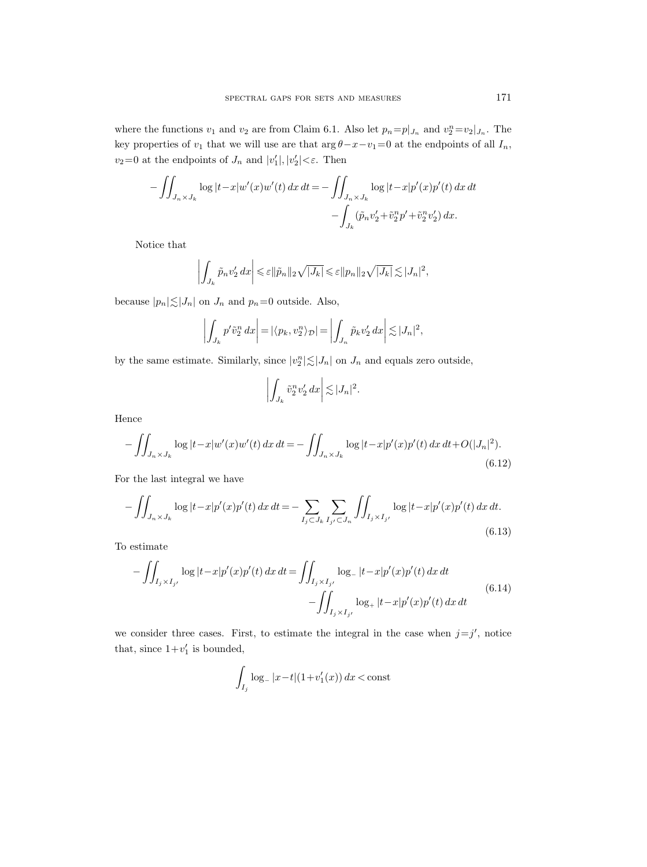where the functions  $v_1$  and  $v_2$  are from Claim 6.1. Also let  $p_n = p|_{J_n}$  and  $v_2^n = v_2|_{J_n}$ . The key properties of  $v_1$  that we will use are that  $\arg \theta - x - v_1 = 0$  at the endpoints of all  $I_n$ ,  $v_2=0$  at the endpoints of  $J_n$  and  $|v'_1|, |v'_2| < \varepsilon$ . Then

$$
-\iint_{J_n \times J_k} \log |t - x| w'(x) w'(t) \, dx \, dt = -\iint_{J_n \times J_k} \log |t - x| p'(x) p'(t) \, dx \, dt - \int_{J_k} (\tilde{p}_n v'_2 + \tilde{v}_2^n p' + \tilde{v}_2^n v'_2) \, dx.
$$

Notice that

$$
\left| \int_{J_k} \tilde{p}_n v_2' \, dx \right| \leqslant \varepsilon ||\tilde{p}_n||_2 \sqrt{|J_k|} \leqslant \varepsilon ||p_n||_2 \sqrt{|J_k|} \lesssim |J_n|^2,
$$

because  $|p_n| \lesssim |J_n|$  on  $J_n$  and  $p_n=0$  outside. Also,

$$
\left| \int_{J_k} p' \tilde{v}_2^n dx \right| = \left| \langle p_k, v_2^n \rangle_{\mathcal{D}} \right| = \left| \int_{J_n} \tilde{p}_k v_2' dx \right| \lesssim |J_n|^2,
$$

by the same estimate. Similarly, since  $|v_2^n| \lesssim |J_n|$  on  $J_n$  and equals zero outside,

$$
\left| \int_{J_k} \tilde{v}_2^n v_2' \, dx \right| \lesssim |J_n|^2.
$$

Hence

$$
-\iint_{J_n \times J_k} \log |t - x| w'(x) w'(t) \, dx \, dt = -\iint_{J_n \times J_k} \log |t - x| p'(x) p'(t) \, dx \, dt + O(|J_n|^2). \tag{6.12}
$$

For the last integral we have

$$
-\iint_{J_n \times J_k} \log|t - x| p'(x) p'(t) \, dx \, dt = -\sum_{I_j \subset J_k} \sum_{I_{j'} \subset J_n} \iint_{I_j \times I_{j'}} \log|t - x| p'(x) p'(t) \, dx \, dt. \tag{6.13}
$$

To estimate

$$
-\iint_{I_j \times I_{j'}} \log |t - x| p'(x) p'(t) dx dt = \iint_{I_j \times I_{j'}} \log_- |t - x| p'(x) p'(t) dx dt -\iint_{I_j \times I_{j'}} \log_+ |t - x| p'(x) p'(t) dx dt
$$
\n(6.14)

we consider three cases. First, to estimate the integral in the case when  $j=j'$ , notice that, since  $1+v'_1$  is bounded,

$$
\int_{I_j} \log_{-} |x - t| (1 + v_1'(x)) dx < \text{const}
$$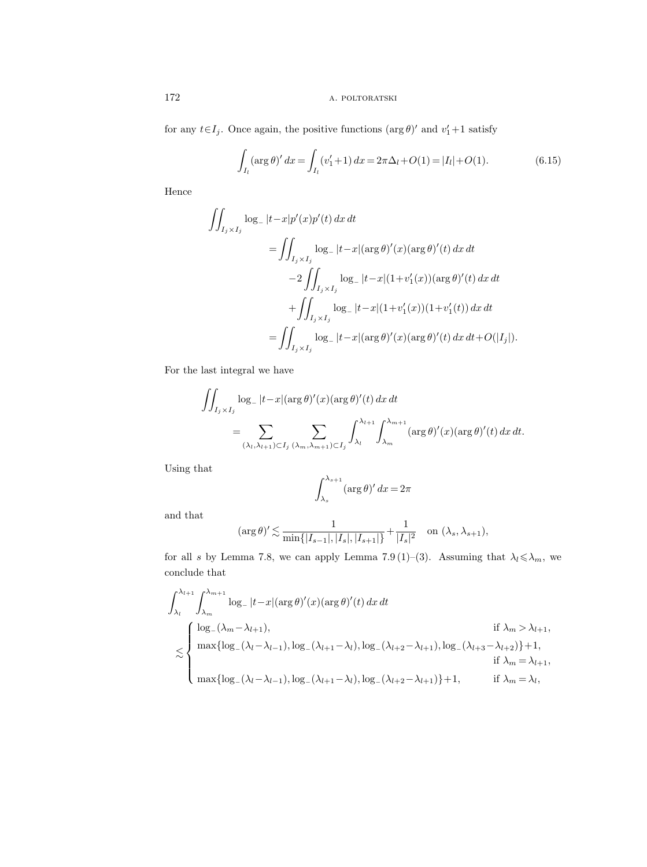for any  $t \in I_j$ . Once again, the positive functions  $(\arg \theta)'$  and  $v'_1 + 1$  satisfy

$$
\int_{I_l} (\arg \theta)' dx = \int_{I_l} (v_1' + 1) dx = 2\pi \Delta_l + O(1) = |I_l| + O(1).
$$
 (6.15)

Hence

$$
\iint_{I_j \times I_j} \log_- |t - x| p'(x) p'(t) \, dx \, dt
$$
\n
$$
= \iint_{I_j \times I_j} \log_- |t - x| (\arg \theta)'(x) (\arg \theta)'(t) \, dx \, dt
$$
\n
$$
- 2 \iint_{I_j \times I_j} \log_- |t - x| (1 + v'_1(x)) (\arg \theta)'(t) \, dx \, dt
$$
\n
$$
+ \iint_{I_j \times I_j} \log_- |t - x| (1 + v'_1(x)) (1 + v'_1(t)) \, dx \, dt
$$
\n
$$
= \iint_{I_j \times I_j} \log_- |t - x| (\arg \theta)'(x) (\arg \theta)'(t) \, dx \, dt + O(|I_j|).
$$

For the last integral we have

$$
\iint_{I_j \times I_j} \log_{-} |t - x| (\arg \theta)'(x) (\arg \theta)'(t) dx dt
$$
  
= 
$$
\sum_{(\lambda_l, \lambda_{l+1}) \subset I_j} \sum_{(\lambda_m, \lambda_{m+1}) \subset I_j} \int_{\lambda_l}^{\lambda_{l+1}} \int_{\lambda_m}^{\lambda_{m+1}} (\arg \theta)'(x) (\arg \theta)'(t) dx dt.
$$

Using that

$$
\int_{\lambda_s}^{\lambda_{s+1}} (\arg \theta)' \, dx = 2\pi
$$

and that

$$
(\arg \theta)' \lesssim \frac{1}{\min\{|I_{s-1}|, |I_s|, |I_{s+1}|\}} + \frac{1}{|I_s|^2} \quad \text{on } (\lambda_s, \lambda_{s+1}),
$$

for all s by Lemma 7.8, we can apply Lemma 7.9 (1)–(3). Assuming that  $\lambda_l \leq \lambda_m$ , we conclude that

$$
\int_{\lambda_l}^{\lambda_{l+1}} \int_{\lambda_m}^{\lambda_{m+1}} \log_- |t-x| (\arg \theta)'(x) (\arg \theta)'(t) dx dt
$$
  
\n
$$
\lesssim \begin{cases}\n\log_-(\lambda_m - \lambda_{l+1}), & \text{if } \lambda_m > \lambda_{l+1}, \\
\max \{ \log_-(\lambda_l - \lambda_{l-1}), \log_-(\lambda_{l+1} - \lambda_l), \log_-(\lambda_{l+2} - \lambda_{l+1}), \log_-(\lambda_{l+3} - \lambda_{l+2}) \} + 1, \\
\max \{ \log_-(\lambda_l - \lambda_{l-1}), \log_-(\lambda_{l+1} - \lambda_l), \log_-(\lambda_{l+2} - \lambda_{l+1}) \} + 1, & \text{if } \lambda_m = \lambda_l,\n\end{cases}
$$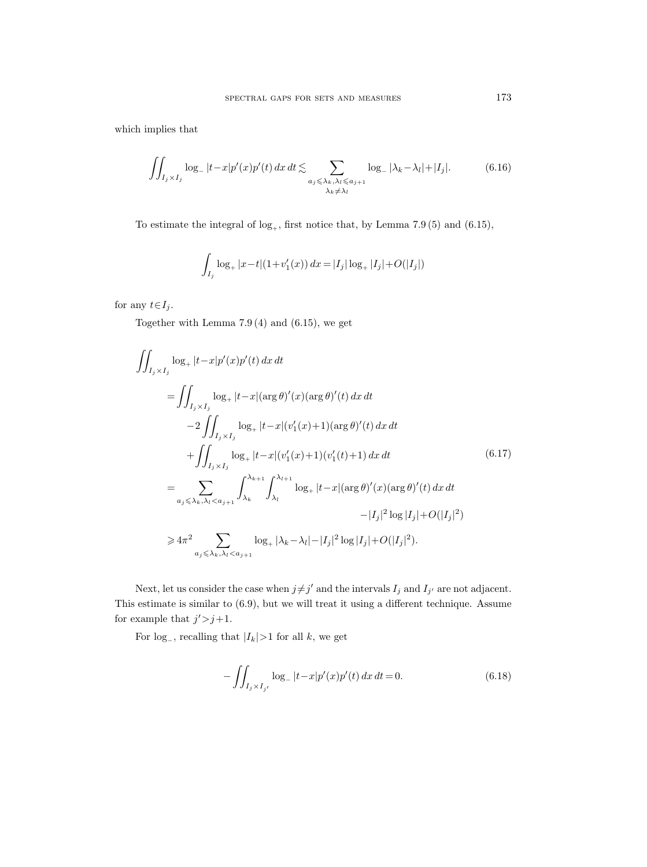which implies that

$$
\iint_{I_j \times I_j} \log_- |t - x| p'(x) p'(t) \, dx \, dt \lesssim \sum_{\substack{a_j \le \lambda_k, \lambda_l \le a_{j+1} \\ \lambda_k \ne \lambda_l}} \log_- |\lambda_k - \lambda_l| + |I_j|. \tag{6.16}
$$

To estimate the integral of  $log_+$ , first notice that, by Lemma 7.9 (5) and (6.15),

$$
\int_{I_j} \log_+ |x - t| (1 + v_1'(x)) dx = |I_j| \log_+ |I_j| + O(|I_j|)
$$

for any  $t \in I_j$ .

Together with Lemma 7.9 (4) and (6.15), we get

$$
\iint_{I_j \times I_j} \log_+ |t - x| p'(x) p'(t) \, dx \, dt
$$
\n
$$
= \iint_{I_j \times I_j} \log_+ |t - x| (\arg \theta)'(x) (\arg \theta)'(t) \, dx \, dt
$$
\n
$$
- 2 \iint_{I_j \times I_j} \log_+ |t - x| (v_1'(x) + 1) (\arg \theta)'(t) \, dx \, dt
$$
\n
$$
+ \iint_{I_j \times I_j} \log_+ |t - x| (v_1'(x) + 1) (v_1'(t) + 1) \, dx \, dt
$$
\n
$$
= \sum_{a_j \leq \lambda_k, \lambda_l < a_{j+1}} \int_{\lambda_k}^{\lambda_{k+1}} \int_{\lambda_l}^{\lambda_{l+1}} \log_+ |t - x| (\arg \theta)'(x) (\arg \theta)'(t) \, dx \, dt
$$
\n
$$
- |I_j|^2 \log |I_j| + O(|I_j|^2)
$$
\n
$$
\geq 4\pi^2 \sum_{a_j \leq \lambda_k, \lambda_l < a_{j+1}} \log_+ |\lambda_k - \lambda_l| - |I_j|^2 \log |I_j| + O(|I_j|^2).
$$
\n(11)

Next, let us consider the case when  $j \neq j'$  and the intervals  $I_j$  and  $I_{j'}$  are not adjacent. This estimate is similar to (6.9), but we will treat it using a different technique. Assume for example that  $j' \geq j+1$ .

For log<sub>-</sub>, recalling that  $|I_k|>1$  for all k, we get

$$
-\int\!\!\int_{I_j \times I_{j'}} \log_- |t - x| p'(x) p'(t) \, dx \, dt = 0. \tag{6.18}
$$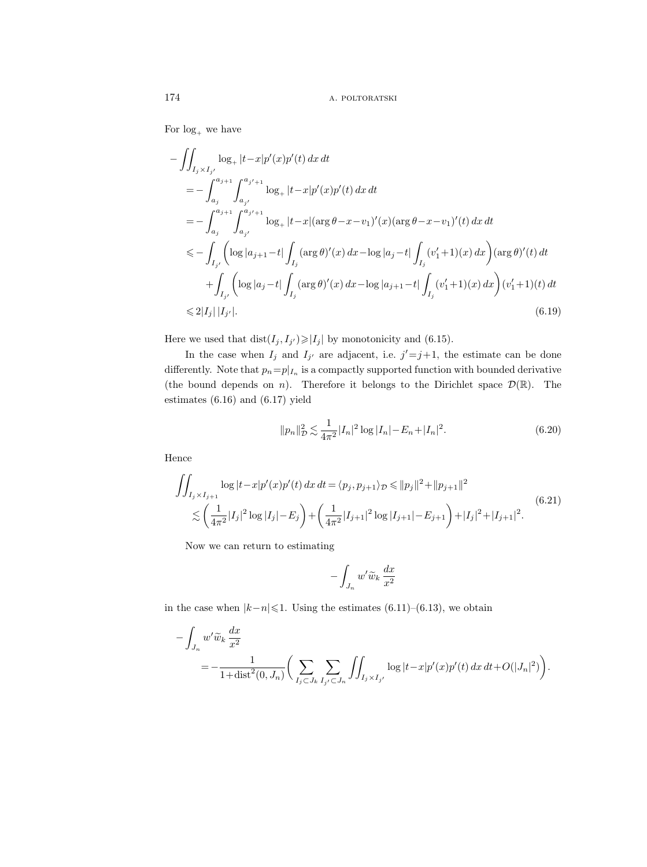For  $log_+$  we have

$$
-\iint_{I_j \times I_{j'}} \log_+ |t-x| p'(x) p'(t) dx dt
$$
  
\n
$$
= -\int_{a_j}^{a_{j+1}} \int_{a_{j'}}^{a_{j'+1}} \log_+ |t-x| p'(x) p'(t) dx dt
$$
  
\n
$$
= -\int_{a_j}^{a_{j+1}} \int_{a_{j'}}^{a_{j'+1}} \log_+ |t-x| (\arg \theta - x - v_1)'(x) (\arg \theta - x - v_1)'(t) dx dt
$$
  
\n
$$
\leq -\int_{I_{j'}} \left( \log |a_{j+1} - t| \int_{I_j} (\arg \theta)'(x) dx - \log |a_j - t| \int_{I_j} (v'_1 + 1)(x) dx \right) (\arg \theta)'(t) dt
$$
  
\n
$$
+ \int_{I_{j'}} \left( \log |a_j - t| \int_{I_j} (\arg \theta)'(x) dx - \log |a_{j+1} - t| \int_{I_j} (v'_1 + 1)(x) dx \right) (v'_1 + 1)(t) dt
$$
  
\n
$$
\leq 2|I_j| |I_{j'}|.
$$
\n(6.19)

Here we used that  $dist(I_j, I_{j'}) \geqslant |I_j|$  by monotonicity and (6.15).

In the case when  $I_j$  and  $I_{j'}$  are adjacent, i.e.  $j' = j+1$ , the estimate can be done differently. Note that  $p_n = p|_{I_n}$  is a compactly supported function with bounded derivative (the bound depends on *n*). Therefore it belongs to the Dirichlet space  $\mathcal{D}(\mathbb{R})$ . The estimates (6.16) and (6.17) yield

$$
||p_n||_D^2 \lesssim \frac{1}{4\pi^2} |I_n|^2 \log |I_n| - E_n + |I_n|^2. \tag{6.20}
$$

Hence

$$
\iint_{I_j \times I_{j+1}} \log |t - x| p'(x) p'(t) \, dx \, dt = \langle p_j, p_{j+1} \rangle_{\mathcal{D}} \le ||p_j||^2 + ||p_{j+1}||^2
$$
\n
$$
\lesssim \left( \frac{1}{4\pi^2} |I_j|^2 \log |I_j| - E_j \right) + \left( \frac{1}{4\pi^2} |I_{j+1}|^2 \log |I_{j+1}| - E_{j+1} \right) + |I_j|^2 + |I_{j+1}|^2. \tag{6.21}
$$

Now we can return to estimating

$$
-\int_{J_n}w'\widetilde{w}_k\,\frac{dx}{x^2}
$$

in the case when  $|k-n| \leq 1$ . Using the estimates (6.11)–(6.13), we obtain

$$
-\int_{J_n} w' \widetilde{w}_k \frac{dx}{x^2}
$$
  
= 
$$
-\frac{1}{1 + \text{dist}^2(0, J_n)} \bigg( \sum_{I_j \subset J_k} \sum_{I_{j'} \subset J_n} \iint_{I_j \times I_{j'}} \log |t - x| p'(x) p'(t) dx dt + O(|J_n|^2) \bigg).
$$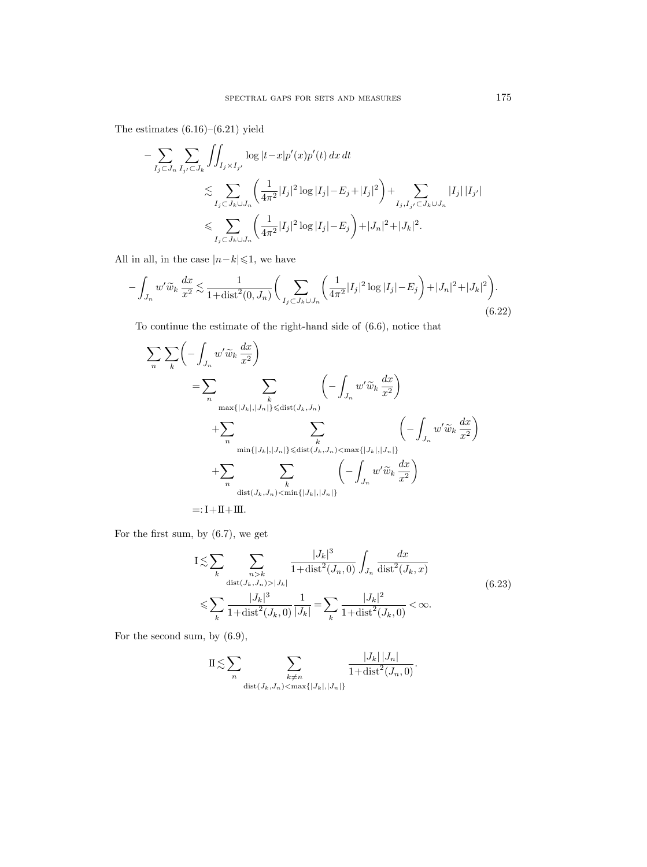The estimates (6.16)–(6.21) yield

$$
- \sum_{I_j \subset J_n} \sum_{I_{j'} \subset J_k} \iint_{I_j \times I_{j'}} \log |t - x| p'(x) p'(t) \, dx \, dt
$$
  
\$\lesssim \sum\_{I\_j \subset J\_k \cup J\_n} \left( \frac{1}{4\pi^2} |I\_j|^2 \log |I\_j| - E\_j + |I\_j|^2 \right) + \sum\_{I\_j, I\_{j'} \subset J\_k \cup J\_n} |I\_j| |I\_{j'}|\$  
\$\lesssim \sum\_{I\_j \subset J\_k \cup J\_n} \left( \frac{1}{4\pi^2} |I\_j|^2 \log |I\_j| - E\_j \right) + |J\_n|^2 + |J\_k|^2\$.

All in all, in the case  $|n\!-\!k|\!\leqslant\!1,$  we have

$$
-\int_{J_n} w' \widetilde{w}_k \frac{dx}{x^2} \lesssim \frac{1}{1 + \text{dist}^2(0, J_n)} \bigg( \sum_{I_j \subset J_k \cup J_n} \bigg( \frac{1}{4\pi^2} |I_j|^2 \log |I_j| - E_j \bigg) + |J_n|^2 + |J_k|^2 \bigg). \tag{6.22}
$$

To continue the estimate of the right-hand side of (6.6), notice that

$$
\sum_{n} \sum_{k} \left( - \int_{J_n} w' \widetilde{w}_k \frac{dx}{x^2} \right)
$$
\n
$$
= \sum_{n} \sum_{\substack{\max\{|J_k|, |J_n|\} \leq \text{dist}(J_k, J_n) \\ \min\{|J_k|, |J_n|\} \leq \text{dist}(J_k, J_n)}} \left( - \int_{J_n} w' \widetilde{w}_k \frac{dx}{x^2} \right)
$$
\n
$$
+ \sum_{n} \sum_{\substack{\min\{|J_k|, |J_n|\} \leq \text{dist}(J_k, J_n) < \max\{|J_k|, |J_n|\} \\ \text{dist}(J_k, J_n) < \min\{|J_k|, |J_n|\}}}} \left( - \int_{J_n} w' \widetilde{w}_k \frac{dx}{x^2} \right)
$$
\n
$$
=: \mathbf{I} + \mathbf{II} + \mathbf{III}.
$$

For the first sum, by (6.7), we get

$$
I \lesssim \sum_{k} \sum_{\substack{n > k \\ \text{dist}(J_k, J_n) > |J_k|}} \frac{|J_k|^3}{1 + \text{dist}^2(J_n, 0)} \int_{J_n} \frac{dx}{\text{dist}^2(J_k, x)}
$$
  

$$
\le \sum_{k} \frac{|J_k|^3}{1 + \text{dist}^2(J_k, 0)} \frac{1}{|J_k|} = \sum_{k} \frac{|J_k|^2}{1 + \text{dist}^2(J_k, 0)} < \infty.
$$
 (6.23)

For the second sum, by (6.9),

$$
\mathcal{I} \lesssim \sum_{n} \sum_{\substack{k \neq n \\ \text{dist}(J_k, J_n) < \max\{|J_k|, |J_n|\}}} \frac{|J_k| |J_n|}{1 + \text{dist}^2(J_n, 0)}.
$$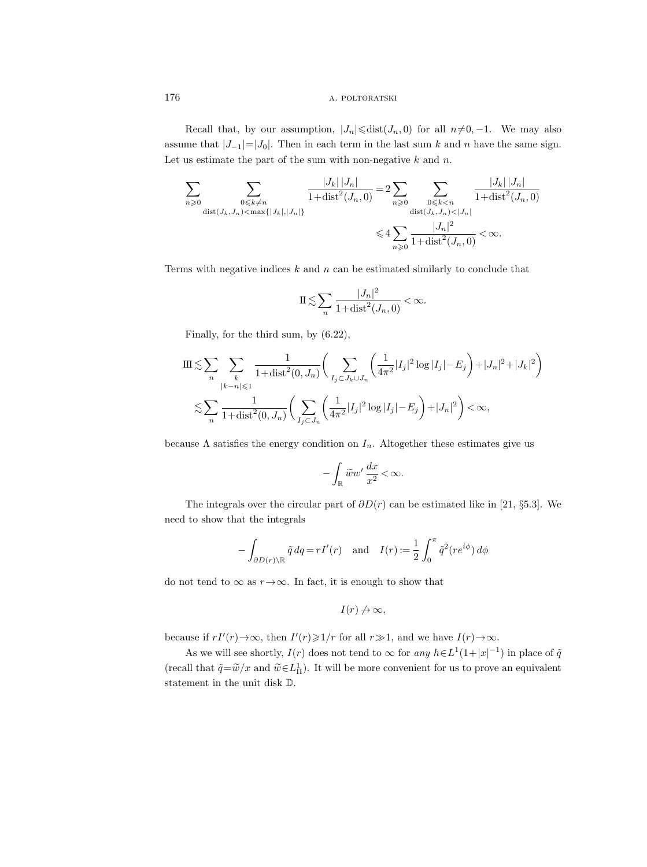Recall that, by our assumption,  $|J_n| \leq d$ ist $(J_n, 0)$  for all  $n \neq 0, -1$ . We may also assume that  $|J_{-1}|=|J_0|$ . Then in each term in the last sum k and n have the same sign. Let us estimate the part of the sum with non-negative  $k$  and  $n$ .

$$
\sum_{n\geqslant 0}\sum_{\substack{0\leqslant k\neq n\\ \text{dist}(J_k,J_n)<\max\{|J_k|,|J_n|\}}}\frac{|J_k|\,|J_n|}{1+\text{dist}^2(J_n,0)}=2\sum_{n\geqslant 0}\sum_{\substack{0\leqslant k< n\\ \text{dist}(J_k,J_n)<|J_n|\\1+\text{dist}^2(J_n,0)}}\frac{|J_k|\,|J_n|}{1+\text{dist}^2(J_n,0)}
$$
  

$$
\leqslant 4\sum_{n\geqslant 0}\frac{|J_n|^2}{1+\text{dist}^2(J_n,0)}<\infty.
$$

Terms with negative indices  $k$  and  $n$  can be estimated similarly to conclude that

$$
\mathbb{I} \lesssim \sum_{n} \frac{|J_n|^2}{1 + \text{dist}^2(J_n, 0)} < \infty.
$$

Finally, for the third sum, by (6.22),

$$
\begin{split} & \mathrm{III} \lesssim \sum_{n} \sum_{\substack{k \\ |k-n| \leqslant 1}} \frac{1}{1 + \mathrm{dist}^2(0, J_n)} \bigg( \sum_{I_j \subset J_k \cup J_n} \bigg( \frac{1}{4\pi^2} |I_j|^2 \log |I_j| - E_j \bigg) + |J_n|^2 + |J_k|^2 \bigg) \\ & \lesssim \sum_{n} \frac{1}{1 + \mathrm{dist}^2(0, J_n)} \bigg( \sum_{I_j \subset J_n} \bigg( \frac{1}{4\pi^2} |I_j|^2 \log |I_j| - E_j \bigg) + |J_n|^2 \bigg) < \infty, \end{split}
$$

because  $\Lambda$  satisfies the energy condition on  $I_n$ . Altogether these estimates give us

$$
-\int_{\mathbb{R}}\widetilde{w}w'\,\frac{dx}{x^2}<\infty.
$$

The integrals over the circular part of  $\partial D(r)$  can be estimated like in [21, §5.3]. We need to show that the integrals

$$
-\int_{\partial D(r)\setminus\mathbb{R}} \tilde{q} \, dq = rI'(r) \quad \text{and} \quad I(r) := \frac{1}{2} \int_0^{\pi} \tilde{q}^2(re^{i\phi}) \, d\phi
$$

do not tend to  $\infty$  as  $r \rightarrow \infty$ . In fact, it is enough to show that

$$
I(r)\not\to\infty,
$$

because if  $rI'(r) \to \infty$ , then  $I'(r) \geq 1/r$  for all  $r \gg 1$ , and we have  $I(r) \to \infty$ .

As we will see shortly,  $I(r)$  does not tend to  $\infty$  for any  $h \in L^1(1+|x|^{-1})$  in place of  $\tilde{q}$ (recall that  $\tilde{q} = \tilde{w}/x$  and  $\tilde{w} \in L^1_{\Pi}$ ). It will be more convenient for us to prove an equivalent statement in the unit disk D.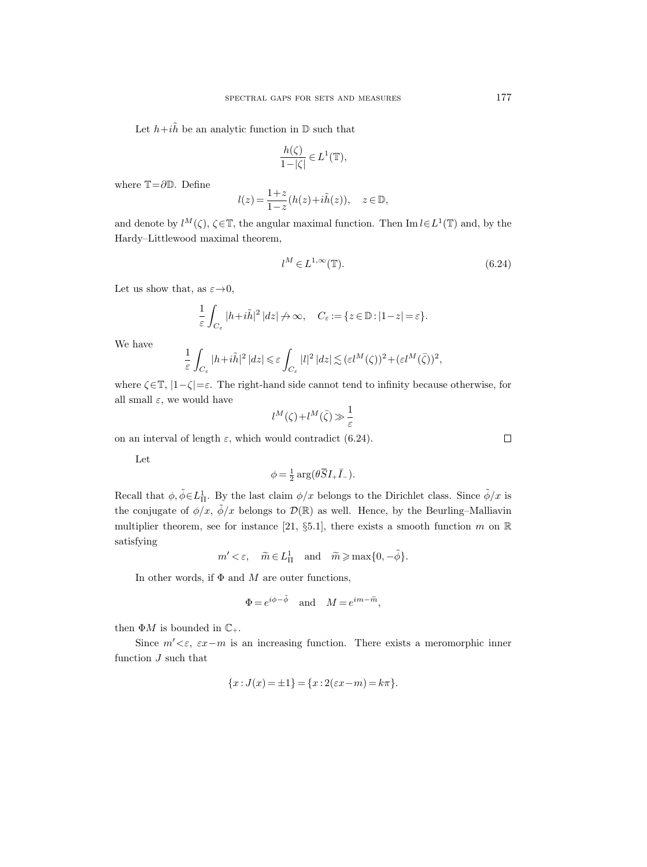Let  $h+i\tilde{h}$  be an analytic function in  $\mathbb D$  such that

$$
\frac{h(\zeta)}{1-|\zeta|}\in L^1({\mathbb T}),
$$

where  $\mathbb{T}=\partial \mathbb{D}$ . Define

$$
l(z) = \frac{1+z}{1-z}(h(z)+i\tilde{h}(z)), \quad z \in \mathbb{D},
$$

and denote by  $l^M(\zeta)$ ,  $\zeta \in \mathbb{T}$ , the angular maximal function. Then Im  $l \in L^1(\mathbb{T})$  and, by the Hardy–Littlewood maximal theorem,

$$
l^M \in L^{1,\infty}(\mathbb{T}).\tag{6.24}
$$

Let us show that, as  $\varepsilon \rightarrow 0$ ,

$$
\frac{1}{\varepsilon} \int_{C_{\varepsilon}} |h + i\tilde{h}|^2 |dz| \nrightarrow \infty, \quad C_{\varepsilon} := \{ z \in \mathbb{D} : |1 - z| = \varepsilon \}.
$$

We have

$$
\frac{1}{\varepsilon} \int_{C_{\varepsilon}} |h + i\tilde{h}|^2 |dz| \leq \varepsilon \int_{C_{\varepsilon}} |l|^2 |dz| \lesssim (\varepsilon l^M(\zeta))^2 + (\varepsilon l^M(\bar{\zeta}))^2,
$$

where  $\zeta \in \mathbb{T}$ ,  $|1-\zeta| = \varepsilon$ . The right-hand side cannot tend to infinity because otherwise, for all small  $\varepsilon$ , we would have

$$
l^M(\zeta) + l^M(\bar{\zeta}) \gg \frac{1}{\varepsilon}
$$

on an interval of length  $\varepsilon$ , which would contradict (6.24).

Let

$$
\phi = \frac{1}{2} \arg \left( \theta \overline{S} I_+ \overline{I}_- \right).
$$

Recall that  $\phi, \tilde{\phi} \in L^1_{\Pi}$ . By the last claim  $\phi/x$  belongs to the Dirichlet class. Since  $\tilde{\phi}/x$  is the conjugate of  $\phi/x$ ,  $\tilde{\phi}/x$  belongs to  $\mathcal{D}(\mathbb{R})$  as well. Hence, by the Beurling–Malliavin multiplier theorem, see for instance [21, §5.1], there exists a smooth function m on  $\mathbb R$ satisfying

 $m' < \varepsilon$ ,  $\widetilde{m} \in L^1_{\Pi}$  and  $\widetilde{m} \ge \max\{0, -\widetilde{\phi}\}.$ 

In other words, if  $\Phi$  and M are outer functions,

$$
\Phi = e^{i\phi - \tilde{\phi}} \quad \text{and} \quad M = e^{im - \tilde{m}},
$$

then  $\Phi M$  is bounded in  $\mathbb{C}_+$ .

Since  $m' < \varepsilon$ ,  $\varepsilon x - m$  is an increasing function. There exists a meromorphic inner function  $J$  such that

$$
\{x: J(x) = \pm 1\} = \{x: 2(\varepsilon x - m) = k\pi\}.
$$

 $\Box$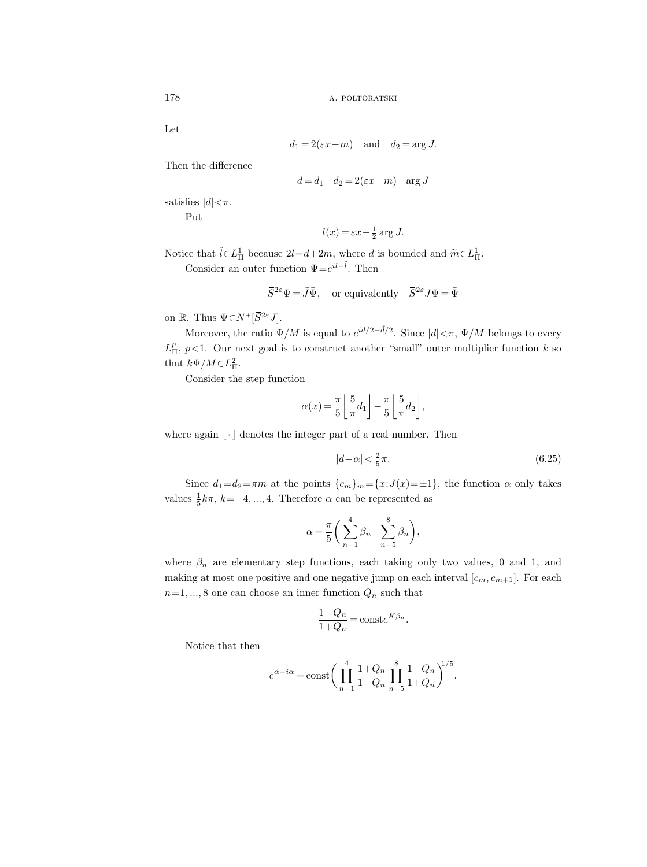Let

$$
d_1 = 2(\varepsilon x - m)
$$
 and  $d_2 = \arg J$ .

Then the difference

$$
d = d_1 - d_2 = 2(\varepsilon x - m) - \arg J
$$

satisfies  $|d| < \pi$ .

Put

$$
l(x) = \varepsilon x - \frac{1}{2} \arg J.
$$

Notice that  $\tilde{l} \in L^1_{\Pi}$  because  $2l = d + 2m$ , where d is bounded and  $\tilde{m} \in L^1_{\Pi}$ . Consider an outer function  $\Psi = e^{il - \tilde{l}}$ . Then

$$
\bar{S}^{2\varepsilon}\Psi=\bar{J}\bar{\Psi},\quad\text{or equivalently}\quad \bar{S}^{2\varepsilon}J\Psi=\bar{\Psi}
$$

on R. Thus  $\Psi \in N^+[\overline{S}^{2\varepsilon} J]$ .

Moreover, the ratio  $\Psi/M$  is equal to  $e^{id/2-\tilde{d}/2}$ . Since  $|d|\leq \pi$ ,  $\Psi/M$  belongs to every  $L_{\Pi}^p$ ,  $p<1$ . Our next goal is to construct another "small" outer multiplier function k so that  $k\Psi/M \in L^2_{\Pi}$ .

Consider the step function

$$
\alpha(x) = \frac{\pi}{5} \left[ \frac{5}{\pi} d_1 \right] - \frac{\pi}{5} \left[ \frac{5}{\pi} d_2 \right],
$$

where again  $|\cdot|$  denotes the integer part of a real number. Then

$$
|d - \alpha| < \frac{2}{5}\pi. \tag{6.25}
$$

Since  $d_1=d_2=\pi m$  at the points  ${c_m}_m={x:J(x)=\pm 1}$ , the function  $\alpha$  only takes values  $\frac{1}{5}k\pi$ ,  $k=-4, ..., 4$ . Therefore  $\alpha$  can be represented as

$$
\alpha = \frac{\pi}{5} \bigg( \sum_{n=1}^{4} \beta_n - \sum_{n=5}^{8} \beta_n \bigg),
$$

where  $\beta_n$  are elementary step functions, each taking only two values, 0 and 1, and making at most one positive and one negative jump on each interval  $[c_m, c_{m+1}]$ . For each  $n=1, ..., 8$  one can choose an inner function  $Q_n$  such that

$$
\frac{1 - Q_n}{1 + Q_n} = \text{const} e^{K\beta_n}.
$$

Notice that then

$$
e^{\tilde{\alpha} - i\alpha} = \text{const} \bigg( \prod_{n=1}^{4} \frac{1 + Q_n}{1 - Q_n} \prod_{n=5}^{8} \frac{1 - Q_n}{1 + Q_n} \bigg)^{1/5}.
$$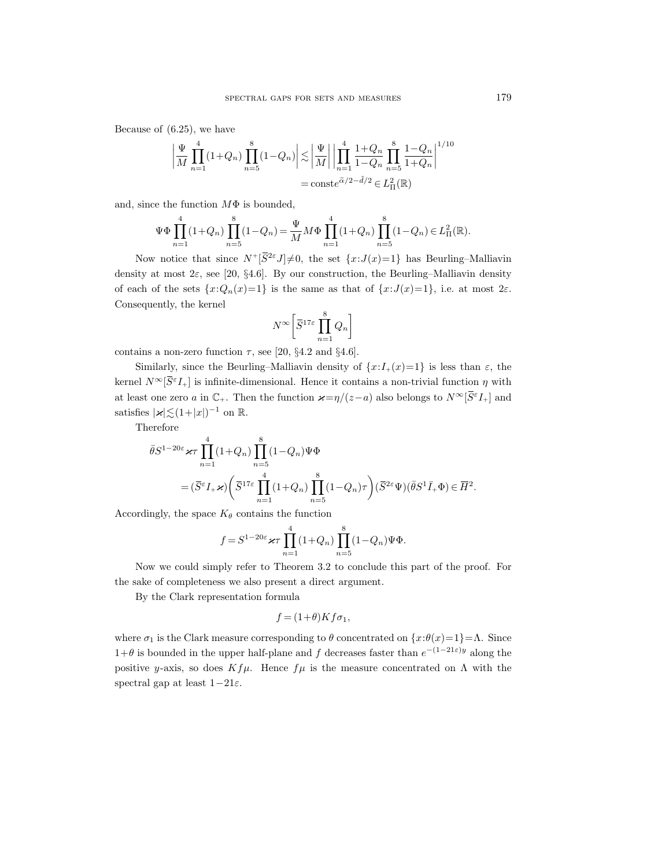Because of (6.25), we have

$$
\left| \frac{\Psi}{M} \prod_{n=1}^{4} (1+Q_n) \prod_{n=5}^{8} (1-Q_n) \right| \lesssim \left| \frac{\Psi}{M} \right| \left| \prod_{n=1}^{4} \frac{1+Q_n}{1-Q_n} \prod_{n=5}^{8} \frac{1-Q_n}{1+Q_n} \right|^{1/10}
$$

$$
= \text{const} e^{\tilde{\alpha}/2 - \tilde{d}/2} \in L^2_{\text{II}}(\mathbb{R})
$$

and, since the function  $M\Phi$  is bounded,

$$
\Psi \Phi \prod_{n=1}^{4} (1+Q_n) \prod_{n=5}^{8} (1-Q_n) = \frac{\Psi}{M} M \Phi \prod_{n=1}^{4} (1+Q_n) \prod_{n=5}^{8} (1-Q_n) \in L^2_{\Pi}(\mathbb{R}).
$$

Now notice that since  $N^+[\bar{S}^{2\varepsilon}J]\neq0$ , the set  $\{x:J(x)=1\}$  has Beurling–Malliavin density at most  $2\varepsilon$ , see [20, §4.6]. By our construction, the Beurling–Malliavin density of each of the sets  $\{x:Q_n(x)=1\}$  is the same as that of  $\{x:J(x)=1\}$ , i.e. at most  $2\varepsilon$ . Consequently, the kernel

$$
N^{\infty} \left[ \overline{S}^{17\varepsilon} \prod_{n=1}^{8} Q_n \right]
$$

contains a non-zero function  $\tau$ , see [20, §4.2 and §4.6].

Similarly, since the Beurling–Malliavin density of  $\{x:I_+(x)=1\}$  is less than  $\varepsilon$ , the kernel  $N^{\infty}[\bar{S}^{\varepsilon}I_{+}]$  is infinite-dimensional. Hence it contains a non-trivial function  $\eta$  with at least one zero a in  $\mathbb{C}_+$ . Then the function  $\varkappa = \eta/(z-a)$  also belongs to  $N^{\infty}[\overline{S}^{\varepsilon}I_+]$  and satisfies  $|x| \lesssim (1+|x|)^{-1}$  on R.

Therefore

$$
\begin{split} \bar{\theta} S^{1-20\varepsilon} &\varkappa\tau\prod_{n=1}^4(1+Q_n)\prod_{n=5}^8(1-Q_n)\Psi\Phi \\ &\qquad =(\bar{S}^\varepsilon I_+\varkappa)\bigg(\bar{S}^{17\varepsilon}\prod_{n=1}^4(1+Q_n)\prod_{n=5}^8(1-Q_n)\tau\bigg)(\bar{S}^{2\varepsilon}\Psi)(\bar{\theta} S^1\bar{I}_+\Phi)\in\overline{H}^2. \end{split}
$$

Accordingly, the space  $K_{\theta}$  contains the function

$$
f = S^{1-20\varepsilon} \varkappa \tau \prod_{n=1}^{4} (1+Q_n) \prod_{n=5}^{8} (1-Q_n) \Psi \Phi.
$$

Now we could simply refer to Theorem 3.2 to conclude this part of the proof. For the sake of completeness we also present a direct argument.

By the Clark representation formula

$$
f = (1+\theta)Kf\sigma_1,
$$

where  $\sigma_1$  is the Clark measure corresponding to  $\theta$  concentrated on  $\{x:\theta(x)=1\}=\Lambda$ . Since 1+θ is bounded in the upper half-plane and f decreases faster than  $e^{-(1-21\varepsilon)y}$  along the positive y-axis, so does  $Kf\mu$ . Hence  $f\mu$  is the measure concentrated on  $\Lambda$  with the spectral gap at least  $1-21\varepsilon$ .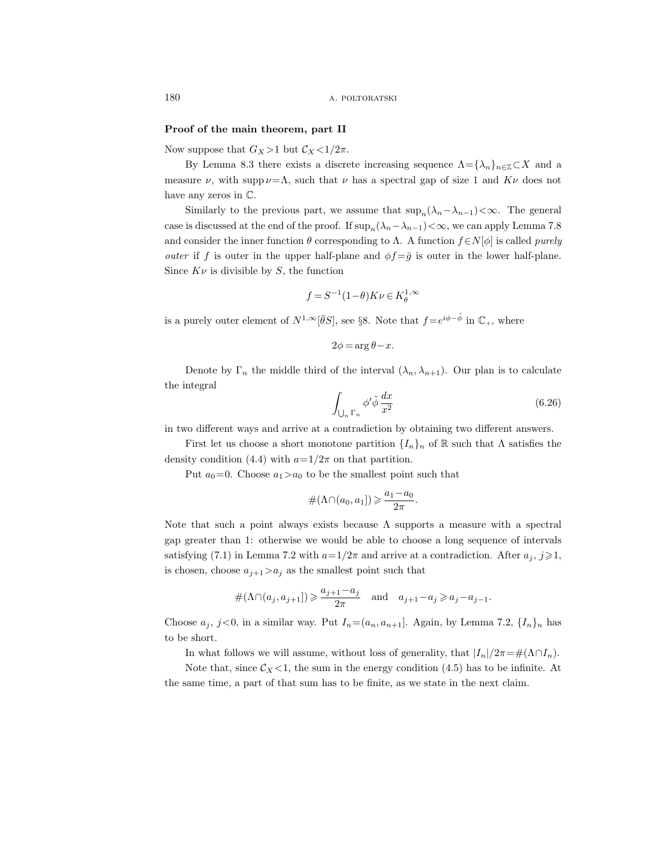#### Proof of the main theorem, part II

Now suppose that  $G_X > 1$  but  $C_X < 1/2\pi$ .

By Lemma 8.3 there exists a discrete increasing sequence  $\Lambda = {\lambda_n}_{n \in \mathbb{Z}} C X$  and a measure  $\nu$ , with supp  $\nu = \Lambda$ , such that  $\nu$  has a spectral gap of size 1 and  $K\nu$  does not have any zeros in C.

Similarly to the previous part, we assume that  $\sup_n(\lambda_n-\lambda_{n-1})<\infty$ . The general case is discussed at the end of the proof. If  $\sup_n(\lambda_n-\lambda_{n-1})<\infty$ , we can apply Lemma 7.8 and consider the inner function  $\theta$  corresponding to  $\Lambda$ . A function  $f \in N[\phi]$  is called *purely outer* if f is outer in the upper half-plane and  $\phi f = \bar{g}$  is outer in the lower half-plane. Since  $K\nu$  is divisible by S, the function

$$
f = S^{-1}(1-\theta)K\nu \in K^{1,\infty}_{\theta}
$$

is a purely outer element of  $N^{1,\infty}[\bar{\theta}S]$ , see §8. Note that  $f=e^{i\phi-\tilde{\phi}}$  in  $\mathbb{C}_+$ , where

$$
2\phi = \arg \theta - x.
$$

Denote by  $\Gamma_n$  the middle third of the interval  $(\lambda_n, \lambda_{n+1})$ . Our plan is to calculate the integral

$$
\int_{\bigcup_{n} \Gamma_n} \phi' \tilde{\phi} \frac{dx}{x^2} \tag{6.26}
$$

in two different ways and arrive at a contradiction by obtaining two different answers.

First let us choose a short monotone partition  $\{I_n\}_n$  of R such that  $\Lambda$  satisfies the density condition (4.4) with  $a=1/2\pi$  on that partition.

Put  $a_0=0$ . Choose  $a_1>a_0$  to be the smallest point such that

$$
\#(\Lambda\cap(a_0,a_1])\geqslant \frac{a_1-a_0}{2\pi}.
$$

Note that such a point always exists because  $\Lambda$  supports a measure with a spectral gap greater than 1: otherwise we would be able to choose a long sequence of intervals satisfying (7.1) in Lemma 7.2 with  $a=1/2\pi$  and arrive at a contradiction. After  $a_j$ ,  $j\geqslant 1$ , is chosen, choose  $a_{j+1} > a_j$  as the smallest point such that

$$
\#(\Lambda \cap (a_j, a_{j+1}]) \geqslant \frac{a_{j+1} - a_j}{2\pi} \quad \text{and} \quad a_{j+1} - a_j \geqslant a_j - a_{j-1}.
$$

Choose  $a_j$ ,  $j<0$ , in a similar way. Put  $I_n=(a_n, a_{n+1}]$ . Again, by Lemma 7.2,  $\{I_n\}_n$  has to be short.

In what follows we will assume, without loss of generality, that  $|I_n|/2\pi = \#(\Lambda \cap I_n)$ .

Note that, since  $\mathcal{C}_X$ <1, the sum in the energy condition (4.5) has to be infinite. At the same time, a part of that sum has to be finite, as we state in the next claim.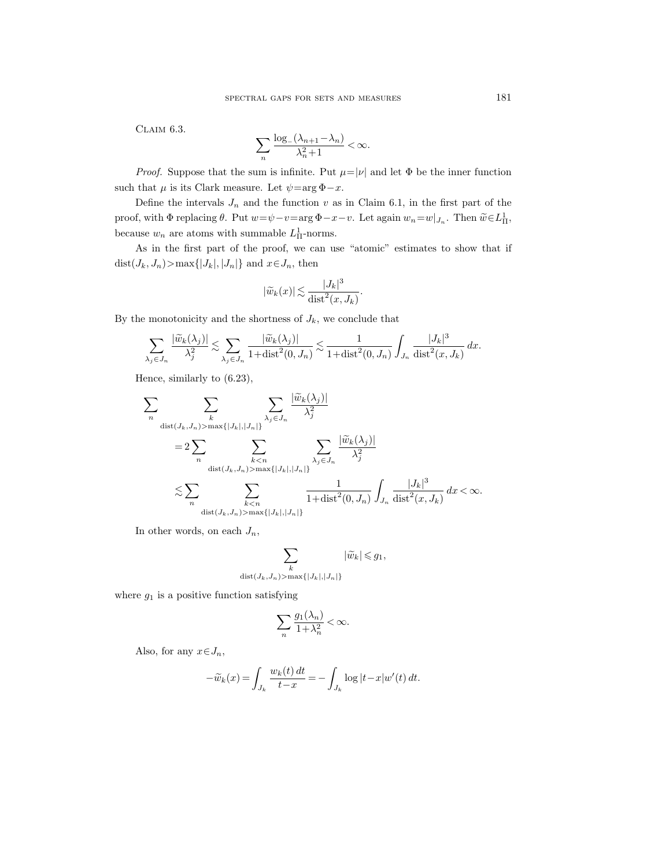Claim 6.3.

$$
\sum_{n} \frac{\log_{-}(\lambda_{n+1} - \lambda_{n})}{\lambda_{n}^{2} + 1} < \infty.
$$

*Proof.* Suppose that the sum is infinite. Put  $\mu = |\nu|$  and let  $\Phi$  be the inner function such that  $\mu$  is its Clark measure. Let  $\psi = \arg \Phi - x$ .

Define the intervals  $J_n$  and the function v as in Claim 6.1, in the first part of the proof, with  $\Phi$  replacing  $\theta$ . Put  $w = \psi - v = \arg \Phi - x - v$ . Let again  $w_n = w|_{J_n}$ . Then  $\widetilde{w} \in L^1_{\Pi}$ , because  $w_n$  are atoms with summable  $L<sub>\Pi</sub><sup>1</sup>$ -norms.

As in the first part of the proof, we can use "atomic" estimates to show that if dist $(J_k, J_n)$ >max $\{|J_k|, |J_n|\}$  and  $x \in J_n$ , then

$$
|\widetilde{w}_k(x)| \lesssim \frac{|J_k|^3}{\text{dist}^2(x, J_k)}.
$$

By the monotonicity and the shortness of  $J_k$ , we conclude that

$$
\sum_{\lambda_j \in J_n} \frac{|\widetilde{w}_k(\lambda_j)|}{\lambda_j^2} \lesssim \sum_{\lambda_j \in J_n} \frac{|\widetilde{w}_k(\lambda_j)|}{1 + \text{dist}^2(0, J_n)} \lesssim \frac{1}{1 + \text{dist}^2(0, J_n)} \int_{J_n} \frac{|J_k|^3}{\text{dist}^2(x, J_k)} dx.
$$

Hence, similarly to (6.23),

$$
\begin{split} \sum_{n} & \sum_{\substack{k \\ \text{dist}(J_k,J_n) > \max\{|J_k|,|J_n|\}}} \sum_{\substack{\lambda_j \in J_n \\ \lambda_j \in J_n}} \frac{|\widetilde{w}_k(\lambda_j)|}{\lambda_j^2} \\ & = 2 \sum_{n} \sum_{\substack{k < n \\ \text{dist}(J_k,J_n) > \max\{|J_k|,|J_n|\}}} \sum_{\substack{\lambda_j \in J_n \\ \lambda_j \in J_n}} \frac{|\widetilde{w}_k(\lambda_j)|}{\lambda_j^2} \\ & \lesssim \sum_{n} \sum_{\substack{k < n \\ \text{dist}(J_k,J_n) > \max\{|J_k|,|J_n|\}}} \frac{1}{1 + \text{dist}^2(0,J_n)} \int_{J_n} \frac{|J_k|^3}{\text{dist}^2(x,J_k)} dx < \infty. \end{split}
$$

In other words, on each  $J_n$ ,

$$
\sum_{\substack{k \\ \text{dist}(J_k,J_n) > \max\{|J_k|,|J_n|\}}} |\widetilde{w}_k| \leqslant g_1,
$$

where  $g_1$  is a positive function satisfying

$$
\sum_{n} \frac{g_1(\lambda_n)}{1 + \lambda_n^2} < \infty.
$$

Also, for any  $x \in J_n$ ,

$$
-\widetilde{w}_k(x) = \int_{J_k} \frac{w_k(t) dt}{t - x} = -\int_{J_k} \log|t - x| w'(t) dt.
$$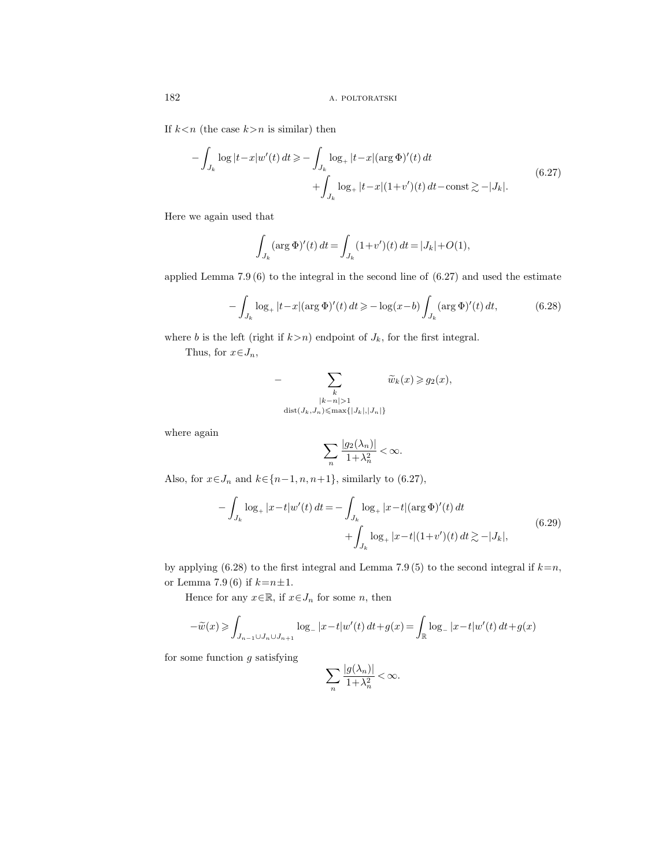If  $k < n$  (the case  $k > n$  is similar) then

$$
-\int_{J_k} \log|t-x|w'(t) dt \ge -\int_{J_k} \log_+|t-x| (\arg \Phi)'(t) dt + \int_{J_k} \log_+|t-x| (1+v')(t) dt - \text{const} \gtrsim -|J_k|.
$$
\n(6.27)

Here we again used that

$$
\int_{J_k} (\arg \Phi)'(t) dt = \int_{J_k} (1 + v')(t) dt = |J_k| + O(1),
$$

applied Lemma 7.9 (6) to the integral in the second line of (6.27) and used the estimate

$$
-\int_{J_k} \log_+ |t - x| (\arg \Phi)'(t) dt \ge -\log(x - b) \int_{J_k} (\arg \Phi)'(t) dt, \tag{6.28}
$$

where b is the left (right if  $k>n$ ) endpoint of  $J_k$ , for the first integral.

Thus, for  $x \in J_n$ ,

$$
-\sum_{\substack{k \\ |k-n|>1 \\ \operatorname{dist}(J_k,J_n)\leqslant\max\{|J_k|,|J_n|\}}} \widetilde{w}_k(x)\!\geqslant\! g_2(x),
$$

where again

$$
\sum_{n} \frac{|g_2(\lambda_n)|}{1 + \lambda_n^2} < \infty.
$$

Also, for  $x \in J_n$  and  $k \in \{n-1, n, n+1\}$ , similarly to (6.27),

$$
-\int_{J_k} \log_+ |x - t| w'(t) dt = -\int_{J_k} \log_+ |x - t| (\arg \Phi)'(t) dt + \int_{J_k} \log_+ |x - t| (1 + v')(t) dt \gtrsim -|J_k|,
$$
(6.29)

by applying (6.28) to the first integral and Lemma 7.9 (5) to the second integral if  $k=n$ , or Lemma 7.9 (6) if  $k=n\pm 1$ .

Hence for any  $x \in \mathbb{R}$ , if  $x \in J_n$  for some n, then

$$
-\widetilde{w}(x) \geq \int_{J_{n-1} \cup J_n \cup J_{n+1}} \log_- |x - t| w'(t) dt + g(x) = \int_{\mathbb{R}} \log_- |x - t| w'(t) dt + g(x)
$$

for some function  $g$  satisfying

$$
\sum_{n} \frac{|g(\lambda_n)|}{1 + \lambda_n^2} < \infty.
$$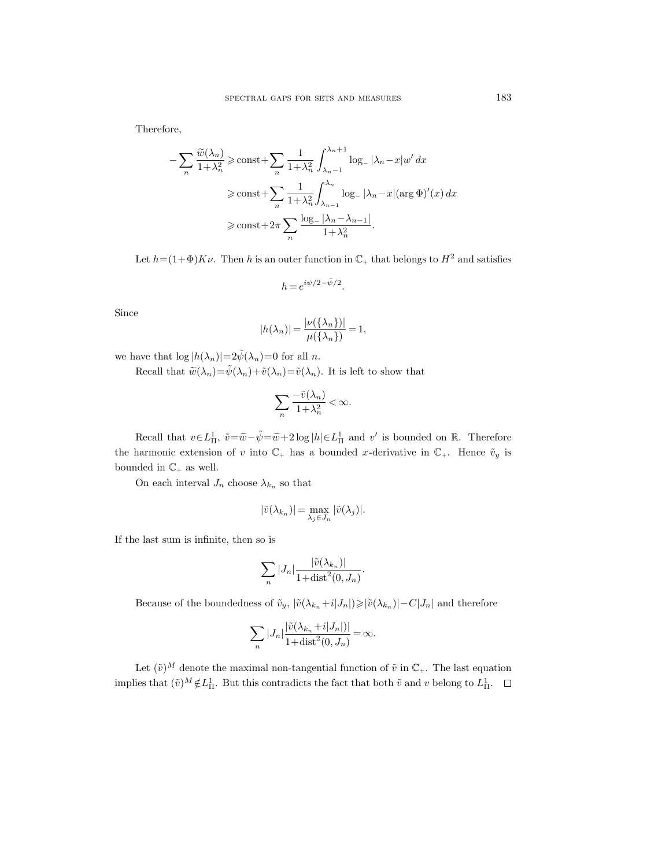Therefore,

$$
-\sum_{n} \frac{\widetilde{w}(\lambda_{n})}{1+\lambda_{n}^{2}} \ge \text{const} + \sum_{n} \frac{1}{1+\lambda_{n}^{2}} \int_{\lambda_{n}-1}^{\lambda_{n}+1} \log_{-} |\lambda_{n}-x| w' dx
$$

$$
\ge \text{const} + \sum_{n} \frac{1}{1+\lambda_{n}^{2}} \int_{\lambda_{n-1}}^{\lambda_{n}} \log_{-} |\lambda_{n}-x| (\text{arg }\Phi)'(x) dx
$$

$$
\ge \text{const} + 2\pi \sum_{n} \frac{\log_{-} |\lambda_{n}-\lambda_{n-1}|}{1+\lambda_{n}^{2}}.
$$

Let  $h=(1+\Phi)K\nu$ . Then h is an outer function in  $\mathbb{C}_+$  that belongs to  $H^2$  and satisfies

$$
h=e^{i\psi/2-\tilde{\psi}/2}.
$$

Since

$$
|h(\lambda_n)| = \frac{|\nu(\{\lambda_n\})|}{\mu(\{\lambda_n\})} = 1,
$$

we have that  $\log |h(\lambda_n)|=2\tilde{\psi}(\lambda_n)=0$  for all n.

Recall that  $\tilde{w}(\lambda_n) = \tilde{\psi}(\lambda_n) + \tilde{v}(\lambda_n) = \tilde{v}(\lambda_n)$ . It is left to show that

$$
\sum_{n} \frac{-\tilde{v}(\lambda_n)}{1 + \lambda_n^2} < \infty.
$$

Recall that  $v \in L^1_{\Pi}$ ,  $\tilde{v} = \tilde{w} - \tilde{\psi} = \tilde{w} + 2 \log |h| \in L^1_{\Pi}$  and v' is bounded on R. Therefore the harmonic extension of v into  $\mathbb{C}_+$  has a bounded x-derivative in  $\mathbb{C}_+$ . Hence  $\tilde{v}_y$  is bounded in  $\mathbb{C}_+$  as well.

On each interval  $J_n$  choose  $\lambda_{k_n}$  so that

$$
|\tilde{v}(\lambda_{k_n})|=\max_{\lambda_j\in J_n}|\tilde{v}(\lambda_j)|.
$$

If the last sum is infinite, then so is

$$
\sum_{n} |J_n| \frac{|\tilde{v}(\lambda_{k_n})|}{1 + \text{dist}^2(0, J_n)}.
$$

Because of the boundedness of  $\tilde{v}_y$ ,  $|\tilde{v}(\lambda_{k_n}+i|J_n|) \geq |\tilde{v}(\lambda_{k_n})| - C|J_n|$  and therefore

$$
\sum_{n} |J_n| \frac{|\tilde{v}(\lambda_{k_n} + i|J_n|)|}{1 + \text{dist}^2(0, J_n)} = \infty.
$$

Let  $(\tilde{v})^M$  denote the maximal non-tangential function of  $\tilde{v}$  in  $\mathbb{C}_+$ . The last equation implies that  $(\tilde{v})^M \notin L^1_{\Pi}$ . But this contradicts the fact that both  $\tilde{v}$  and v belong to  $L^1_{\Pi}$ .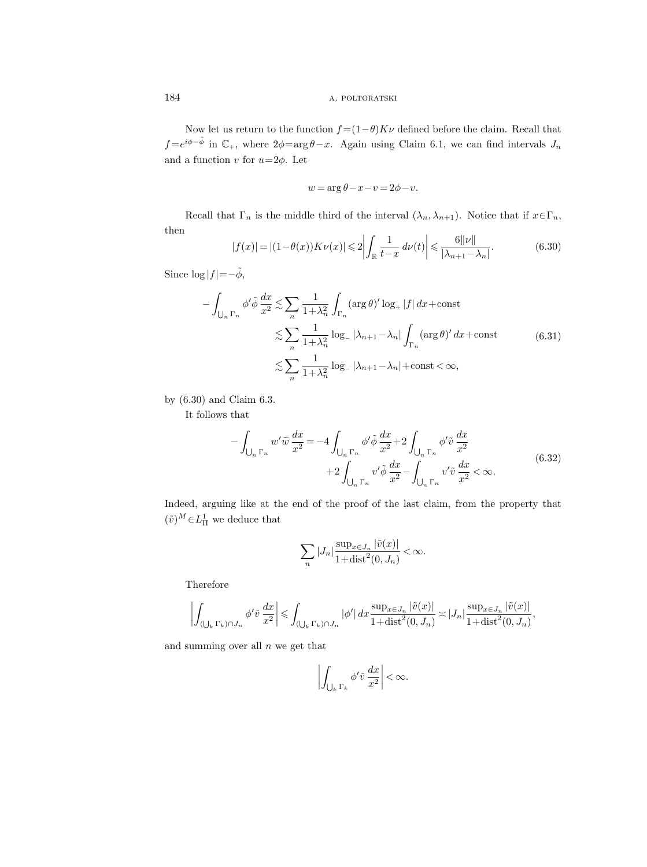Now let us return to the function  $f = (1 - \theta)K\nu$  defined before the claim. Recall that  $f = e^{i\phi - \tilde{\phi}}$  in  $\mathbb{C}_+$ , where  $2\phi = \arg \theta - x$ . Again using Claim 6.1, we can find intervals  $J_n$ and a function  $v$  for  $u=2\phi$ . Let

$$
w = \arg \theta - x - v = 2\phi - v.
$$

Recall that  $\Gamma_n$  is the middle third of the interval  $(\lambda_n, \lambda_{n+1})$ . Notice that if  $x \in \Gamma_n$ , then

$$
|f(x)| = |(1 - \theta(x))K\nu(x)| \leq 2\left|\int_{\mathbb{R}} \frac{1}{t - x} d\nu(t)\right| \leq \frac{6||\nu||}{|\lambda_{n+1} - \lambda_n|}.\tag{6.30}
$$

Since  $\log|f| = -\tilde{\phi}$ ,

$$
-\int_{\bigcup_{n} \Gamma_n} \phi' \tilde{\phi} \frac{dx}{x^2} \lesssim \sum_{n} \frac{1}{1 + \lambda_n^2} \int_{\Gamma_n} (\arg \theta)' \log_+ |f| \, dx + \text{const}
$$
  

$$
\lesssim \sum_{n} \frac{1}{1 + \lambda_n^2} \log_- |\lambda_{n+1} - \lambda_n| \int_{\Gamma_n} (\arg \theta)' \, dx + \text{const}
$$
  

$$
\lesssim \sum_{n} \frac{1}{1 + \lambda_n^2} \log_- |\lambda_{n+1} - \lambda_n| + \text{const} < \infty,
$$
  
(6.31)

by (6.30) and Claim 6.3.

It follows that

$$
-\int_{\bigcup_{n} \Gamma_n} w' \widetilde{w} \frac{dx}{x^2} = -4 \int_{\bigcup_{n} \Gamma_n} \phi' \widetilde{\phi} \frac{dx}{x^2} + 2 \int_{\bigcup_{n} \Gamma_n} \phi' \widetilde{v} \frac{dx}{x^2} + 2 \int_{\bigcup_{n} \Gamma_n} v' \widetilde{\phi} \frac{dx}{x^2} - \int_{\bigcup_{n} \Gamma_n} v' \widetilde{v} \frac{dx}{x^2} < \infty.
$$
 (6.32)

Indeed, arguing like at the end of the proof of the last claim, from the property that  $(\tilde{v})^M \in L^1_{\Pi}$  we deduce that

$$
\sum_{n} |J_n| \frac{\sup_{x \in J_n} |\tilde{v}(x)|}{1 + \text{dist}^2(0, J_n)} < \infty.
$$

Therefore

$$
\left| \int_{(\bigcup_{k} \Gamma_k) \cap J_n} \phi' \tilde{v} \frac{dx}{x^2} \right| \leq \int_{(\bigcup_{k} \Gamma_k) \cap J_n} |\phi'| \, dx \frac{\sup_{x \in J_n} |\tilde{v}(x)|}{1 + \text{dist}^2(0, J_n)} \asymp |J_n| \frac{\sup_{x \in J_n} |\tilde{v}(x)|}{1 + \text{dist}^2(0, J_n)},
$$

and summing over all  $n$  we get that

$$
\left| \int_{\bigcup_{k} \Gamma_k} \phi' \tilde{v} \, \frac{dx}{x^2} \right| < \infty.
$$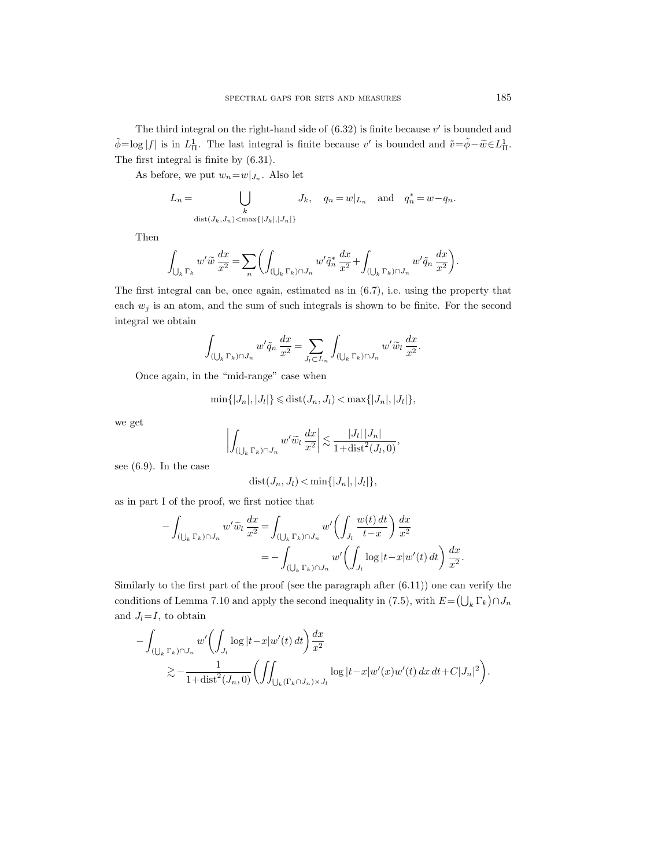The third integral on the right-hand side of  $(6.32)$  is finite because  $v'$  is bounded and  $\tilde{\phi} = \log |f|$  is in  $L_{\Pi}^1$ . The last integral is finite because v' is bounded and  $\tilde{v} = \tilde{\phi} - \tilde{w} \in L_{\Pi}^1$ . The first integral is finite by (6.31).

As before, we put  $w_n = w|_{J_n}$ . Also let

$$
L_n = \bigcup_{\substack{k \\ \text{dist}(J_k, J_n) < \max\{|J_k|, |J_n|\}}} J_k, \quad q_n = w|_{L_n} \quad \text{and} \quad q_n^* = w - q_n.
$$

Then

$$
\int_{\bigcup_{k}\Gamma_k}w'\widetilde{w}\,\frac{dx}{x^2}=\sum_n\biggl(\int_{(\bigcup_{k}\Gamma_k)\cap J_n}w'\widetilde{q}_n^*\,\frac{dx}{x^2}+\int_{(\bigcup_{k}\Gamma_k)\cap J_n}w'\widetilde{q}_n\,\frac{dx}{x^2}\biggr).
$$

The first integral can be, once again, estimated as in (6.7), i.e. using the property that each  $w_j$  is an atom, and the sum of such integrals is shown to be finite. For the second integral we obtain

$$
\int_{(\bigcup_k \Gamma_k) \cap J_n} w' \tilde{q}_n \, \frac{dx}{x^2} = \sum_{J_l \subset L_n} \int_{(\bigcup_k \Gamma_k) \cap J_n} w' \tilde{w}_l \, \frac{dx}{x^2}.
$$

Once again, in the "mid-range" case when

$$
\min\{|J_n|,|J_l|\} \leqslant \text{dist}(J_n,J_l) < \max\{|J_n|,|J_l|\},
$$

we get

$$
\left| \int_{(\bigcup_{k} \Gamma_k) \cap J_n} w' \widetilde{w}_l \, \frac{dx}{x^2} \right| \lesssim \frac{|J_l| |J_n|}{1 + \text{dist}^2(J_l, 0)},
$$

see (6.9). In the case

$$
dist(J_n, J_l) < \min\{|J_n|, |J_l|\},\
$$

as in part I of the proof, we first notice that

$$
-\int_{(\bigcup_{k} \Gamma_k) \cap J_n} w' \widetilde{w}_l \, \frac{dx}{x^2} = \int_{(\bigcup_{k} \Gamma_k) \cap J_n} w' \left( \int_{J_l} \frac{w(t) \, dt}{t - x} \right) \frac{dx}{x^2}
$$

$$
= -\int_{(\bigcup_{k} \Gamma_k) \cap J_n} w' \left( \int_{J_l} \log|t - x| w'(t) \, dt \right) \frac{dx}{x^2}.
$$

Similarly to the first part of the proof (see the paragraph after  $(6.11)$ ) one can verify the conditions of Lemma 7.10 and apply the second inequality in (7.5), with  $E = (\bigcup_k \Gamma_k) \cap J_n$ and  $J_l = I$ , to obtain

$$
-\int_{(\bigcup_{k} \Gamma_k) \cap J_n} w' \bigg( \int_{J_l} \log |t - x| w'(t) dt \bigg) \frac{dx}{x^2}
$$
  

$$
\gtrsim -\frac{1}{1 + \text{dist}^2(J_n, 0)} \bigg( \iint_{\bigcup_k (\Gamma_k \cap J_n) \times J_l} \log |t - x| w'(x) w'(t) dx dt + C|J_n|^2 \bigg).
$$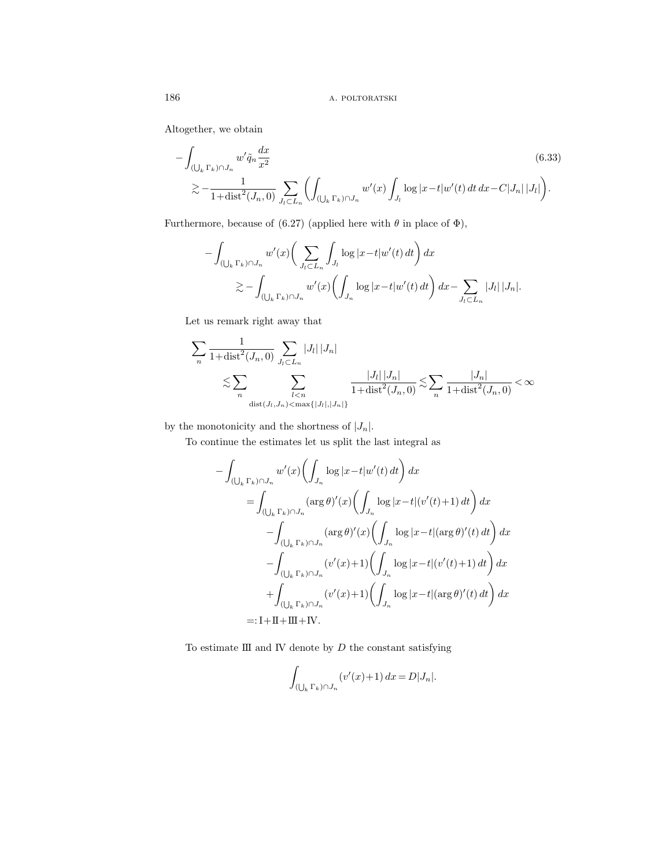Altogether, we obtain

$$
-\int_{(\bigcup_{k} \Gamma_{k}) \cap J_{n}} w' \tilde{q}_{n} \frac{dx}{x^{2}} \qquad (6.33)
$$
  

$$
\gtrsim -\frac{1}{1 + \text{dist}^{2}(J_{n}, 0)} \sum_{J_{l} \subset L_{n}} \left( \int_{(\bigcup_{k} \Gamma_{k}) \cap J_{n}} w'(x) \int_{J_{l}} \log |x - t| w'(t) dt dx - C|J_{n}| |J_{l}| \right).
$$

Furthermore, because of (6.27) (applied here with  $\theta$  in place of  $\Phi$ ),

$$
-\int_{(\bigcup_{k}\Gamma_k)\cap J_n} w'(x) \bigg(\sum_{J_l\subset L_n} \int_{J_l} \log|x-t| w'(t) dt\bigg) dx
$$
  

$$
\gtrsim -\int_{(\bigcup_{k}\Gamma_k)\cap J_n} w'(x) \bigg(\int_{J_n} \log|x-t| w'(t) dt\bigg) dx - \sum_{J_l\subset L_n} |J_l| |J_n|.
$$

Let us remark right away that

$$
\sum_{n} \frac{1}{1 + \text{dist}^2(J_n, 0)} \sum_{J_l \subset L_n} |J_l| |J_n|
$$
  
\$\sum\_{n} \sum\_{\substack{l < n \\ \text{dist}(J\_l, J\_n) < \max\{|J\_l|, |J\_n|\} }} \frac{|J\_l| |J\_n|}{1 + \text{dist}^2(J\_n, 0)} \lesssim \sum\_{n} \frac{|J\_n|}{1 + \text{dist}^2(J\_n, 0)} < \infty\$

by the monotonicity and the shortness of  $|J_n|$ .

To continue the estimates let us split the last integral as

$$
-\int_{(\bigcup_{k} \Gamma_{k}) \cap J_{n}} w'(x) \left( \int_{J_{n}} \log |x - t| w'(t) dt \right) dx
$$
  
\n
$$
= \int_{(\bigcup_{k} \Gamma_{k}) \cap J_{n}} (\arg \theta)'(x) \left( \int_{J_{n}} \log |x - t| (v'(t) + 1) dt \right) dx
$$
  
\n
$$
- \int_{(\bigcup_{k} \Gamma_{k}) \cap J_{n}} (\arg \theta)'(x) \left( \int_{J_{n}} \log |x - t| (\arg \theta)'(t) dt \right) dx
$$
  
\n
$$
- \int_{(\bigcup_{k} \Gamma_{k}) \cap J_{n}} (v'(x) + 1) \left( \int_{J_{n}} \log |x - t| (v'(t) + 1) dt \right) dx
$$
  
\n
$$
+ \int_{(\bigcup_{k} \Gamma_{k}) \cap J_{n}} (v'(x) + 1) \left( \int_{J_{n}} \log |x - t| (\arg \theta)'(t) dt \right) dx
$$
  
\n=: I + II + III + IV.

To estimate  $III$  and IV denote by  $D$  the constant satisfying

$$
\int_{\left(\bigcup_{k} \Gamma_k\right) \cap J_n} \left(v'(x) + 1\right) dx = D|J_n|.
$$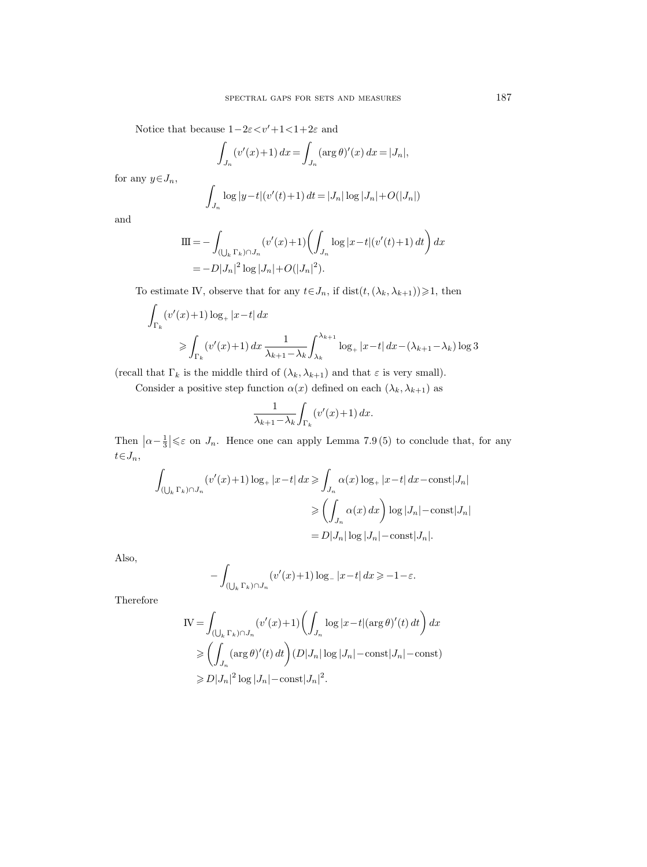Notice that because  $1-2\varepsilon < v'+1<1+2\varepsilon$  and

$$
\int_{J_n} (v'(x) + 1) \, dx = \int_{J_n} (\arg \theta)'(x) \, dx = |J_n|,
$$

for any  $y \in J_n$ ,

$$
\int_{J_n} \log |y - t| (v'(t) + 1) dt = |J_n| \log |J_n| + O(|J_n|)
$$

and

$$
\begin{aligned} \n\Pi &= -\int_{(\bigcup_{k} \Gamma_k) \cap J_n} (v'(x) + 1) \bigg( \int_{J_n} \log |x - t| (v'(t) + 1) \, dt \bigg) \, dx \\ \n&= -D|J_n|^2 \log |J_n| + O(|J_n|^2). \n\end{aligned}
$$

To estimate IV, observe that for any  $t\!\in\!J_n,$  if  $\mathrm{dist}(t,(\lambda_k,\lambda_{k+1}))\!\geqslant\!1,$  then

$$
\int_{\Gamma_k} (v'(x) + 1) \log_+ |x - t| \, dx
$$
\n
$$
\geq \int_{\Gamma_k} (v'(x) + 1) \, dx \, \frac{1}{\lambda_{k+1} - \lambda_k} \int_{\lambda_k}^{\lambda_{k+1}} \log_+ |x - t| \, dx - (\lambda_{k+1} - \lambda_k) \log 3
$$

(recall that  $\Gamma_k$  is the middle third of  $(\lambda_k, \lambda_{k+1})$  and that  $\varepsilon$  is very small).

Consider a positive step function  $\alpha(x)$  defined on each  $(\lambda_k, \lambda_{k+1})$  as

$$
\frac{1}{\lambda_{k+1} - \lambda_k} \int_{\Gamma_k} \left( v'(x) + 1 \right) dx.
$$

Then  $|\alpha-\frac{1}{3}| \leq \varepsilon$  on  $J_n$ . Hence one can apply Lemma 7.9 (5) to conclude that, for any  $t\!\in\!J_n,$ 

$$
\int_{(\bigcup_{k} \Gamma_k) \cap J_n} (v'(x) + 1) \log_+ |x - t| \, dx \ge \int_{J_n} \alpha(x) \log_+ |x - t| \, dx - \text{const}|J_n|
$$
  

$$
\ge \left( \int_{J_n} \alpha(x) \, dx \right) \log |J_n| - \text{const}|J_n|
$$
  

$$
= D|J_n| \log |J_n| - \text{const}|J_n|.
$$

Also,

$$
-\int_{\left(\bigcup_{k} \Gamma_{k}\right) \cap J_{n}} \left(v'(x) + 1\right) \log_{-} |x - t| \, dx \ge -1 - \varepsilon.
$$

Therefore

$$
\begin{split} \text{IV} &= \int_{(\bigcup_{k} \Gamma_{k}) \cap J_{n}} (v'(x) + 1) \bigg( \int_{J_{n}} \log |x - t| (\arg \theta)'(t) \, dt \bigg) \, dx \\ &\geqslant \bigg( \int_{J_{n}} (\arg \theta)'(t) \, dt \bigg) (D|J_{n}| \log |J_{n}| - \text{const} |J_{n}| - \text{const}) \\ &\geqslant D|J_{n}|^{2} \log |J_{n}| - \text{const} |J_{n}|^{2}. \end{split}
$$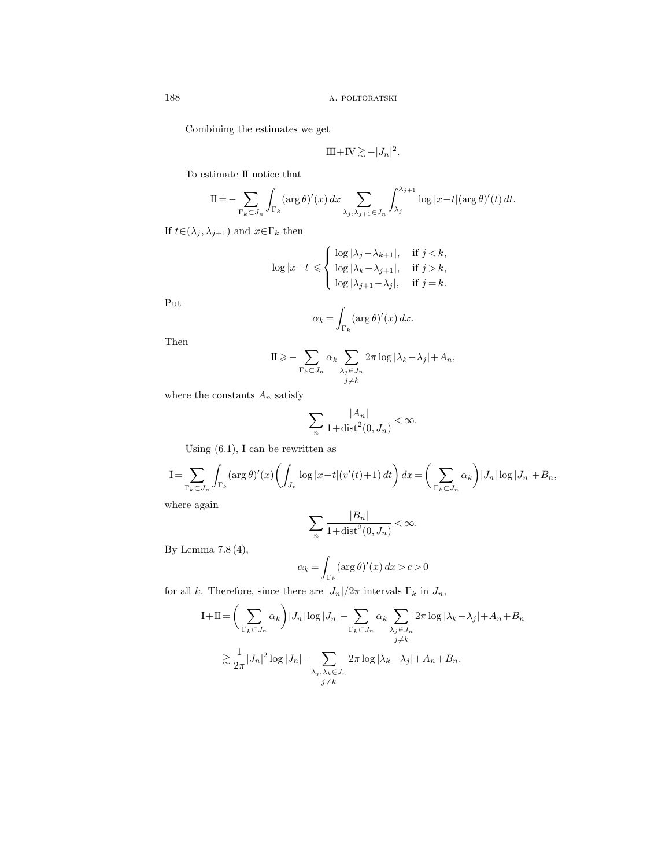Combining the estimates we get

$$
III + IV \gtrsim -|J_n|^2.
$$

To estimate II notice that

$$
\mathrm{II} = -\sum_{\Gamma_k \subset J_n} \int_{\Gamma_k} (\arg \theta)'(x) dx \sum_{\lambda_j, \lambda_{j+1} \in J_n} \int_{\lambda_j}^{\lambda_{j+1}} \log |x - t| (\arg \theta)'(t) dt.
$$

If  $t\!\in\!(\lambda_j , \lambda_{j+1})$  and  $x\!\in\!\Gamma_k$  then

$$
\log|x-t| \leqslant \begin{cases} \log|\lambda_j - \lambda_{k+1}|, & \text{if } j < k, \\ \log|\lambda_k - \lambda_{j+1}|, & \text{if } j > k, \\ \log|\lambda_{j+1} - \lambda_j|, & \text{if } j = k. \end{cases}
$$

Put

$$
\alpha_k = \int_{\Gamma_k} (\arg \theta)'(x) \, dx.
$$

Then

$$
\Pi \geqslant -\sum_{\Gamma_k \subset J_n} \alpha_k \sum_{\substack{\lambda_j \in J_n \\ j \neq k}} 2\pi \log |\lambda_k - \lambda_j| + A_n,
$$

where the constants  $\mathcal{A}_n$  satisfy

$$
\sum_{n} \frac{|A_n|}{1 + \text{dist}^2(0, J_n)} < \infty.
$$

Using  $(6.1)$ , I can be rewritten as

$$
I = \sum_{\Gamma_k \subset J_n} \int_{\Gamma_k} (\arg \theta)'(x) \left( \int_{J_n} \log |x - t| (v'(t) + 1) dt \right) dx = \left( \sum_{\Gamma_k \subset J_n} \alpha_k \right) |J_n| \log |J_n| + B_n,
$$

where again

$$
\sum_{n} \frac{|B_n|}{1 + \text{dist}^2(0, J_n)} < \infty.
$$

By Lemma 7.8 (4),

$$
\alpha_k = \int_{\Gamma_k} (\arg \theta)'(x) \, dx > c > 0
$$

for all  $k.$  Therefore, since there are  $|J_n|/2\pi$  intervals  $\Gamma_k$  in  $J_n,$ 

$$
I + II = \left(\sum_{\Gamma_k \subset J_n} \alpha_k\right) |J_n| \log |J_n| - \sum_{\Gamma_k \subset J_n} \alpha_k \sum_{\substack{\lambda_j \in J_n \\ j \neq k}} 2\pi \log |\lambda_k - \lambda_j| + A_n + B_n
$$
  

$$
\geq \frac{1}{2\pi} |J_n|^2 \log |J_n| - \sum_{\substack{\lambda_j, \lambda_k \in J_n \\ j \neq k}} 2\pi \log |\lambda_k - \lambda_j| + A_n + B_n.
$$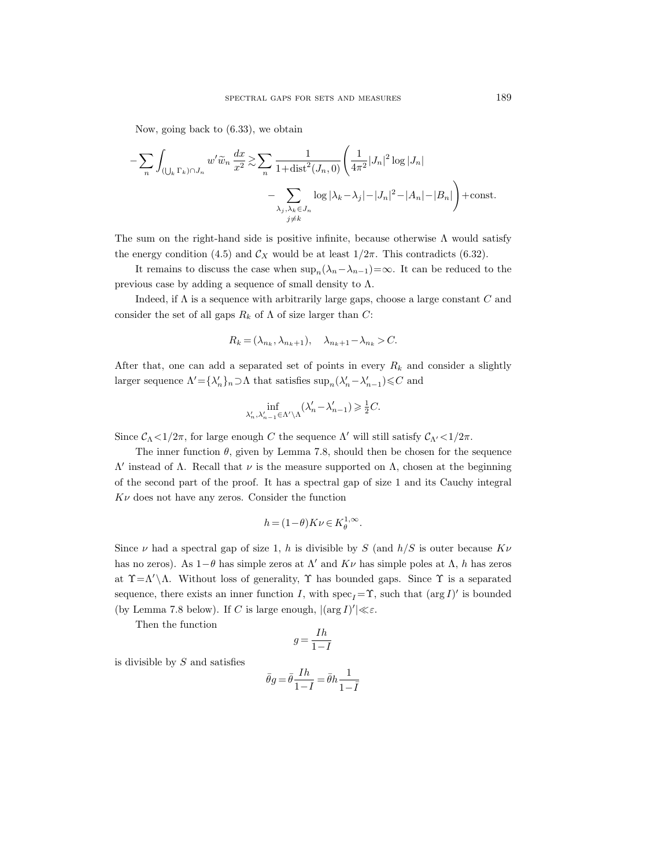Now, going back to (6.33), we obtain

$$
-\sum_{n}\int_{(\bigcup_{k}\Gamma_{k})\cap J_{n}}w'\widetilde{w}_{n}\frac{dx}{x^{2}} \gtrsim \sum_{n}\frac{1}{1+\text{dist}^{2}(J_{n},0)}\left(\frac{1}{4\pi^{2}}|J_{n}|^{2}\log|J_{n}| -\sum_{\substack{\lambda_{j},\lambda_{k}\in J_{n} \\ j\neq k}}\log|\lambda_{k}-\lambda_{j}|-|J_{n}|^{2}-|A_{n}|-|B_{n}|\right)+\text{const.}
$$

The sum on the right-hand side is positive infinite, because otherwise  $\Lambda$  would satisfy the energy condition (4.5) and  $\mathcal{C}_X$  would be at least  $1/2\pi$ . This contradicts (6.32).

It remains to discuss the case when  $\sup_n(\lambda_n-\lambda_{n-1})=\infty$ . It can be reduced to the previous case by adding a sequence of small density to  $\Lambda$ .

Indeed, if  $\Lambda$  is a sequence with arbitrarily large gaps, choose a large constant  $C$  and consider the set of all gaps  $R_k$  of  $\Lambda$  of size larger than C:

$$
R_k = (\lambda_{n_k}, \lambda_{n_k+1}), \quad \lambda_{n_k+1} - \lambda_{n_k} > C.
$$

After that, one can add a separated set of points in every  $R_k$  and consider a slightly larger sequence  $\Lambda' = {\lambda'_n}_{n} \supset \Lambda$  that satisfies  $\sup_n (\lambda'_n - \lambda'_{n-1}) \leq C$  and

$$
\inf_{\lambda_n',\lambda_{n-1}'\in \Lambda'\backslash \Lambda}(\lambda_n'-\lambda_{n-1}')\geqslant \tfrac{1}{2}C.
$$

Since  $\mathcal{C}_{\Lambda}$  < 1/2π, for large enough C the sequence  $\Lambda'$  will still satisfy  $\mathcal{C}_{\Lambda'}$  < 1/2π.

The inner function  $\theta$ , given by Lemma 7.8, should then be chosen for the sequence  $Λ'$  instead of  $Λ$ . Recall that  $ν$  is the measure supported on  $Λ$ , chosen at the beginning of the second part of the proof. It has a spectral gap of size 1 and its Cauchy integral  $K\nu$  does not have any zeros. Consider the function

$$
h = (1 - \theta)K\nu \in K_{\theta}^{1, \infty}.
$$

Since  $\nu$  had a spectral gap of size 1, h is divisible by S (and  $h/S$  is outer because  $K\nu$ has no zeros). As  $1-\theta$  has simple zeros at  $\Lambda'$  and  $K\nu$  has simple poles at  $\Lambda$ , h has zeros at  $\Upsilon = \Lambda' \setminus \Lambda$ . Without loss of generality,  $\Upsilon$  has bounded gaps. Since  $\Upsilon$  is a separated sequence, there exists an inner function I, with  $\operatorname{spec}_I = \Upsilon$ , such that  $(\arg I)'$  is bounded (by Lemma 7.8 below). If C is large enough,  $|(\arg I)'| \ll \varepsilon$ .

Then the function

$$
g=\frac{Ih}{1-I}
$$

is divisible by  $S$  and satisfies

$$
\bar{\theta}g\!=\!\bar{\theta}\frac{Ih}{1\!-\!I}\!=\!\bar{\theta}h\frac{1}{1\!-\!\bar{I}}
$$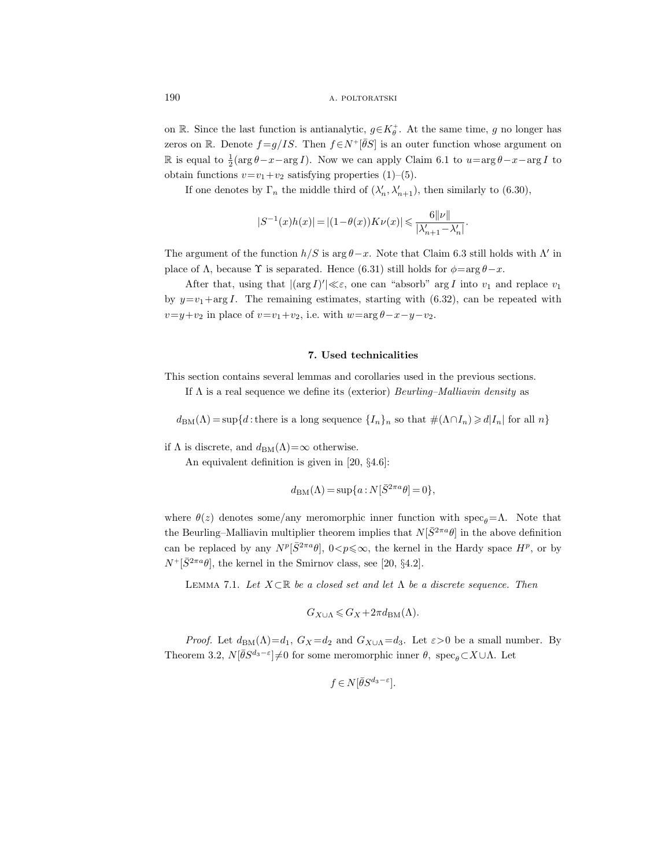on R. Since the last function is antianalytic,  $g \in K_{\theta}^{+}$ . At the same time, g no longer has zeros on R. Denote  $f = g/IS$ . Then  $f \in N^+[\overline{\theta}S]$  is an outer function whose argument on  $\mathbb R$  is equal to  $\frac{1}{2}(\arg \theta - x - \arg I)$ . Now we can apply Claim 6.1 to  $u = \arg \theta - x - \arg I$  to obtain functions  $v=v_1+v_2$  satisfying properties (1)–(5).

If one denotes by  $\Gamma_n$  the middle third of  $(\lambda'_n, \lambda'_{n+1})$ , then similarly to (6.30),

$$
|S^{-1}(x)h(x)| = |(1 - \theta(x))K\nu(x)| \leq \frac{6||\nu||}{|\lambda'_{n+1} - \lambda'_n|}.
$$

The argument of the function  $h/S$  is  $\arg \theta - x$ . Note that Claim 6.3 still holds with  $\Lambda'$  in place of  $\Lambda$ , because  $\Upsilon$  is separated. Hence (6.31) still holds for  $\phi = \arg \theta - x$ .

After that, using that  $|(\arg I)'| \ll \varepsilon$ , one can "absorb" arg I into  $v_1$  and replace  $v_1$ by  $y=v_1+\arg I$ . The remaining estimates, starting with (6.32), can be repeated with  $v=y+v_2$  in place of  $v=v_1+v_2$ , i.e. with  $w=\arg \theta-x-y-v_2$ .

#### 7. Used technicalities

This section contains several lemmas and corollaries used in the previous sections. If  $\Lambda$  is a real sequence we define its (exterior) *Beurling–Malliavin density* as

 $d_{BM}(\Lambda) = \sup\{d : \text{there is a long sequence }\{I_n\}_n \text{ so that } \#(\Lambda \cap I_n) \geq d |I_n| \text{ for all } n\}$ 

if  $\Lambda$  is discrete, and  $d_{BM}(\Lambda) = \infty$  otherwise.

An equivalent definition is given in [20, §4.6]:

$$
d_{\mathrm{BM}}(\Lambda) \,{=}\, \sup \{ a : N[\bar{S}^{2\pi a}\theta] \,{=}\, 0 \},
$$

where  $\theta(z)$  denotes some/any meromorphic inner function with spec<sub>θ</sub>=Λ. Note that the Beurling–Malliavin multiplier theorem implies that  $N[\bar{S}^{2\pi a}\theta]$  in the above definition can be replaced by any  $N^p[\bar{S}^{2\pi a}\theta]$ ,  $0 < p \leq \infty$ , the kernel in the Hardy space  $H^p$ , or by  $N^+[\bar{S}^{2\pi a}\theta]$ , the kernel in the Smirnov class, see [20, §4.2].

LEMMA 7.1. Let  $X \subset \mathbb{R}$  be a closed set and let  $\Lambda$  be a discrete sequence. Then

$$
G_{X \cup \Lambda} \leqslant G_X + 2\pi d_{\text{BM}}(\Lambda).
$$

*Proof.* Let  $d_{BM}(\Lambda) = d_1$ ,  $G_X = d_2$  and  $G_{X \cup \Lambda} = d_3$ . Let  $\varepsilon > 0$  be a small number. By Theorem 3.2,  $N[\bar{\theta}S^{d_3-\epsilon}]\neq 0$  for some meromorphic inner  $\theta$ , spec<sub> $\theta\subset X\cup\Lambda$ </sub>. Let

$$
f \in N[\bar{\theta}S^{d_3 - \varepsilon}].
$$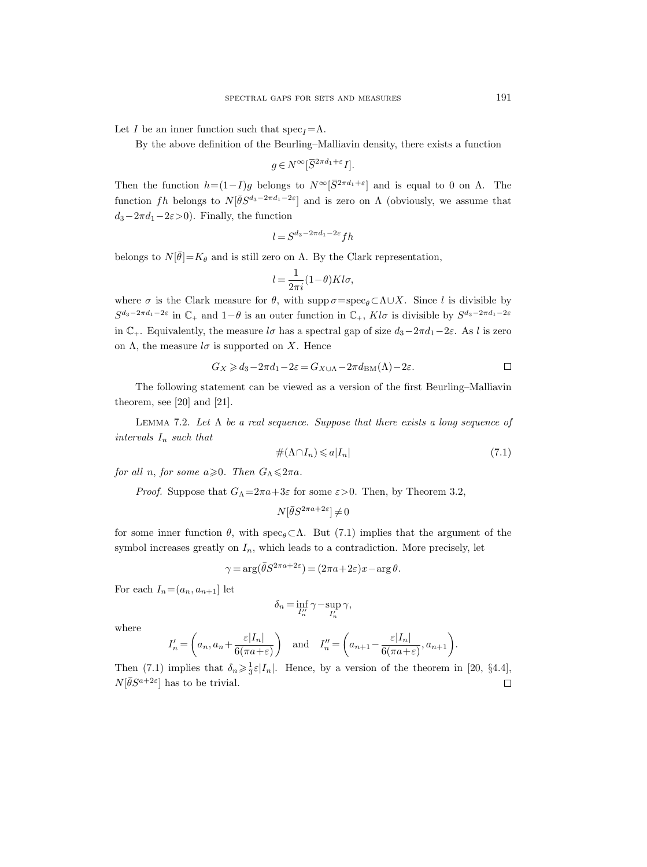Let I be an inner function such that  $\operatorname{spec}_I = \Lambda$ .

By the above definition of the Beurling–Malliavin density, there exists a function

$$
g \in N^{\infty}[\overline{S}^{2\pi d_1 + \varepsilon} I].
$$

Then the function  $h=(1-I)g$  belongs to  $N^{\infty}[\bar{S}^{2\pi d_1+\epsilon}]$  and is equal to 0 on  $\Lambda$ . The function fh belongs to  $N[\bar{\theta}S^{d_3-2\pi d_1-2\varepsilon}]$  and is zero on  $\Lambda$  (obviously, we assume that  $d_3-2\pi d_1-2\varepsilon>0$ . Finally, the function

$$
l = S^{d_3 - 2\pi d_1 - 2\varepsilon} f h
$$

belongs to  $N[\bar{\theta}]=K_{\theta}$  and is still zero on  $\Lambda$ . By the Clark representation,

$$
l = \frac{1}{2\pi i} (1 - \theta) K l \sigma,
$$

where  $\sigma$  is the Clark measure for  $\theta$ , with supp  $\sigma = \text{spec}_{\theta} \subset \Lambda \cup X$ . Since l is divisible by  $S^{d_3-2\pi d_1-2\varepsilon}$  in  $\mathbb{C}_+$  and  $1-\theta$  is an outer function in  $\mathbb{C}_+$ ,  $Kl\sigma$  is divisible by  $S^{d_3-2\pi d_1-2\varepsilon}$ in  $\mathbb{C}_+$ . Equivalently, the measure l $\sigma$  has a spectral gap of size  $d_3-2\pi d_1-2\varepsilon$ . As l is zero on  $\Lambda$ , the measure  $l\sigma$  is supported on X. Hence

$$
G_X\geqslant d_3-2\pi d_1-2\varepsilon=G_{X\cup\Lambda}-2\pi d_{\mathrm{BM}}(\Lambda)-2\varepsilon.\qquad \qquad \Box
$$

The following statement can be viewed as a version of the first Beurling–Malliavin theorem, see [20] and [21].

LEMMA 7.2. Let  $\Lambda$  be a real sequence. Suppose that there exists a long sequence of intervals  $I_n$  such that

$$
\#(\Lambda \cap I_n) \leqslant a|I_n| \tag{7.1}
$$

for all n, for some  $a \ge 0$ . Then  $G_{\Lambda} \leq 2\pi a$ .

*Proof.* Suppose that  $G_{\Lambda} = 2\pi a + 3\varepsilon$  for some  $\varepsilon > 0$ . Then, by Theorem 3.2,

$$
N[\bar{\theta}S^{2\pi a+2\varepsilon}] \neq 0
$$

for some inner function  $\theta$ , with  $\sec_{\theta} \subset \Lambda$ . But (7.1) implies that the argument of the symbol increases greatly on  $I_n$ , which leads to a contradiction. More precisely, let

$$
\gamma = \arg(\bar{\theta}S^{2\pi a + 2\varepsilon}) = (2\pi a + 2\varepsilon)x - \arg\theta.
$$

For each  $I_n=(a_n, a_{n+1}]$  let

$$
\delta_n = \inf_{I_n'} \gamma - \sup_{I_n'} \gamma,
$$

where

$$
I'_n = \left(a_n, a_n + \frac{\varepsilon |I_n|}{6(\pi a + \varepsilon)}\right) \quad \text{and} \quad I''_n = \left(a_{n+1} - \frac{\varepsilon |I_n|}{6(\pi a + \varepsilon)}, a_{n+1}\right).
$$

Then (7.1) implies that  $\delta_n \geq \frac{1}{3} \varepsilon |I_n|$ . Hence, by a version of the theorem in [20, §4.4],  $N[\bar{\theta}S^{a+2\varepsilon}]$  has to be trivial.  $\Box$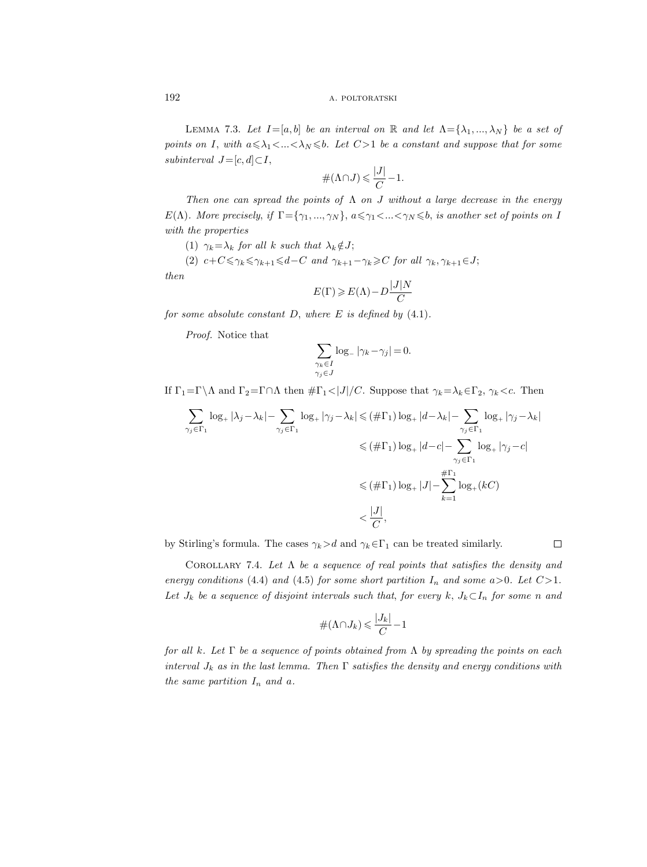LEMMA 7.3. Let  $I=[a, b]$  be an interval on R and let  $\Lambda = {\lambda_1, ..., \lambda_N}$  be a set of points on I, with  $a \leq \lambda_1 < ... < \lambda_N \leq b$ . Let  $C > 1$  be a constant and suppose that for some subinterval  $J=[c, d] \subset I$ ,

$$
\#(\Lambda \cap J) \leqslant \frac{|J|}{C} - 1.
$$

Then one can spread the points of  $\Lambda$  on  $J$  without a large decrease in the energy  $E(\Lambda)$ . More precisely, if  $\Gamma = \{\gamma_1, ..., \gamma_N\}$ ,  $a \leq \gamma_1 < ... < \gamma_N \leq b$ , is another set of points on I with the properties

(1)  $\gamma_k = \lambda_k$  for all k such that  $\lambda_k \notin J$ ;

(2)  $c+C\leqslant\gamma_k\leqslant\gamma_{k+1}\leqslant d-C$  and  $\gamma_{k+1}-\gamma_k\geqslant C$  for all  $\gamma_k, \gamma_{k+1}\in J;$ 

then

$$
E(\Gamma)\geqslant E(\Lambda)-D\frac{|J|N}{C}
$$

for some absolute constant  $D$ , where  $E$  is defined by  $(4.1)$ .

Proof. Notice that

$$
\sum_{\substack{\gamma_k \in I \\ \gamma_j \in J}} \log_-|\gamma_k - \gamma_j| = 0.
$$

If  $\Gamma_1=\Gamma\backslash\Lambda$  and  $\Gamma_2=\Gamma\cap\Lambda$  then  $\#\Gamma_1<|J|/C$ . Suppose that  $\gamma_k=\lambda_k\in\Gamma_2$ ,  $\gamma_k\lt c$ . Then

$$
\sum_{\gamma_j \in \Gamma_1} \log_+ |\lambda_j - \lambda_k| - \sum_{\gamma_j \in \Gamma_1} \log_+ |\gamma_j - \lambda_k| \leq (\#\Gamma_1) \log_+ |d - \lambda_k| - \sum_{\gamma_j \in \Gamma_1} \log_+ |\gamma_j - \lambda_k|
$$
  

$$
\leq (\#\Gamma_1) \log_+ |d - c| - \sum_{\gamma_j \in \Gamma_1} \log_+ |\gamma_j - c|
$$
  

$$
\leq (\#\Gamma_1) \log_+ |J| - \sum_{k=1}^{\#\Gamma_1} \log_+(kC)
$$
  

$$
< \frac{|J|}{C},
$$

by Stirling's formula. The cases  $\gamma_k > d$  and  $\gamma_k \in \Gamma_1$  can be treated similarly.

COROLLARY 7.4. Let  $\Lambda$  be a sequence of real points that satisfies the density and energy conditions (4.4) and (4.5) for some short partition  $I_n$  and some a>0. Let C>1. Let  $J_k$  be a sequence of disjoint intervals such that, for every k,  $J_k\subset I_n$  for some n and

 $\Box$ 

$$
\#(\Lambda \cap J_k) \leqslant \frac{|J_k|}{C} - 1
$$

for all k. Let  $\Gamma$  be a sequence of points obtained from  $\Lambda$  by spreading the points on each interval  $J_k$  as in the last lemma. Then  $\Gamma$  satisfies the density and energy conditions with the same partition  $I_n$  and a.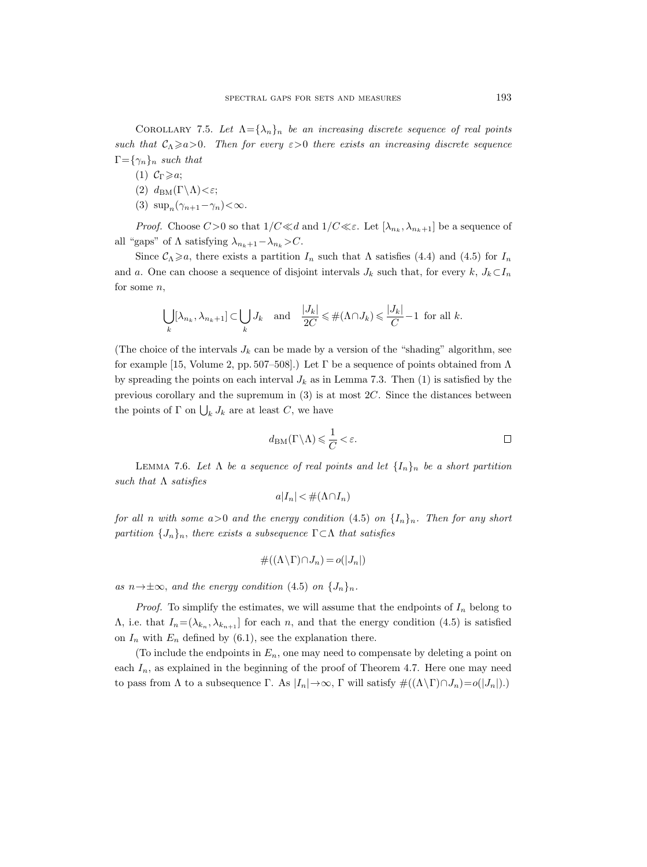COROLLARY 7.5. Let  $\Lambda = {\lambda_n}_n$  be an increasing discrete sequence of real points such that  $C_\Lambda \ge a>0$ . Then for every  $\varepsilon>0$  there exists an increasing discrete sequence  $\Gamma = {\gamma_n}_n$  such that

(1)  $C_{\Gamma} \geqslant a;$ 

(2) 
$$
d_{BM}(\Gamma \backslash \Lambda) < \varepsilon
$$
;

(3)  $\sup_n(\gamma_{n+1}-\gamma_n)<\infty$ .

*Proof.* Choose  $C > 0$  so that  $1/C \ll d$  and  $1/C \ll \varepsilon$ . Let  $[\lambda_{n_k}, \lambda_{n_k+1}]$  be a sequence of all "gaps" of  $\Lambda$  satisfying  $\lambda_{n_k+1}-\lambda_{n_k} > C$ .

Since  $\mathcal{C}_{\Lambda}\geq a$ , there exists a partition  $I_n$  such that  $\Lambda$  satisfies (4.4) and (4.5) for  $I_n$ and a. One can choose a sequence of disjoint intervals  $J_k$  such that, for every k,  $J_k\subset I_n$ for some  $n$ ,

$$
\bigcup_{k} [\lambda_{n_k}, \lambda_{n_k+1}] \subset \bigcup_{k} J_k \quad \text{and} \quad \frac{|J_k|}{2C} \leq \#(\Lambda \cap J_k) \leq \frac{|J_k|}{C} - 1 \text{ for all } k.
$$

(The choice of the intervals  $J_k$  can be made by a version of the "shading" algorithm, see for example [15, Volume 2, pp. 507–508].) Let  $\Gamma$  be a sequence of points obtained from  $\Lambda$ by spreading the points on each interval  $J_k$  as in Lemma 7.3. Then (1) is satisfied by the previous corollary and the supremum in (3) is at most 2C. Since the distances between the points of  $\Gamma$  on  $\bigcup_k J_k$  are at least C, we have

$$
d_{\text{BM}}(\Gamma \backslash \Lambda) \leqslant \frac{1}{C} < \varepsilon. \qquad \qquad \Box
$$

LEMMA 7.6. Let  $\Lambda$  be a sequence of real points and let  $\{I_n\}_n$  be a short partition such that  $\Lambda$  satisfies

$$
a|I_n| < \#(\Lambda \cap I_n)
$$

for all n with some  $a>0$  and the energy condition (4.5) on  $\{I_n\}_n$ . Then for any short partition  $\{J_n\}_n$ , there exists a subsequence  $\Gamma \subset \Lambda$  that satisfies

$$
\#((\Lambda \backslash \Gamma) \cap J_n) = o(|J_n|)
$$

as  $n \rightarrow \pm \infty$ , and the energy condition (4.5) on  $\{J_n\}_n$ .

*Proof.* To simplify the estimates, we will assume that the endpoints of  $I_n$  belong to  $\Lambda$ , i.e. that  $I_n = (\lambda_{k_n}, \lambda_{k_{n+1}}]$  for each n, and that the energy condition (4.5) is satisfied on  $I_n$  with  $E_n$  defined by (6.1), see the explanation there.

(To include the endpoints in  $E_n$ , one may need to compensate by deleting a point on each  $I_n$ , as explained in the beginning of the proof of Theorem 4.7. Here one may need to pass from  $\Lambda$  to a subsequence  $\Gamma$ . As  $|I_n| \to \infty$ ,  $\Gamma$  will satisfy  $\#((\Lambda \backslash \Gamma) \cap J_n) = o(|J_n|)$ .)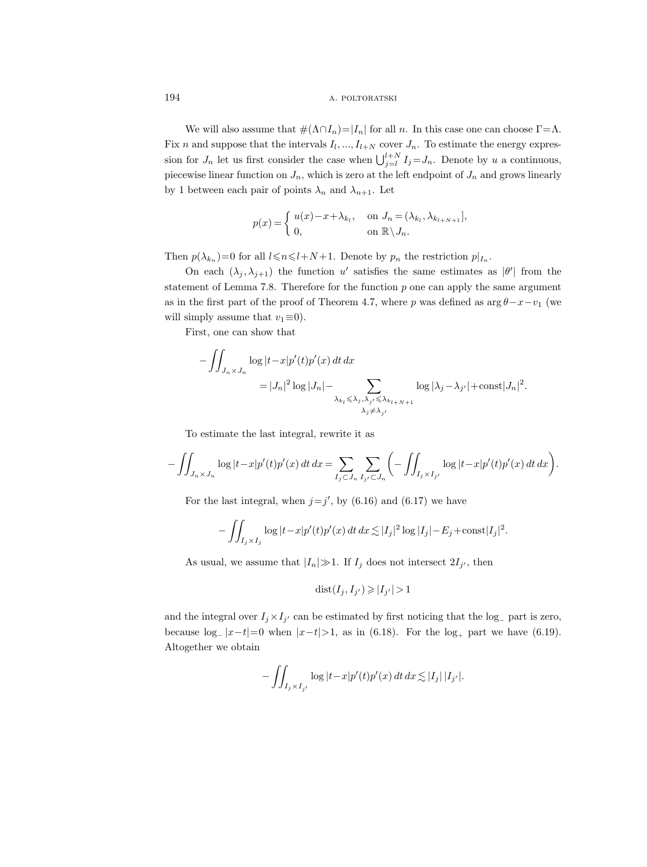We will also assume that  $\#(\Lambda \cap I_n) = |I_n|$  for all n. In this case one can choose  $\Gamma = \Lambda$ . Fix *n* and suppose that the intervals  $I_l, ..., I_{l+N}$  cover  $J_n$ . To estimate the energy expression for  $J_n$  let us first consider the case when  $\bigcup_{j=1}^{l+N} I_j = J_n$ . Denote by u a continuous, piecewise linear function on  $J_n$ , which is zero at the left endpoint of  $J_n$  and grows linearly by 1 between each pair of points  $\lambda_n$  and  $\lambda_{n+1}$ . Let

$$
p(x) = \begin{cases} u(x) - x + \lambda_{k_l}, & \text{on } J_n = (\lambda_{k_l}, \lambda_{k_{l+N+1}}], \\ 0, & \text{on } \mathbb{R} \setminus J_n. \end{cases}
$$

Then  $p(\lambda_{k_n})=0$  for all  $l \le n \le l+N+1$ . Denote by  $p_n$  the restriction  $p|_{I_n}$ .

On each  $(\lambda_j, \lambda_{j+1})$  the function u' satisfies the same estimates as  $|\theta'|$  from the statement of Lemma 7.8. Therefore for the function  $p$  one can apply the same argument as in the first part of the proof of Theorem 4.7, where p was defined as  $\arg \theta - x - v_1$  (we will simply assume that  $v_1 \equiv 0$ ).

First, one can show that

$$
-\iint_{J_n \times J_n} \log |t - x| p'(t) p'(x) dt dx
$$
  
=  $|J_n|^2 \log |J_n| - \sum_{\substack{\lambda_{k_l} \leq \lambda_j, \lambda_{j'} \leq \lambda_{k_{l+N+1}} \\ \lambda_j \neq \lambda_{j'}}} \log |\lambda_j - \lambda_{j'}| + \text{const}|J_n|^2.$ 

To estimate the last integral, rewrite it as

$$
- \iint_{J_n \times J_n} \log |t - x| p'(t) p'(x) dt dx = \sum_{I_j \subset J_n} \sum_{I_{j'} \subset J_n} \left( - \iint_{I_j \times I_{j'}} \log |t - x| p'(t) p'(x) dt dx \right).
$$

For the last integral, when  $j=j'$ , by (6.16) and (6.17) we have

$$
- \iint_{I_j \times I_j} \log |t - x| p'(t) p'(x) dt dx \lesssim |I_j|^2 \log |I_j| - E_j + \text{const}|I_j|^2.
$$

As usual, we assume that  $|I_n|\gg 1$ . If  $I_j$  does not intersect  $2I_{j'}$ , then

$$
dist(I_j, I_{j'}) \geqslant |I_{j'}| > 1
$$

and the integral over  $I_j \times I_{j'}$  can be estimated by first noticing that the log<sub>-</sub> part is zero, because  $log_{-}|x-t|=0$  when  $|x-t|>1$ , as in (6.18). For the  $log_{+}$  part we have (6.19). Altogether we obtain

$$
-\iint_{I_j\times I_{j'}}\log|t-x|p'(t)p'(x)\,dt\,dx\lesssim |I_j|\,|I_{j'}|.
$$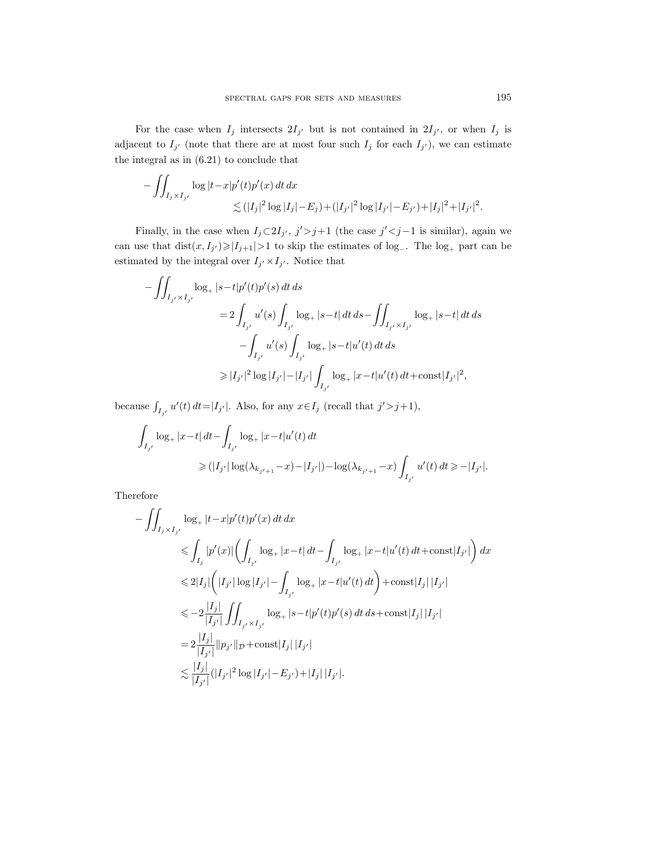For the case when  $I_j$  intersects  $2I_{j'}$  but is not contained in  $2I_{j'}$ , or when  $I_j$  is adjacent to  $I_{j'}$  (note that there are at most four such  $I_j$  for each  $I_{j'}$ ), we can estimate the integral as in (6.21) to conclude that

$$
\begin{aligned} &-\iint_{I_j\times I_{j'}}\log|t-x|p'(t)p'(x)\,dt\,dx\\ &\lesssim (|I_j|^2\log|I_j|-E_j)+(|I_{j'}|^2\log|I_{j'}|-E_{j'})+|I_j|^2+|I_{j'}|^2. \end{aligned}
$$

Finally, in the case when  $I_j \subset 2I_{j'}$ ,  $j' > j+1$  (the case  $j' < j-1$  is similar), again we can use that  $dist(x, I_{j'}) \geq |I_{j+1}| > 1$  to skip the estimates of log<sub>-</sub>. The log<sub>+</sub> part can be estimated by the integral over  $I_{j'} \times I_{j'}$ . Notice that

$$
-\iint_{I_{j'} \times I_{j'}} \log_+ |s-t| p'(t) p'(s) dt ds
$$
  
\n
$$
= 2 \int_{I_{j'}} u'(s) \int_{I_{j'}} \log_+ |s-t| dt ds - \iint_{I_{j'} \times I_{j'}} \log_+ |s-t| dt ds
$$
  
\n
$$
- \int_{I_{j'}} u'(s) \int_{I_{j'}} \log_+ |s-t| u'(t) dt ds
$$
  
\n
$$
\geq |I_{j'}|^2 \log |I_{j'}| - |I_{j'}| \int_{I_{j'}} \log_+ |x-t| u'(t) dt + \text{const}|I_{j'}|^2,
$$

because  $\int_{I_{j'}} u'(t) dt = |I_{j'}|$ . Also, for any  $x \in I_j$  (recall that  $j' > j+1$ ),

$$
\begin{aligned} \int_{I_{j'}}\log_+|x-t|\,dt-\int_{I_{j'}}\log_+|x-t|u'(t)\,dt\\ \geqslant(|I_{j'}|\log(\lambda_{k_{j'+1}}-x)-|I_{j'}|)-\log(\lambda_{k_{j'+1}}-x)\int_{I_{j'}}u'(t)\,dt\geqslant -|I_{j'}|.\end{aligned}
$$

Therefore

$$
-\iint_{I_j \times I_{j'}} \log_+ |t-x| p'(t) p'(x) dt dx
$$
  
\n
$$
\leq \int_{I_j} |p'(x)| \left( \int_{I_{j'}} \log_+ |x-t| dt - \int_{I_{j'}} \log_+ |x-t| u'(t) dt + \text{const}|I_{j'}| \right) dx
$$
  
\n
$$
\leq 2|I_j| \left( |I_{j'}| \log |I_{j'}| - \int_{I_{j'}} \log_+ |x-t| u'(t) dt \right) + \text{const}|I_j| |I_{j'}|
$$
  
\n
$$
\leq -2 \frac{|I_j|}{|I_{j'}|} \iint_{I_{j'} \times I_{j'}} \log_+ |s-t| p'(t) p'(s) dt ds + \text{const}|I_j| |I_{j'}|
$$
  
\n
$$
= 2 \frac{|I_j|}{|I_{j'}|} ||p_{j'}||_{\mathcal{D}} + \text{const}|I_j| |I_{j'}|
$$
  
\n
$$
\lesssim \frac{|I_j|}{|I_{j'}|} (|I_{j'}|^2 \log |I_{j'}| - E_{j'}) + |I_j| |I_{j'}|.
$$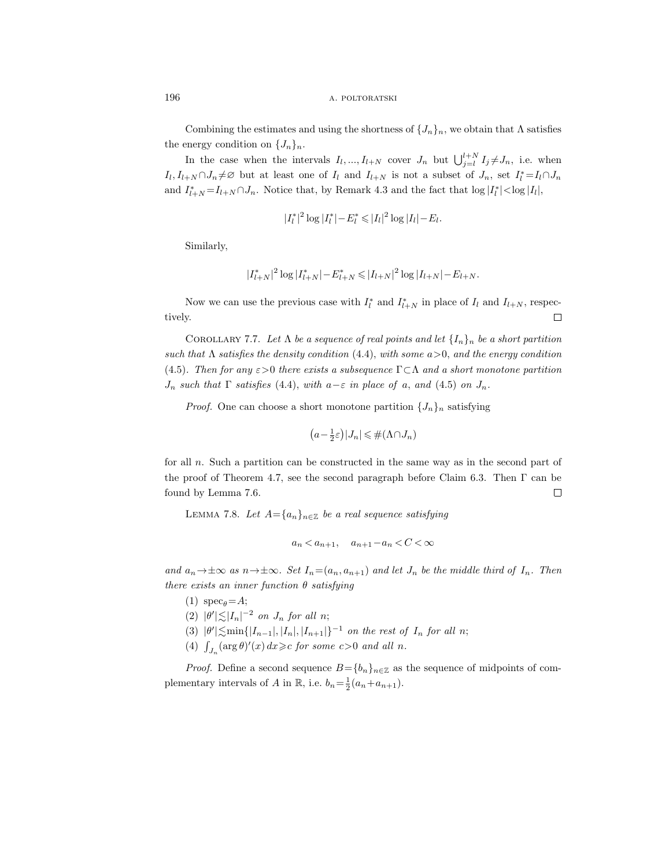Combining the estimates and using the shortness of  $\{J_n\}_n$ , we obtain that  $\Lambda$  satisfies the energy condition on  $\{J_n\}_n$ .

In the case when the intervals  $I_l, ..., I_{l+N}$  cover  $J_n$  but  $\bigcup_{j=l}^{l+N} I_j \neq J_n$ , i.e. when  $I_l, I_{l+N} \cap J_n \neq \emptyset$  but at least one of  $I_l$  and  $I_{l+N}$  is not a subset of  $J_n$ , set  $I_l^* = I_l \cap J_n$ and  $I_{l+N}^* = I_{l+N} \cap J_n$ . Notice that, by Remark 4.3 and the fact that  $\log |I_l^*| < \log |I_l|$ ,

$$
|I_l^*|^2 \log |I_l^*| - E_l^* \leq |I_l|^2 \log |I_l| - E_l.
$$

Similarly,

$$
|I_{l+N}^*|^2\log |I_{l+N}^*|-E_{l+N}^*\leqslant |I_{l+N}|^2\log |I_{l+N}|-E_{l+N}.
$$

Now we can use the previous case with  $I_l^*$  and  $I_{l+N}^*$  in place of  $I_l$  and  $I_{l+N}$ , respec- $\Box$ tively.

COROLLARY 7.7. Let  $\Lambda$  be a sequence of real points and let  $\{I_n\}_n$  be a short partition such that  $\Lambda$  satisfies the density condition (4.4), with some  $a>0$ , and the energy condition (4.5). Then for any  $\varepsilon > 0$  there exists a subsequence  $\Gamma \subset \Lambda$  and a short monotone partition  $J_n$  such that  $\Gamma$  satisfies (4.4), with  $a-\varepsilon$  in place of a, and (4.5) on  $J_n$ .

*Proof.* One can choose a short monotone partition  $\{J_n\}_n$  satisfying

$$
(a - \frac{1}{2}\varepsilon)|J_n| \leq \#(\Lambda \cap J_n)
$$

for all  $n$ . Such a partition can be constructed in the same way as in the second part of the proof of Theorem 4.7, see the second paragraph before Claim 6.3. Then  $\Gamma$  can be found by Lemma 7.6.  $\Box$ 

LEMMA 7.8. Let  $A = \{a_n\}_{n \in \mathbb{Z}}$  be a real sequence satisfying

$$
a_n < a_{n+1}, \quad a_{n+1} - a_n < C < \infty
$$

and  $a_n \to \pm \infty$  as  $n \to \pm \infty$ . Set  $I_n = (a_n, a_{n+1})$  and let  $J_n$  be the middle third of  $I_n$ . Then there exists an inner function  $\theta$  satisfying

- (1)  $\sec_{\theta} = A$ ;
- (2)  $|\theta'| \lesssim |I_n|^{-2}$  on  $J_n$  for all n;
- (3)  $|\theta'| \lesssim \min\{|I_{n-1}|, |I_n|, |I_{n+1}|\}^{-1}$  on the rest of  $I_n$  for all n;
- (4)  $\int_{J_n} (\arg \theta)'(x) dx \geqslant c$  for some  $c > 0$  and all n.

*Proof.* Define a second sequence  $B=\{b_n\}_{n\in\mathbb{Z}}$  as the sequence of midpoints of complementary intervals of A in R, i.e.  $b_n = \frac{1}{2}(a_n + a_{n+1})$ .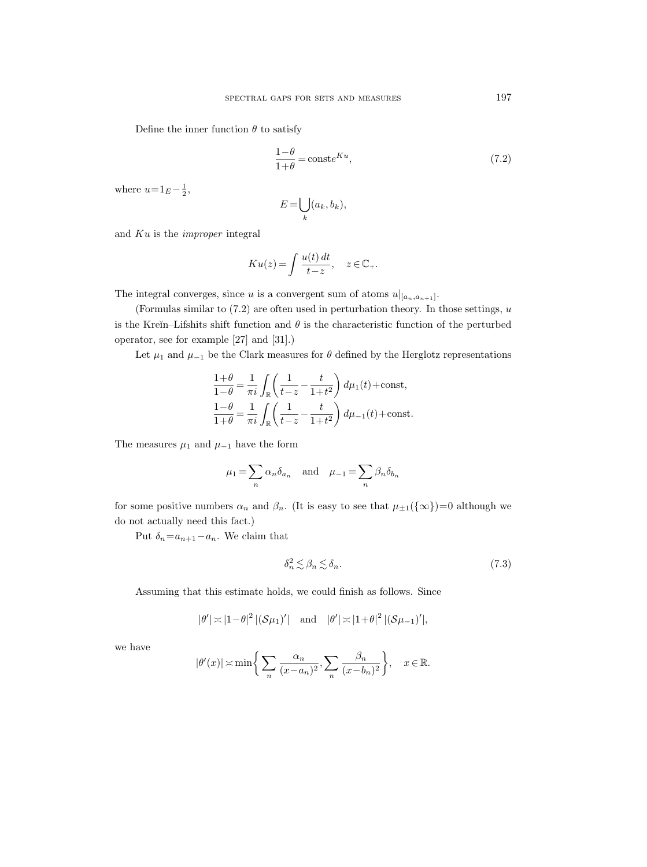Define the inner function  $\theta$  to satisfy

$$
\frac{1-\theta}{1+\theta} = \text{const}e^{Ku},\tag{7.2}
$$

where  $u=1_E - \frac{1}{2}$ ,

$$
E = \bigcup_{k} (a_k, b_k),
$$

and Ku is the improper integral

$$
K u(z) = \int \frac{u(t) dt}{t - z}, \quad z \in \mathbb{C}_+.
$$

The integral converges, since u is a convergent sum of atoms  $u|_{[a_n,a_{n+1}]}.$ 

(Formulas similar to  $(7.2)$  are often used in perturbation theory. In those settings,  $u$ is the Kreĭn–Lifshits shift function and  $\theta$  is the characteristic function of the perturbed operator, see for example [27] and [31].)

Let  $\mu_1$  and  $\mu_{-1}$  be the Clark measures for  $\theta$  defined by the Herglotz representations

$$
\frac{1+\theta}{1-\theta} = \frac{1}{\pi i} \int_{\mathbb{R}} \left( \frac{1}{t-z} - \frac{t}{1+t^2} \right) d\mu_1(t) + \text{const},
$$
  

$$
\frac{1-\theta}{1+\theta} = \frac{1}{\pi i} \int_{\mathbb{R}} \left( \frac{1}{t-z} - \frac{t}{1+t^2} \right) d\mu_{-1}(t) + \text{const}.
$$

The measures  $\mu_1$  and  $\mu_{-1}$  have the form

$$
\mu_1 = \sum_n \alpha_n \delta_{a_n}
$$
 and  $\mu_{-1} = \sum_n \beta_n \delta_{b_n}$ 

for some positive numbers  $\alpha_n$  and  $\beta_n$ . (It is easy to see that  $\mu_{\pm 1}(\{\infty\})=0$  although we do not actually need this fact.)

Put  $\delta_n=a_{n+1}-a_n$ . We claim that

$$
\delta_n^2 \lesssim \beta_n \lesssim \delta_n. \tag{7.3}
$$

Assuming that this estimate holds, we could finish as follows. Since

$$
|\theta'| \asymp |1-\theta|^2 |(\mathcal{S}\mu_1)'| \quad \text{and} \quad |\theta'| \asymp |1+\theta|^2 |(\mathcal{S}\mu_{-1})'|,
$$

we have

$$
|\theta'(x)| \asymp \min\bigg\{\sum_{n} \frac{\alpha_n}{(x-a_n)^2}, \sum_{n} \frac{\beta_n}{(x-b_n)^2}\bigg\}, \quad x \in \mathbb{R}.
$$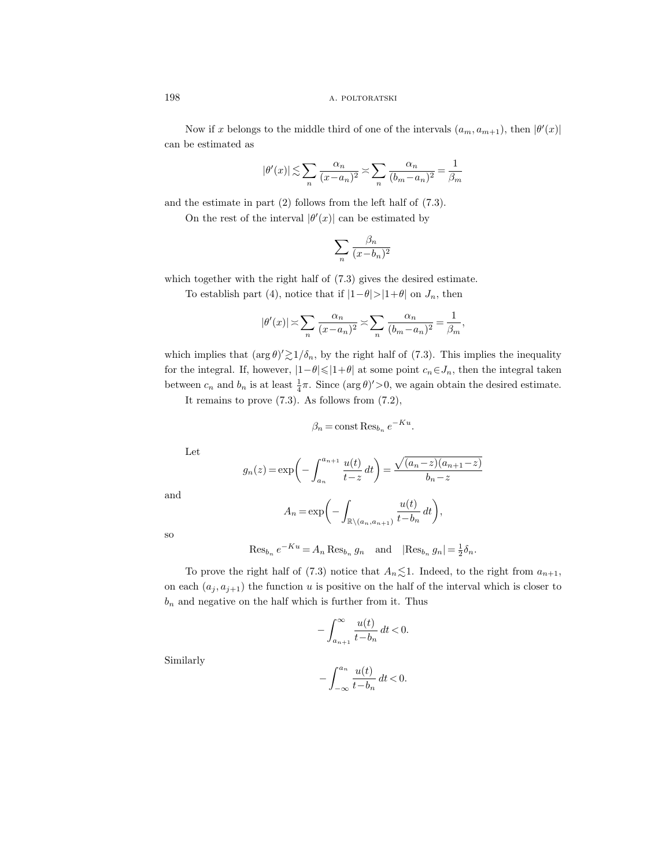Now if x belongs to the middle third of one of the intervals  $(a_m, a_{m+1})$ , then  $|\theta'(x)|$ can be estimated as

$$
|\theta'(x)| \lesssim \sum_{n} \frac{\alpha_n}{(x - a_n)^2} \asymp \sum_{n} \frac{\alpha_n}{(b_m - a_n)^2} = \frac{1}{\beta_m}
$$

and the estimate in part (2) follows from the left half of (7.3).

On the rest of the interval  $|\theta'(x)|$  can be estimated by

$$
\sum_{n} \frac{\beta_n}{(x - b_n)^2}
$$

which together with the right half of (7.3) gives the desired estimate.

To establish part (4), notice that if  $|1-\theta|>|1+\theta|$  on  $J_n$ , then

$$
|\theta'(x)| \asymp \sum_{n} \frac{\alpha_n}{(x - a_n)^2} \asymp \sum_{n} \frac{\alpha_n}{(b_m - a_n)^2} = \frac{1}{\beta_m},
$$

which implies that  $(\arg \theta)' \gtrsim 1/\delta_n$ , by the right half of (7.3). This implies the inequality for the integral. If, however,  $|1-\theta| \leq |1+\theta|$  at some point  $c_n \in J_n$ , then the integral taken between  $c_n$  and  $b_n$  is at least  $\frac{1}{4}\pi$ . Since  $(\arg \theta)' > 0$ , we again obtain the desired estimate.

It remains to prove  $(7.3)$ . As follows from  $(7.2)$ ,

$$
\beta_n = \text{const} \operatorname{Res}_{b_n} e^{-Ku}.
$$

Let

$$
g_n(z) = \exp\left(-\int_{a_n}^{a_{n+1}} \frac{u(t)}{t - z} dt\right) = \frac{\sqrt{(a_n - z)(a_{n+1} - z)}}{b_n - z}
$$

and

$$
A_n = \exp\bigg(-\int_{\mathbb{R}\setminus(a_n, a_{n+1})} \frac{u(t)}{t - b_n} dt\bigg),\,
$$

so

$$
\operatorname{Res}_{b_n} e^{-Ku} = A_n \operatorname{Res}_{b_n} g_n \quad \text{and} \quad |\operatorname{Res}_{b_n} g_n| = \frac{1}{2} \delta_n.
$$

To prove the right half of (7.3) notice that  $A_n \lesssim 1$ . Indeed, to the right from  $a_{n+1}$ , on each  $(a_j, a_{j+1})$  the function u is positive on the half of the interval which is closer to  $b_n$  and negative on the half which is further from it. Thus

$$
-\int_{a_{n+1}}^{\infty} \frac{u(t)}{t-b_n} dt < 0.
$$

Similarly

$$
-\int_{-\infty}^{a_n} \frac{u(t)}{t - b_n} dt < 0.
$$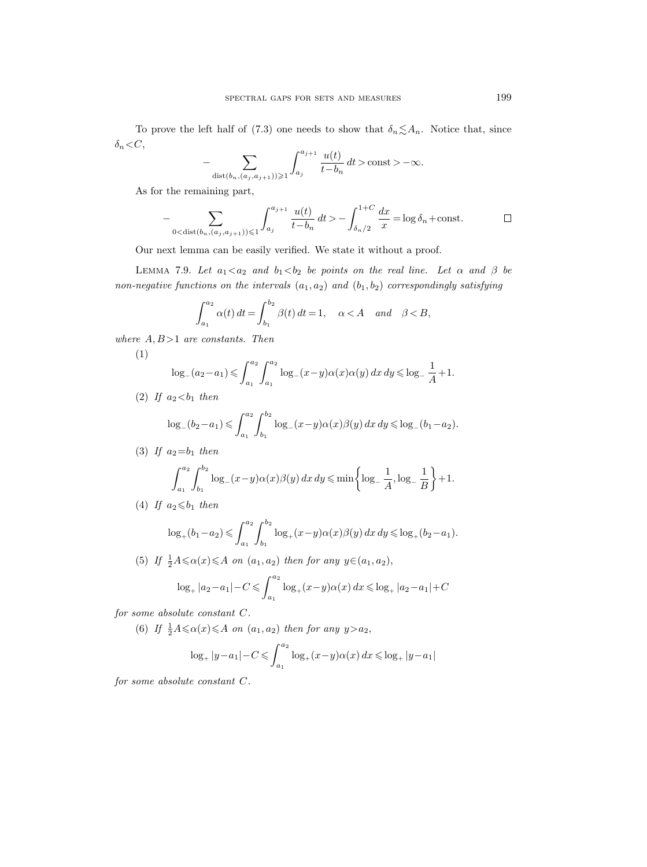To prove the left half of (7.3) one needs to show that  $\delta_n \lesssim A_n$ . Notice that, since  $\delta_n{<}\,C,$ 

$$
-\sum_{\text{dist}(b_n,(a_j,a_{j+1}))\geqslant 1}\int_{a_j}^{a_{j+1}}\frac{u(t)}{t-b_n}\,dt>\text{const}>-\infty.
$$

As for the remaining part,

$$
-\sum_{0 < \text{dist}(b_n, (a_j, a_{j+1})) \leq 1} \int_{a_j}^{a_{j+1}} \frac{u(t)}{t - b_n} dt > -\int_{\delta_n/2}^{1+C} \frac{dx}{x} = \log \delta_n + \text{const.} \qquad \Box
$$

Our next lemma can be easily verified. We state it without a proof.

LEMMA 7.9. Let  $a_1 < a_2$  and  $b_1 < b_2$  be points on the real line. Let  $\alpha$  and  $\beta$  be non-negative functions on the intervals  $(a_1, a_2)$  and  $(b_1, b_2)$  correspondingly satisfying

$$
\int_{a_1}^{a_2} \alpha(t) dt = \int_{b_1}^{b_2} \beta(t) dt = 1, \quad \alpha < A \quad and \quad \beta < B,
$$

where  $A, B>1$  are constants. Then

$$
\log_{-}(a_2 - a_1) \leq \int_{a_1}^{a_2} \int_{a_1}^{a_2} \log_{-}(x - y)\alpha(x)\alpha(y) dx dy \leq \log_{-}\frac{1}{A} + 1.
$$

(2) If  $a_2 < b_1$  then

(1)

$$
\log_{-}(b_2 - a_1) \leqslant \int_{a_1}^{a_2} \int_{b_1}^{b_2} \log_{-}(x - y) \alpha(x) \beta(y) \, dx \, dy \leqslant \log_{-}(b_1 - a_2).
$$

(3) If  $a_2=b_1$  then

$$
\int_{a_1}^{a_2} \int_{b_1}^{b_2} \log_{-}(x-y)\alpha(x)\beta(y) dx dy \le \min\left\{\log_{-}\frac{1}{A}, \log_{-}\frac{1}{B}\right\} + 1.
$$

(4) If  $a_2 \leq b_1$  then

$$
\log_+(b_1 - a_2) \leqslant \int_{a_1}^{a_2} \int_{b_1}^{b_2} \log_+(x - y) \alpha(x) \beta(y) \, dx \, dy \leqslant \log_+(b_2 - a_1).
$$

(5) If  $\frac{1}{2}A \leq \alpha(x) \leq A$  on  $(a_1, a_2)$  then for any  $y \in (a_1, a_2)$ ,

$$
\log_+|a_2 - a_1| - C \leq \int_{a_1}^{a_2} \log_+(x - y)\alpha(x) \, dx \leq \log_+|a_2 - a_1| + C
$$

for some absolute constant C.

(6) If  $\frac{1}{2}A \leq \alpha(x) \leq A$  on  $(a_1, a_2)$  then for any  $y > a_2$ ,

$$
\log_+|y-a_1|-C\leqslant \int_{a_1}^{a_2}\log_+(x-y)\alpha(x)\,dx\leqslant \log_+|y-a_1|
$$

for some absolute constant C.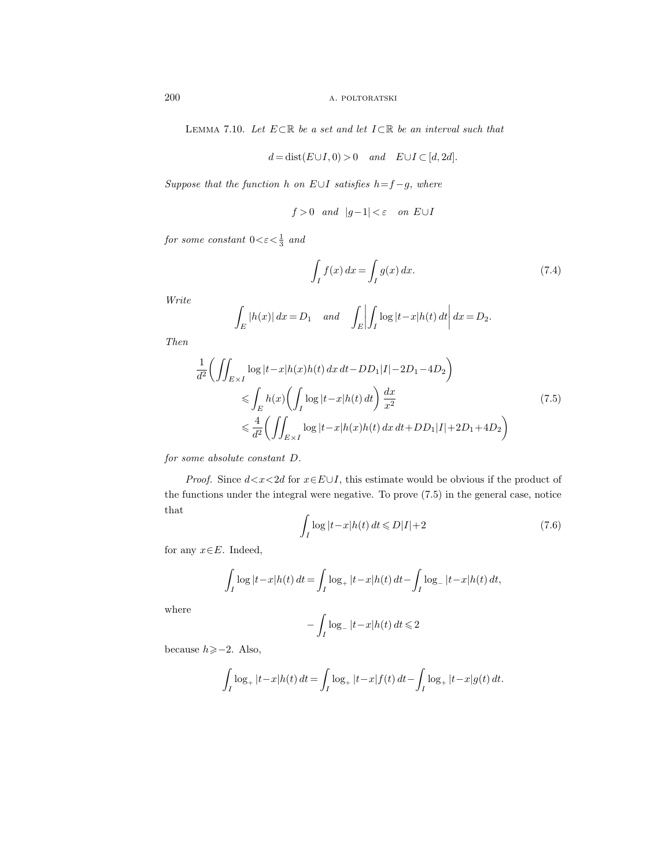LEMMA 7.10. Let  $E \subset \mathbb{R}$  be a set and let  $I \subset \mathbb{R}$  be an interval such that

$$
d = dist(E \cup I, 0) > 0
$$
 and  $E \cup I \subset [d, 2d]$ .

Suppose that the function h on  $E \cup I$  satisfies  $h = f - g$ , where

$$
f > 0
$$
 and  $|g-1| < \varepsilon$  on  $E \cup I$ 

for some constant  $0 < \varepsilon < \frac{1}{3}$  and

$$
\int_{I} f(x) dx = \int_{I} g(x) dx.
$$
\n(7.4)

Write

$$
\int_E |h(x)| dx = D_1 \quad \text{and} \quad \int_E \left| \int_I \log |t - x| h(t) dt \right| dx = D_2.
$$

Then

$$
\frac{1}{d^2} \left( \iint_{E \times I} \log |t - x| h(x) h(t) \, dx \, dt - DD_1 |I| - 2D_1 - 4D_2 \right)
$$
\n
$$
\leqslant \int_E h(x) \left( \int_I \log |t - x| h(t) \, dt \right) \frac{dx}{x^2}
$$
\n
$$
\leqslant \frac{4}{d^2} \left( \iint_{E \times I} \log |t - x| h(x) h(t) \, dx \, dt + DD_1 |I| + 2D_1 + 4D_2 \right)
$$
\n
$$
(7.5)
$$

for some absolute constant D.

*Proof.* Since  $d < x < 2d$  for  $x \in E \cup I$ , this estimate would be obvious if the product of the functions under the integral were negative. To prove (7.5) in the general case, notice that

$$
\int_{I} \log|t - x| h(t) dt \le D|I| + 2
$$
\n(7.6)

for any  $x \in E$ . Indeed,

$$
\int_I \log|t - x|h(t) dt = \int_I \log_+|t - x|h(t) dt - \int_I \log_-|t - x|h(t) dt,
$$

where

$$
-\int_I \log_- |t-x|h(t) \, dt \leq 2
$$

because  $h \geq -2$ . Also,

$$
\int_I \log_+ |t - x| h(t) dt = \int_I \log_+ |t - x| f(t) dt - \int_I \log_+ |t - x| g(t) dt.
$$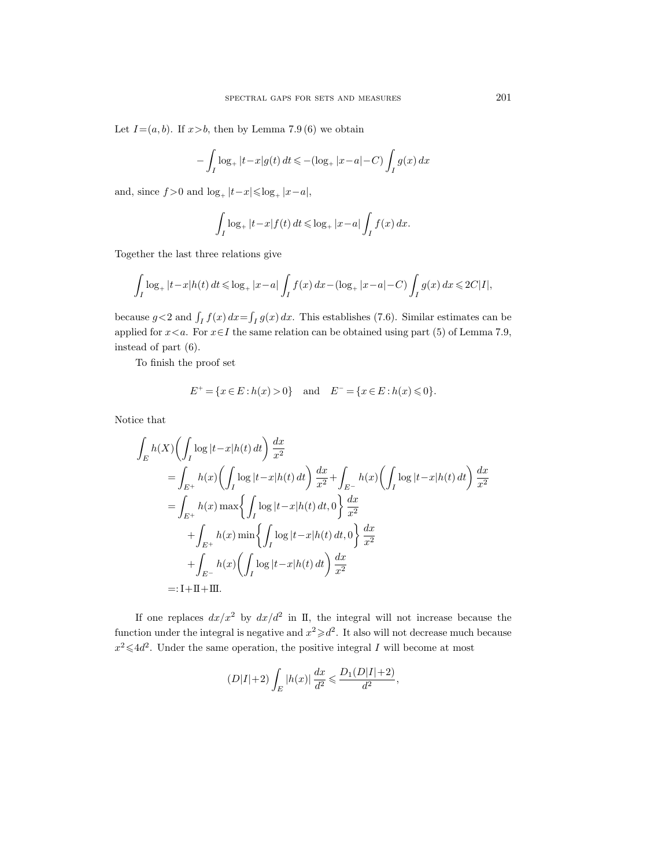Let  $I=(a, b)$ . If  $x>b$ , then by Lemma 7.9 (6) we obtain

$$
-\int_{I} \log_{+} |t - x| g(t) dt \leq -(\log_{+} |x - a| - C) \int_{I} g(x) dx
$$

and, since  $f > 0$  and  $\log_+ |t-x| \leq \log_+ |x-a|$ ,

$$
\int_I \log_+ |t-x| f(t) dt \leq \log_+ |x-a| \int_I f(x) dx.
$$

Together the last three relations give

$$
\int_I \log_+ |t-x| h(t) \, dt \leq \log_+ |x-a| \int_I f(x) \, dx - (\log_+ |x-a| - C) \int_I g(x) \, dx \leq 2C|I|,
$$

because  $g < 2$  and  $\int_I f(x) dx = \int_I g(x) dx$ . This establishes (7.6). Similar estimates can be applied for  $x \le a$ . For  $x \in I$  the same relation can be obtained using part (5) of Lemma 7.9, instead of part (6).

To finish the proof set

$$
E^+ = \{ x \in E : h(x) > 0 \} \text{ and } E^- = \{ x \in E : h(x) \leq 0 \}.
$$

Notice that

$$
\int_{E} h(X) \left( \int_{I} \log |t - x|h(t) dt \right) \frac{dx}{x^{2}}
$$
\n
$$
= \int_{E^{+}} h(x) \left( \int_{I} \log |t - x|h(t) dt \right) \frac{dx}{x^{2}} + \int_{E^{-}} h(x) \left( \int_{I} \log |t - x|h(t) dt \right) \frac{dx}{x^{2}}
$$
\n
$$
= \int_{E^{+}} h(x) \max \left\{ \int_{I} \log |t - x|h(t) dt, 0 \right\} \frac{dx}{x^{2}}
$$
\n
$$
+ \int_{E^{+}} h(x) \min \left\{ \int_{I} \log |t - x|h(t) dt, 0 \right\} \frac{dx}{x^{2}}
$$
\n
$$
+ \int_{E^{-}} h(x) \left( \int_{I} \log |t - x|h(t) dt \right) \frac{dx}{x^{2}}
$$
\n
$$
=: \text{I} + \text{II} + \text{III}.
$$

If one replaces  $dx/x^2$  by  $dx/d^2$  in II, the integral will not increase because the function under the integral is negative and  $x^2 \geq d^2$ . It also will not decrease much because  $x^2 \leq 4d^2$ . Under the same operation, the positive integral I will become at most

$$
(D|I|+2)\int_{E}|h(x)|\frac{dx}{d^2} \leqslant \frac{D_1(D|I|+2)}{d^2},
$$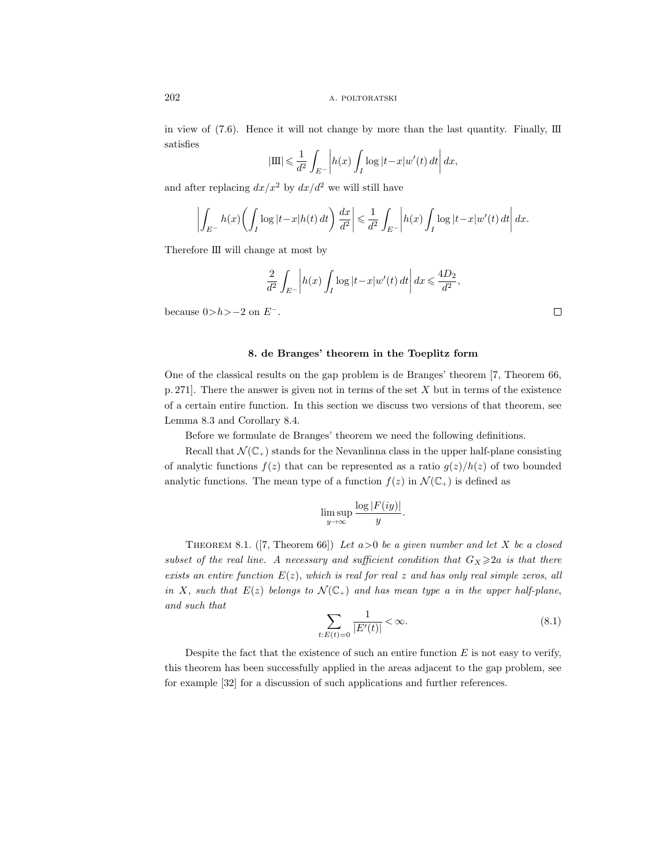in view of  $(7.6)$ . Hence it will not change by more than the last quantity. Finally,  $\text{III}$ satisfies

$$
|\mathrm{III}| \leqslant \frac{1}{d^2} \int_{E^-} \left| h(x) \int_I \log|t-x| w'(t) dt \right| dx,
$$

and after replacing  $dx/x^2$  by  $dx/d^2$  we will still have

$$
\left| \int_{E^-} h(x) \left( \int_I \log |t - x| h(t) \, dt \right) \frac{dx}{d^2} \right| \leq \frac{1}{d^2} \int_{E^-} \left| h(x) \int_I \log |t - x| w'(t) \, dt \right| dx.
$$

Therefore III will change at most by

$$
\frac{2}{d^2} \int_{E^-} \left| h(x) \int_I \log|t - x| w'(t) dt \right| dx \leq \frac{4D_2}{d^2},
$$

because  $0>h>-2$  on  $E^-$ .

#### 8. de Branges' theorem in the Toeplitz form

One of the classical results on the gap problem is de Branges' theorem [7, Theorem 66, p. 271]. There the answer is given not in terms of the set X but in terms of the existence of a certain entire function. In this section we discuss two versions of that theorem, see Lemma 8.3 and Corollary 8.4.

Before we formulate de Branges' theorem we need the following definitions.

Recall that  $\mathcal{N}(\mathbb{C}_+)$  stands for the Nevanlinna class in the upper half-plane consisting of analytic functions  $f(z)$  that can be represented as a ratio  $g(z)/h(z)$  of two bounded analytic functions. The mean type of a function  $f(z)$  in  $\mathcal{N}(\mathbb{C}_+)$  is defined as

$$
\limsup_{y \to \infty} \frac{\log |F(iy)|}{y}.
$$

THEOREM 8.1. ([7, Theorem 66]) Let  $a>0$  be a given number and let X be a closed subset of the real line. A necessary and sufficient condition that  $G_X \geq 2a$  is that there exists an entire function  $E(z)$ , which is real for real z and has only real simple zeros, all in X, such that  $E(z)$  belongs to  $\mathcal{N}(\mathbb{C}_+)$  and has mean type a in the upper half-plane, and such that

$$
\sum_{t:E(t)=0} \frac{1}{|E'(t)|} < \infty. \tag{8.1}
$$

Despite the fact that the existence of such an entire function  $E$  is not easy to verify, this theorem has been successfully applied in the areas adjacent to the gap problem, see for example [32] for a discussion of such applications and further references.

 $\Box$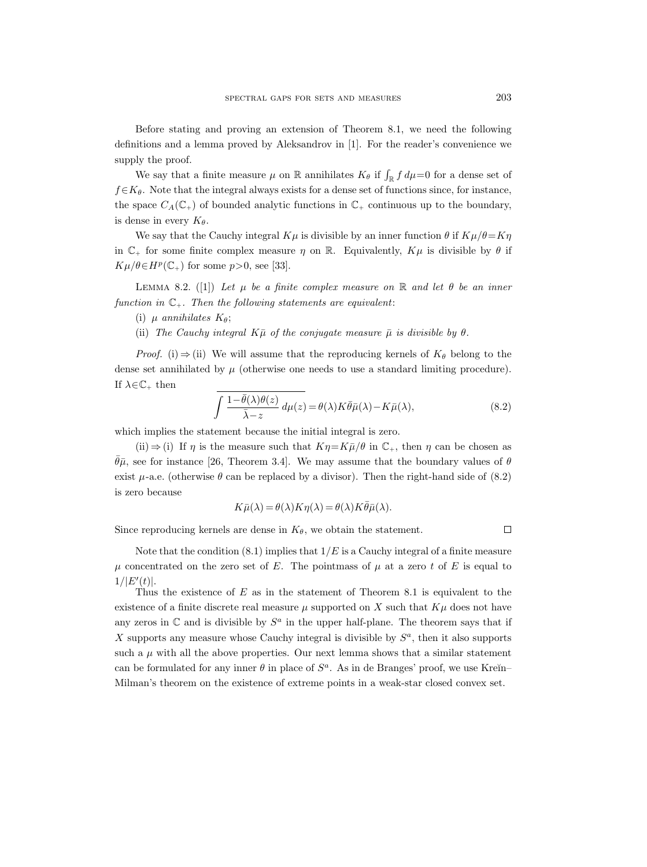Before stating and proving an extension of Theorem 8.1, we need the following definitions and a lemma proved by Aleksandrov in [1]. For the reader's convenience we supply the proof.

We say that a finite measure  $\mu$  on  $\mathbb R$  annihilates  $K_{\theta}$  if  $\int_{\mathbb R} f d\mu = 0$  for a dense set of  $f \in K_\theta$ . Note that the integral always exists for a dense set of functions since, for instance, the space  $C_A(\mathbb{C}_+)$  of bounded analytic functions in  $\mathbb{C}_+$  continuous up to the boundary, is dense in every  $K_{\theta}$ .

We say that the Cauchy integral  $K\mu$  is divisible by an inner function  $\theta$  if  $K\mu/\theta = K\eta$ in  $\mathbb{C}_+$  for some finite complex measure  $\eta$  on  $\mathbb{R}$ . Equivalently,  $K\mu$  is divisible by  $\theta$  if  $K\mu/\theta \in H^p(\mathbb{C}_+)$  for some  $p>0$ , see [33].

LEMMA 8.2. ([1]) Let  $\mu$  be a finite complex measure on  $\mathbb R$  and let  $\theta$  be an inner function in  $\mathbb{C}_+$ . Then the following statements are equivalent:

(ii) The Cauchy integral  $K\bar{\mu}$  of the conjugate measure  $\bar{\mu}$  is divisible by  $\theta$ .

*Proof.* (i)  $\Rightarrow$  (ii) We will assume that the reproducing kernels of  $K_{\theta}$  belong to the dense set annihilated by  $\mu$  (otherwise one needs to use a standard limiting procedure). If  $\lambda \in \mathbb{C}_+$  then

$$
\int \frac{1 - \bar{\theta}(\lambda)\theta(z)}{\bar{\lambda} - z} d\mu(z) = \theta(\lambda) K \bar{\theta} \bar{\mu}(\lambda) - K \bar{\mu}(\lambda),
$$
\n(8.2)

which implies the statement because the initial integral is zero.

(ii)  $\Rightarrow$  (i) If  $\eta$  is the measure such that  $K\eta = K\overline{\mu}/\theta$  in  $\mathbb{C}_+$ , then  $\eta$  can be chosen as  $\theta\bar{\mu}$ , see for instance [26, Theorem 3.4]. We may assume that the boundary values of  $\theta$ exist  $\mu$ -a.e. (otherwise  $\theta$  can be replaced by a divisor). Then the right-hand side of (8.2) is zero because

$$
K\bar{\mu}(\lambda) = \theta(\lambda)K\eta(\lambda) = \theta(\lambda)K\bar{\theta}\bar{\mu}(\lambda).
$$

Since reproducing kernels are dense in  $K_{\theta}$ , we obtain the statement.

 $\Box$ 

Note that the condition  $(8.1)$  implies that  $1/E$  is a Cauchy integral of a finite measure  $\mu$  concentrated on the zero set of E. The pointmass of  $\mu$  at a zero t of E is equal to  $1/|E'(t)|$ .

Thus the existence of  $E$  as in the statement of Theorem 8.1 is equivalent to the existence of a finite discrete real measure  $\mu$  supported on X such that  $K\mu$  does not have any zeros in  $\mathbb C$  and is divisible by  $S^a$  in the upper half-plane. The theorem says that if X supports any measure whose Cauchy integral is divisible by  $S^a$ , then it also supports such a  $\mu$  with all the above properties. Our next lemma shows that a similar statement can be formulated for any inner  $\theta$  in place of  $S^a$ . As in de Branges' proof, we use Kreĭn-Milman's theorem on the existence of extreme points in a weak-star closed convex set.

<sup>(</sup>i)  $\mu$  annihilates  $K_{\theta}$ ;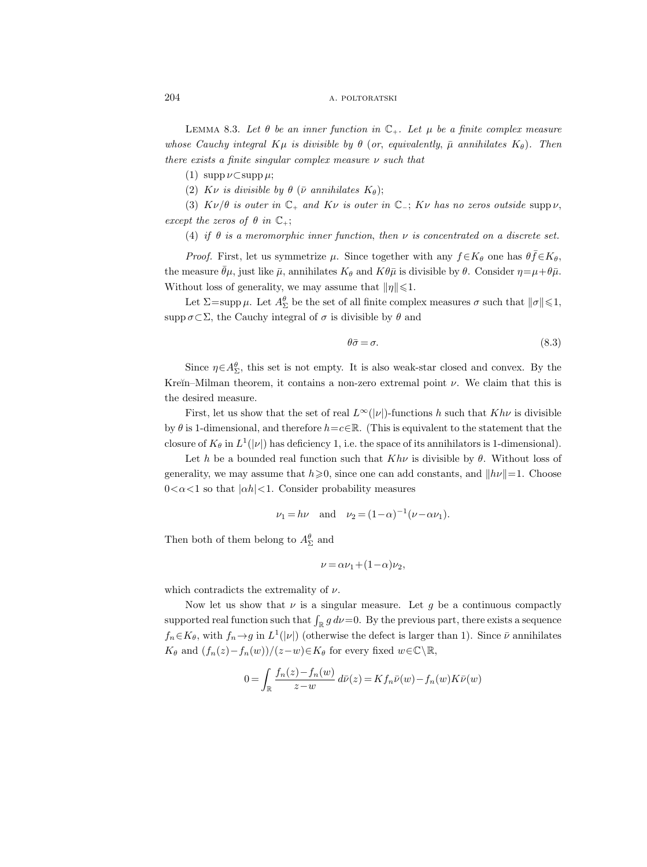LEMMA 8.3. Let  $\theta$  be an inner function in  $\mathbb{C}_+$ . Let  $\mu$  be a finite complex measure whose Cauchy integral  $K\mu$  is divisible by  $\theta$  (or, equivalently,  $\bar{\mu}$  annihilates  $K_{\theta}$ ). Then there exists a finite singular complex measure  $\nu$  such that

(1)  $\supp \nu \subset \supp \mu;$ 

(2) Kv is divisible by  $\theta$  ( $\bar{\nu}$  annihilates  $K_{\theta}$ );

(3)  $K\nu/\theta$  is outer in  $\mathbb{C}_+$  and  $K\nu$  is outer in  $\mathbb{C}_-$ ;  $K\nu$  has no zeros outside supp  $\nu$ , except the zeros of  $\theta$  in  $\mathbb{C}_+$ ;

(4) if  $\theta$  is a meromorphic inner function, then  $\nu$  is concentrated on a discrete set.

*Proof.* First, let us symmetrize  $\mu$ . Since together with any  $f \in K_\theta$  one has  $\theta \bar{f} \in K_\theta$ , the measure  $\bar{\theta}\mu$ , just like  $\bar{\mu}$ , annihilates  $K_{\theta}$  and  $K\theta\bar{\mu}$  is divisible by  $\theta$ . Consider  $\eta = \mu + \theta\bar{\mu}$ . Without loss of generality, we may assume that  $\|\eta\|\leq 1$ .

Let  $\Sigma = \text{supp }\mu$ . Let  $A^{\theta}_{\Sigma}$  be the set of all finite complex measures  $\sigma$  such that  $\|\sigma\| \leq 1$ , supp  $\sigma \subset \Sigma$ , the Cauchy integral of  $\sigma$  is divisible by  $\theta$  and

$$
\theta \bar{\sigma} = \sigma. \tag{8.3}
$$

Since  $\eta \in A_{\Sigma}^{\theta}$ , this set is not empty. It is also weak-star closed and convex. By the Kreĭn–Milman theorem, it contains a non-zero extremal point  $\nu$ . We claim that this is the desired measure.

First, let us show that the set of real  $L^{\infty}(|\nu|)$ -functions h such that  $Kh\nu$  is divisible by  $\theta$  is 1-dimensional, and therefore  $h = c \in \mathbb{R}$ . (This is equivalent to the statement that the closure of  $K_{\theta}$  in  $L^1(|\nu|)$  has deficiency 1, i.e. the space of its annihilators is 1-dimensional).

Let h be a bounded real function such that  $Kh\nu$  is divisible by  $\theta$ . Without loss of generality, we may assume that  $h \ge 0$ , since one can add constants, and  $||h\nu||=1$ . Choose  $0 < \alpha < 1$  so that  $|\alpha h| < 1$ . Consider probability measures

$$
\nu_1 = h\nu
$$
 and  $\nu_2 = (1 - \alpha)^{-1} (\nu - \alpha \nu_1).$ 

Then both of them belong to  $A_{\Sigma}^{\theta}$  and

$$
\nu = \alpha \nu_1 + (1 - \alpha) \nu_2,
$$

which contradicts the extremality of  $\nu$ .

Now let us show that  $\nu$  is a singular measure. Let g be a continuous compactly supported real function such that  $\int_{\mathbb{R}} g \, d\nu = 0$ . By the previous part, there exists a sequence  $f_n \in K_\theta$ , with  $f_n \to g$  in  $L^1(|\nu|)$  (otherwise the defect is larger than 1). Since  $\bar{\nu}$  annihilates  $K_{\theta}$  and  $(f_n(z)-f_n(w))/(z-w) \in K_{\theta}$  for every fixed  $w \in \mathbb{C} \backslash \mathbb{R}$ ,

$$
0 = \int_{\mathbb{R}} \frac{f_n(z) - f_n(w)}{z - w} d\bar{\nu}(z) = K f_n \bar{\nu}(w) - f_n(w) K \bar{\nu}(w)
$$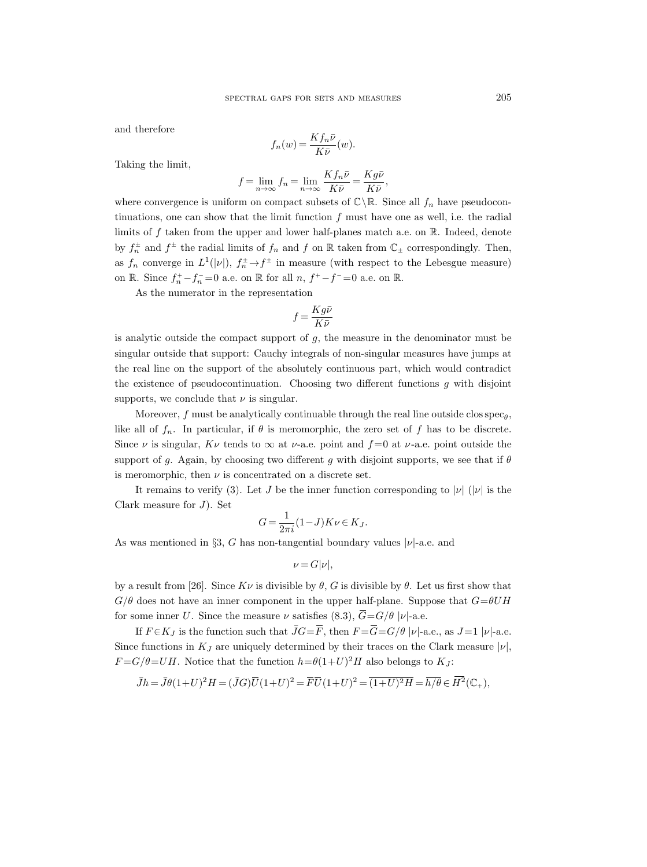and therefore

$$
f_n(w) = \frac{K f_n \bar{\nu}}{K \bar{\nu}}(w).
$$

Taking the limit,

$$
f = \lim_{n \to \infty} f_n = \lim_{n \to \infty} \frac{K f_n \bar{\nu}}{K \bar{\nu}} = \frac{K g \bar{\nu}}{K \bar{\nu}},
$$

where convergence is uniform on compact subsets of  $\mathbb{C}\backslash\mathbb{R}$ . Since all  $f_n$  have pseudocontinuations, one can show that the limit function  $f$  must have one as well, i.e. the radial limits of  $f$  taken from the upper and lower half-planes match a.e. on  $\mathbb R$ . Indeed, denote by  $f_n^{\pm}$  and  $f^{\pm}$  the radial limits of  $f_n$  and  $f$  on  $\mathbb R$  taken from  $\mathbb{C}_{\pm}$  correspondingly. Then, as  $f_n$  converge in  $L^1(|\nu|)$ ,  $f_n^{\pm} \to f^{\pm}$  in measure (with respect to the Lebesgue measure) on  $\mathbb{R}$ . Since  $f_n^+ - f_n^- = 0$  a.e. on  $\mathbb{R}$  for all  $n, f^+ - f^- = 0$  a.e. on  $\mathbb{R}$ .

As the numerator in the representation

$$
f=\frac{Kg\bar{\nu}}{K\bar{\nu}}
$$

is analytic outside the compact support of  $g$ , the measure in the denominator must be singular outside that support: Cauchy integrals of non-singular measures have jumps at the real line on the support of the absolutely continuous part, which would contradict the existence of pseudocontinuation. Choosing two different functions  $q$  with disjoint supports, we conclude that  $\nu$  is singular.

Moreover,  $f$  must be analytically continuable through the real line outside closspec<sub> $\theta$ </sub>, like all of  $f_n$ . In particular, if  $\theta$  is meromorphic, the zero set of f has to be discrete. Since  $\nu$  is singular,  $K\nu$  tends to  $\infty$  at  $\nu$ -a.e. point and  $f=0$  at  $\nu$ -a.e. point outside the support of g. Again, by choosing two different g with disjoint supports, we see that if  $\theta$ is meromorphic, then  $\nu$  is concentrated on a discrete set.

It remains to verify (3). Let J be the inner function corresponding to  $|\nu|$  ( $|\nu|$  is the Clark measure for  $J$ ). Set

$$
G = \frac{1}{2\pi i} (1 - J) K \nu \in K_J.
$$

As was mentioned in §3, G has non-tangential boundary values  $|\nu|$ -a.e. and

$$
\nu = G|\nu|,
$$

by a result from [26]. Since  $K\nu$  is divisible by  $\theta$ , G is divisible by  $\theta$ . Let us first show that  $G/\theta$  does not have an inner component in the upper half-plane. Suppose that  $G=\theta UH$ for some inner U. Since the measure  $\nu$  satisfies (8.3),  $\overline{G} = G/\theta |\nu|$ -a.e.

If  $F \in K_J$  is the function such that  $\bar{J}G = \bar{F}$ , then  $F = \bar{G} = G/\theta |\nu|$ -a.e., as  $J=1 |\nu|$ -a.e. Since functions in  $K_J$  are uniquely determined by their traces on the Clark measure  $|\nu|$ ,  $F = G/\theta = UH$ . Notice that the function  $h = \theta(1+U)^2H$  also belongs to  $K_J$ :

$$
\overline{J}h = \overline{J}\theta(1+U)^2H = (\overline{J}G)\overline{U}(1+U)^2 = \overline{F}\overline{U}(1+U)^2 = \overline{(1+U)^2H} = \overline{h/\theta} \in \overline{H}^2(\mathbb{C}_+),
$$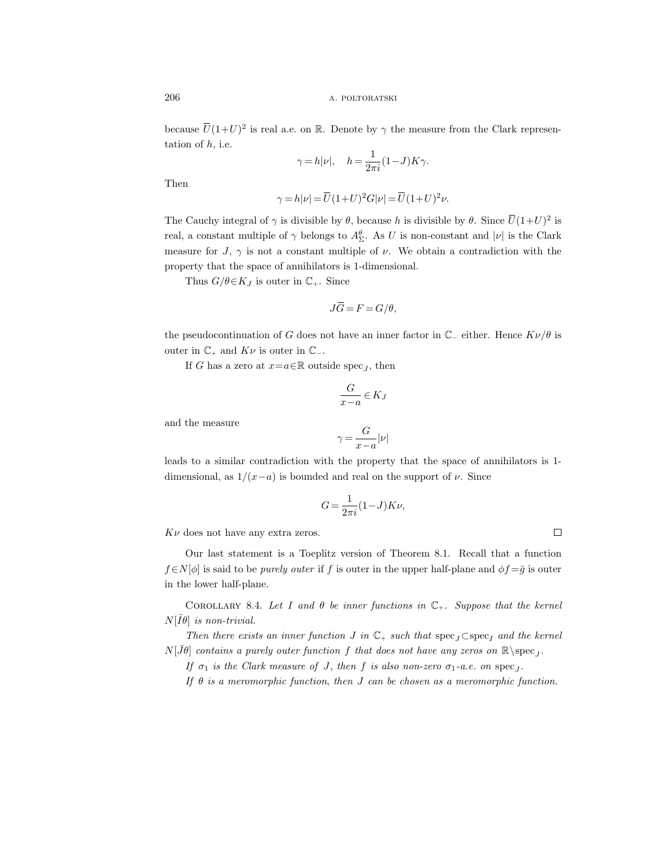because  $\overline{U}(1+U)^2$  is real a.e. on R. Denote by  $\gamma$  the measure from the Clark representation of  $h$ , i.e.

$$
\gamma = h|\nu|, \quad h = \frac{1}{2\pi i}(1-J)K\gamma.
$$

Then

$$
\gamma\,{=}\,h|\nu\,{=}\,\overline{U}(1\,{+}\,U)^2G|\nu\,{=}\,\overline{U}(1\,{+}\,U)^2\nu.
$$

The Cauchy integral of  $\gamma$  is divisible by  $\theta$ , because h is divisible by  $\theta$ . Since  $\overline{U}(1+U)^2$  is real, a constant multiple of  $\gamma$  belongs to  $A_{\Sigma}^{\theta}$ . As U is non-constant and  $|\nu|$  is the Clark measure for J,  $\gamma$  is not a constant multiple of  $\nu$ . We obtain a contradiction with the property that the space of annihilators is 1-dimensional.

Thus  $G/\theta \in K_J$  is outer in  $\mathbb{C}_+$ . Since

$$
J\overline{G} = F = G/\theta,
$$

the pseudocontinuation of G does not have an inner factor in  $\mathbb{C}_-$  either. Hence  $K\nu/\theta$  is outer in  $\mathbb{C}_+$  and  $K\nu$  is outer in  $\mathbb{C}_-$ .

If G has a zero at  $x=a\in\mathbb{R}$  outside spec<sub>J</sub>, then

$$
\frac{G}{x-a} \in K_J
$$

and the measure

$$
\gamma = \frac{G}{x-a}|\nu|
$$

leads to a similar contradiction with the property that the space of annihilators is 1 dimensional, as  $1/(x-a)$  is bounded and real on the support of  $\nu$ . Since

$$
G = \frac{1}{2\pi i} (1 - J) K \nu,
$$

 $K\nu$  does not have any extra zeros.

Our last statement is a Toeplitz version of Theorem 8.1. Recall that a function  $f \in N[\phi]$  is said to be *purely outer* if f is outer in the upper half-plane and  $\phi f = \bar{g}$  is outer in the lower half-plane.

COROLLARY 8.4. Let I and  $\theta$  be inner functions in  $\mathbb{C}_+$ . Suppose that the kernel  $N[\bar{I}\theta]$  is non-trivial.

Then there exists an inner function J in  $\mathbb{C}_+$  such that  $\operatorname{spec}_J \subset \operatorname{spec}_I$  and the kernel  $N[\bar{J}\theta]$  contains a purely outer function f that does not have any zeros on  $\mathbb{R}\setminus \mathrm{spec}_J$ .

If  $\sigma_1$  is the Clark measure of J, then f is also non-zero  $\sigma_1$ -a.e. on  $spec_J$ .

If  $\theta$  is a meromorphic function, then J can be chosen as a meromorphic function.

 $\Box$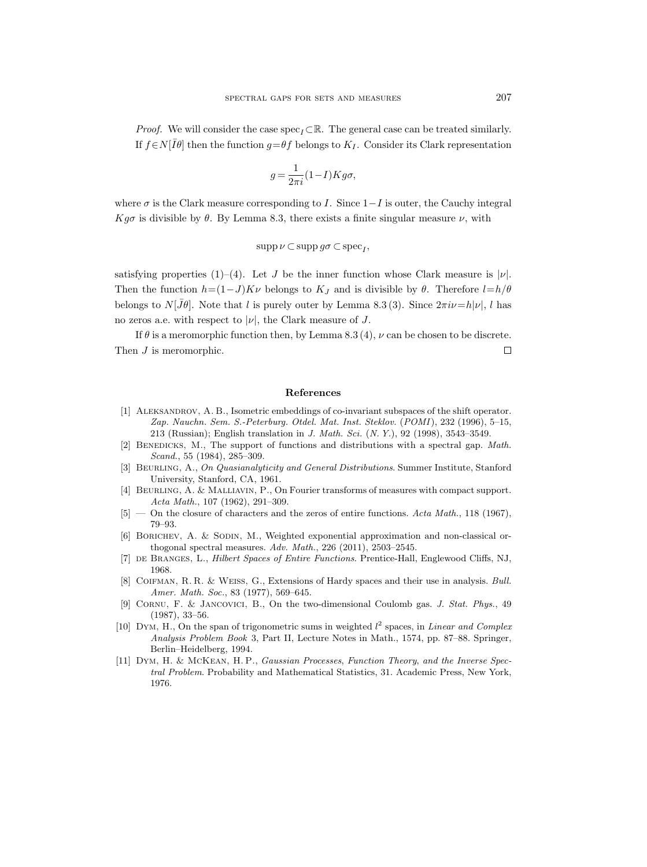*Proof.* We will consider the case spec<sub> $I$ </sub> ⊂R. The general case can be treated similarly. If  $f \in N[\overline{I}\theta]$  then the function  $g = \theta f$  belongs to  $K_I$ . Consider its Clark representation

$$
g = \frac{1}{2\pi i} (1 - I) K g \sigma,
$$

where  $\sigma$  is the Clark measure corresponding to I. Since  $1-I$  is outer, the Cauchy integral Kg $\sigma$  is divisible by  $\theta$ . By Lemma 8.3, there exists a finite singular measure  $\nu$ , with

$$
\operatorname{supp}\nu\subset\operatorname{supp} g\sigma\subset\operatorname{spec}_I,
$$

satisfying properties (1)–(4). Let J be the inner function whose Clark measure is  $|\nu|$ . Then the function  $h=(1-J)K\nu$  belongs to  $K_J$  and is divisible by  $\theta$ . Therefore  $l=h/\theta$ belongs to  $N[\bar{J}\theta]$ . Note that l is purely outer by Lemma 8.3 (3). Since  $2\pi i\nu=h|\nu|$ , l has no zeros a.e. with respect to  $|\nu|$ , the Clark measure of J.

If  $\theta$  is a meromorphic function then, by Lemma 8.3 (4),  $\nu$  can be chosen to be discrete. Then  $J$  is meromorphic.  $\Box$ 

#### References

- [1] Aleksandrov, A. B., Isometric embeddings of co-invariant subspaces of the shift operator. Zap. Nauchn. Sem. S.-Peterburg. Otdel. Mat. Inst. Steklov. (POMI ), 232 (1996), 5–15, 213 (Russian); English translation in J. Math. Sci. (N. Y.), 92 (1998), 3543–3549.
- [2] Benedicks, M., The support of functions and distributions with a spectral gap. Math. Scand., 55 (1984), 285–309.
- [3] BEURLING, A., On Quasianalyticity and General Distributions. Summer Institute, Stanford University, Stanford, CA, 1961.
- [4] Beurling, A. & Malliavin, P., On Fourier transforms of measures with compact support. Acta Math., 107 (1962), 291–309.
- $[5]$  On the closure of characters and the zeros of entire functions. Acta Math., 118 (1967), 79–93.
- [6] BORICHEV, A. & SODIN, M., Weighted exponential approximation and non-classical orthogonal spectral measures. Adv. Math., 226 (2011), 2503–2545.
- [7] DE BRANGES, L., *Hilbert Spaces of Entire Functions*. Prentice-Hall, Englewood Cliffs, NJ, 1968.
- [8] Coifman, R. R. & Weiss, G., Extensions of Hardy spaces and their use in analysis. Bull. Amer. Math. Soc., 83 (1977), 569–645.
- [9] Cornu, F. & Jancovici, B., On the two-dimensional Coulomb gas. J. Stat. Phys., 49 (1987), 33–56.
- [10] DYM, H., On the span of trigonometric sums in weighted  $l^2$  spaces, in *Linear and Complex* Analysis Problem Book 3, Part II, Lecture Notes in Math., 1574, pp. 87–88. Springer, Berlin–Heidelberg, 1994.
- [11] Dym, H. & McKean, H. P., Gaussian Processes, Function Theory, and the Inverse Spectral Problem. Probability and Mathematical Statistics, 31. Academic Press, New York, 1976.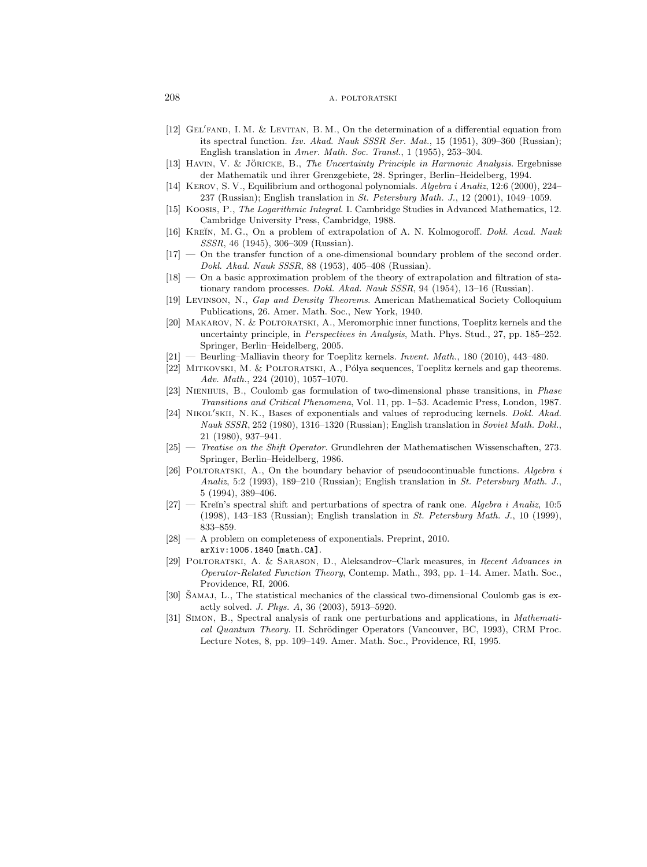- [12] GEL'FAND, I. M. & LEVITAN, B. M., On the determination of a differential equation from its spectral function. Izv. Akad. Nauk SSSR Ser. Mat., 15 (1951), 309–360 (Russian); English translation in Amer. Math. Soc. Transl., 1 (1955), 253–304.
- [13] HAVIN, V. & JÖRICKE, B., The Uncertainty Principle in Harmonic Analysis. Ergebnisse der Mathematik und ihrer Grenzgebiete, 28. Springer, Berlin–Heidelberg, 1994.
- [14] Kerov, S. V., Equilibrium and orthogonal polynomials. Algebra i Analiz, 12:6 (2000), 224– 237 (Russian); English translation in St. Petersburg Math. J., 12 (2001), 1049–1059.
- [15] Koosis, P., The Logarithmic Integral. I. Cambridge Studies in Advanced Mathematics, 12. Cambridge University Press, Cambridge, 1988.
- [16] KREĬN, M. G., On a problem of extrapolation of A. N. Kolmogoroff. Dokl. Acad. Nauk SSSR, 46 (1945), 306–309 (Russian).
- [17] On the transfer function of a one-dimensional boundary problem of the second order. Dokl. Akad. Nauk SSSR, 88 (1953), 405–408 (Russian).
- [18] On a basic approximation problem of the theory of extrapolation and filtration of stationary random processes. Dokl. Akad. Nauk SSSR, 94 (1954), 13–16 (Russian).
- [19] Levinson, N., Gap and Density Theorems. American Mathematical Society Colloquium Publications, 26. Amer. Math. Soc., New York, 1940.
- [20] Makarov, N. & Poltoratski, A., Meromorphic inner functions, Toeplitz kernels and the uncertainty principle, in Perspectives in Analysis, Math. Phys. Stud., 27, pp. 185–252. Springer, Berlin–Heidelberg, 2005.
- [21] Beurling–Malliavin theory for Toeplitz kernels. Invent. Math., 180 (2010), 443–480.
- [22] MITKOVSKI, M. & POLTORATSKI, A., Pólya sequences, Toeplitz kernels and gap theorems. Adv. Math., 224 (2010), 1057–1070.
- [23] Nienhuis, B., Coulomb gas formulation of two-dimensional phase transitions, in Phase Transitions and Critical Phenomena, Vol. 11, pp. 1–53. Academic Press, London, 1987.
- [24] NIKOL'SKII, N. K., Bases of exponentials and values of reproducing kernels. Dokl. Akad. Nauk SSSR, 252 (1980), 1316–1320 (Russian); English translation in Soviet Math. Dokl., 21 (1980), 937–941.
- [25] Treatise on the Shift Operator. Grundlehren der Mathematischen Wissenschaften, 273. Springer, Berlin–Heidelberg, 1986.
- [26] POLTORATSKI, A., On the boundary behavior of pseudocontinuable functions. Algebra i Analiz, 5:2 (1993), 189–210 (Russian); English translation in St. Petersburg Math. J., 5 (1994), 389–406.
- [27] Kreĭn's spectral shift and perturbations of spectra of rank one. Algebra i Analiz,  $10:5$ (1998), 143–183 (Russian); English translation in St. Petersburg Math. J., 10 (1999), 833–859.
- [28] A problem on completeness of exponentials. Preprint, 2010. arXiv:1006.1840 [math.CA].
- [29] Poltoratski, A. & Sarason, D., Aleksandrov–Clark measures, in Recent Advances in Operator-Related Function Theory, Contemp. Math., 393, pp. 1–14. Amer. Math. Soc., Providence, RI, 2006.
- [30] SAMAJ, L., The statistical mechanics of the classical two-dimensional Coulomb gas is exactly solved. J. Phys. A, 36 (2003), 5913–5920.
- [31] Simon, B., Spectral analysis of rank one perturbations and applications, in Mathematical Quantum Theory. II. Schrödinger Operators (Vancouver, BC, 1993), CRM Proc. Lecture Notes, 8, pp. 109–149. Amer. Math. Soc., Providence, RI, 1995.